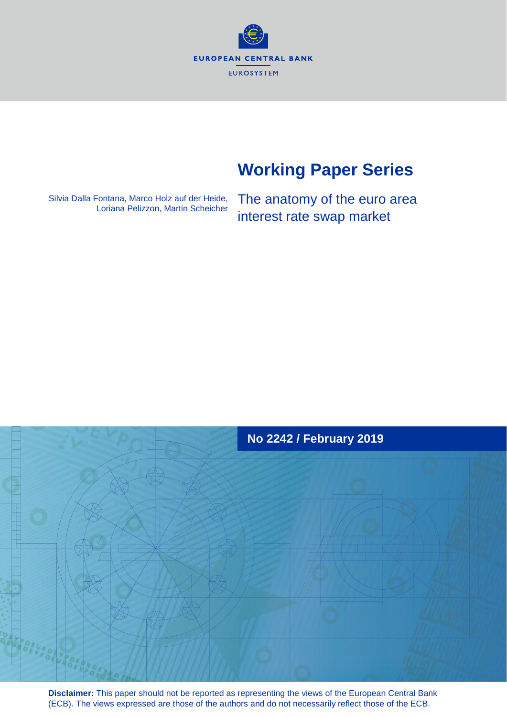**EUROPEAN CENTRAL BANK** EUROSYSTEM

# **Working Paper Series**

Silvia Dalla Fontana, Marco Holz auf der Heide, Loriana Pelizzon, Martin Scheicher The anatomy of the euro area interest rate swap market



**Disclaimer:** This paper should not be reported as representing the views of the European Central Bank (ECB). The views expressed are those of the authors and do not necessarily reflect those of the ECB.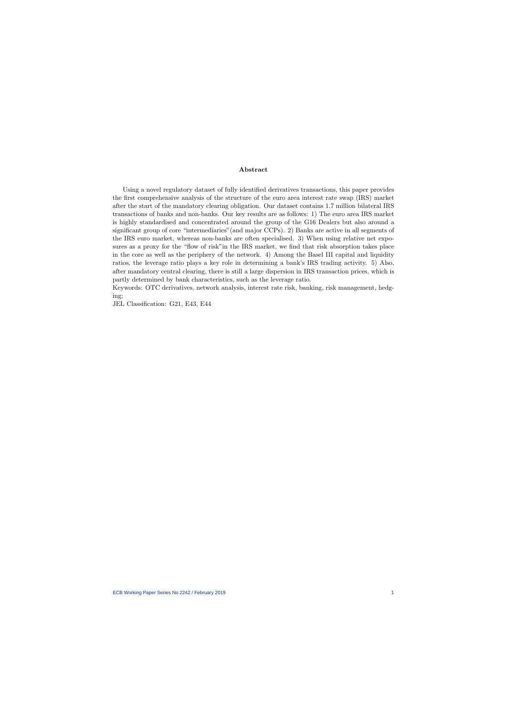#### Abstract

Using a novel regulatory dataset of fully identified derivatives transactions, this paper provides the first comprehensive analysis of the structure of the euro area interest rate swap (IRS) market after the start of the mandatory clearing obligation. Our dataset contains 1.7 million bilateral IRS transactions of banks and non-banks. Our key results are as follows: 1) The euro area IRS market is highly standardised and concentrated around the group of the G16 Dealers but also around a significant group of core "intermediaries"(and major CCPs). 2) Banks are active in all segments of the IRS euro market, whereas non-banks are often specialised. 3) When using relative net exposures as a proxy for the "flow of risk"in the IRS market, we find that risk absorption takes place in the core as well as the periphery of the network. 4) Among the Basel III capital and liquidity ratios, the leverage ratio plays a key role in determining a bank's IRS trading activity. 5) Also, after mandatory central clearing, there is still a large dispersion in IRS transaction prices, which is partly determined by bank characteristics, such as the leverage ratio.

Keywords: OTC derivatives, network analysis, interest rate risk, banking, risk management, hedging;

JEL Classification: G21, E43, E44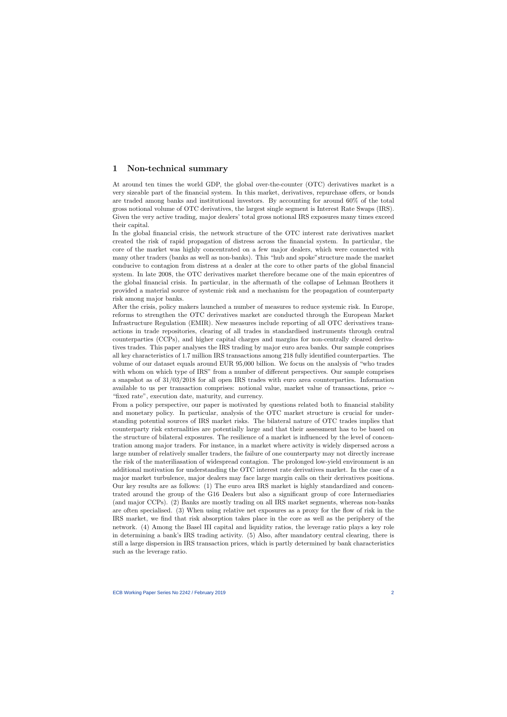# 1 Non-technical summary

At around ten times the world GDP, the global over-the-counter (OTC) derivatives market is a very sizeable part of the financial system. In this market, derivatives, repurchase offers, or bonds are traded among banks and institutional investors. By accounting for around 60% of the total gross notional volume of OTC derivatives, the largest single segment is Interest Rate Swaps (IRS). Given the very active trading, major dealers' total gross notional IRS exposures many times exceed their capital.

In the global financial crisis, the network structure of the OTC interest rate derivatives market created the risk of rapid propagation of distress across the financial system. In particular, the core of the market was highly concentrated on a few major dealers, which were connected with many other traders (banks as well as non-banks). This "hub and spoke"structure made the market conducive to contagion from distress at a dealer at the core to other parts of the global financial system. In late 2008, the OTC derivatives market therefore became one of the main epicentres of the global financial crisis. In particular, in the aftermath of the collapse of Lehman Brothers it provided a material source of systemic risk and a mechanism for the propagation of counterparty risk among major banks.

After the crisis, policy makers launched a number of measures to reduce systemic risk. In Europe, reforms to strengthen the OTC derivatives market are conducted through the European Market Infrastructure Regulation (EMIR). New measures include reporting of all OTC derivatives transactions in trade repositories, clearing of all trades in standardised instruments through central counterparties (CCPs), and higher capital charges and margins for non-centrally cleared derivatives trades. This paper analyses the IRS trading by major euro area banks. Our sample comprises all key characteristics of 1.7 million IRS transactions among 218 fully identified counterparties. The volume of our dataset equals around EUR 95,000 billion. We focus on the analysis of "who trades with whom on which type of IRS" from a number of different perspectives. Our sample comprises a snapshot as of 31/03/2018 for all open IRS trades with euro area counterparties. Information available to us per transaction comprises: notional value, market value of transactions, price ∼ "fixed rate", execution date, maturity, and currency.

From a policy perspective, our paper is motivated by questions related both to financial stability and monetary policy. In particular, analysis of the OTC market structure is crucial for understanding potential sources of IRS market risks. The bilateral nature of OTC trades implies that counterparty risk externalities are potentially large and that their assessment has to be based on the structure of bilateral exposures. The resilience of a market is influenced by the level of concentration among major traders. For instance, in a market where activity is widely dispersed across a large number of relatively smaller traders, the failure of one counterparty may not directly increase the risk of the materiliasation of widespread contagion. The prolonged low-yield environment is an additional motivation for understanding the OTC interest rate derivatives market. In the case of a major market turbulence, major dealers may face large margin calls on their derivatives positions. Our key results are as follows: (1) The euro area IRS market is highly standardized and concentrated around the group of the G16 Dealers but also a significant group of core Intermediaries (and major CCPs). (2) Banks are mostly trading on all IRS market segments, whereas non-banks are often specialised. (3) When using relative net exposures as a proxy for the flow of risk in the IRS market, we find that risk absorption takes place in the core as well as the periphery of the network. (4) Among the Basel III capital and liquidity ratios, the leverage ratio plays a key role in determining a bank's IRS trading activity. (5) Also, after mandatory central clearing, there is still a large dispersion in IRS transaction prices, which is partly determined by bank characteristics such as the leverage ratio.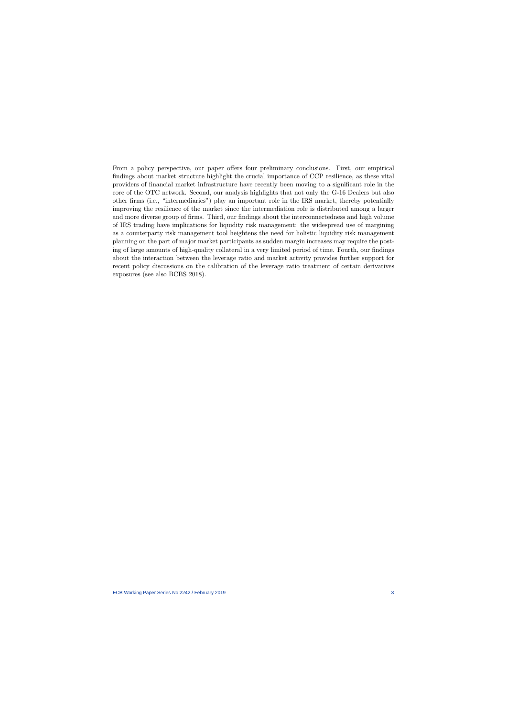From a policy perspective, our paper offers four preliminary conclusions. First, our empirical findings about market structure highlight the crucial importance of CCP resilience, as these vital providers of financial market infrastructure have recently been moving to a significant role in the core of the OTC network. Second, our analysis highlights that not only the G-16 Dealers but also other firms (i.e., "intermediaries") play an important role in the IRS market, thereby potentially improving the resilience of the market since the intermediation role is distributed among a larger and more diverse group of firms. Third, our findings about the interconnectedness and high volume of IRS trading have implications for liquidity risk management: the widespread use of margining as a counterparty risk management tool heightens the need for holistic liquidity risk management planning on the part of major market participants as sudden margin increases may require the posting of large amounts of high-quality collateral in a very limited period of time. Fourth, our findings about the interaction between the leverage ratio and market activity provides further support for recent policy discussions on the calibration of the leverage ratio treatment of certain derivatives exposures (see also BCBS 2018).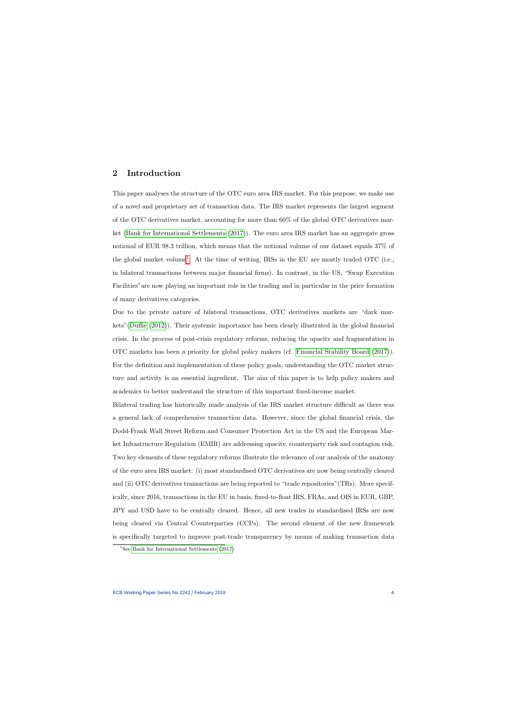## 2 Introduction

This paper analyses the structure of the OTC euro area IRS market. For this purpose, we make use of a novel and proprietary set of transaction data. The IRS market represents the largest segment of the OTC derivatives market, accounting for more than 60% of the global OTC derivatives market [\(Bank for International Settlements](#page-41-0) [\(2017\)](#page-41-0)). The euro area IRS market has an aggregate gross notional of EUR 98.3 trillion, which means that the notional volume of our dataset equals 37% of the global market volume<sup>[1](#page-4-0)</sup>. At the time of writing, IRSs in the EU are mostly traded OTC (i.e., in bilateral transactions between major financial firms). In contrast, in the US, "Swap Execution Facilities"are now playing an important role in the trading and in particular in the price formation of many derivatives categories.

Due to the private nature of bilateral transactions, OTC derivatives markets are "dark markets"[\(Duffie](#page-42-0) [\(2012\)](#page-42-0)). Their systemic importance has been clearly illustrated in the global financial crisis. In the process of post-crisis regulatory reforms, reducing the opacity and fragmentation in OTC markets has been a priority for global policy makers (cf. [Financial Stability Board](#page-43-0) [\(2017\)](#page-43-0)). For the definition and implementation of these policy goals, understanding the OTC market structure and activity is an essential ingredient. The aim of this paper is to help policy makers and academics to better understand the structure of this important fixed-income market.

Bilateral trading has historically made analysis of the IRS market structure difficult as there was a general lack of comprehensive transaction data. However, since the global financial crisis, the Dodd-Frank Wall Street Reform and Consumer Protection Act in the US and the European Market Infrastructure Regulation (EMIR) are addressing opacity, counterparty risk and contagion risk. Two key elements of these regulatory reforms illustrate the relevance of our analysis of the anatomy of the euro area IRS market: (i) most standardised OTC derivatives are now being centrally cleared and (ii) OTC derivatives transactions are being reported to "trade repositories"(TRs). More specifically, since 2016, transactions in the EU in basis, fixed-to-float IRS, FRAs, and OIS in EUR, GBP, JPY and USD have to be centrally cleared. Hence, all new trades in standardised IRSs are now being cleared via Central Counterparties (CCPs). The second element of the new framework is specifically targeted to improve post-trade transparency by means of making transaction data

<span id="page-4-0"></span><sup>&</sup>lt;sup>1</sup>See Bank for [International Settlements](#page-41-0)  $(2017)$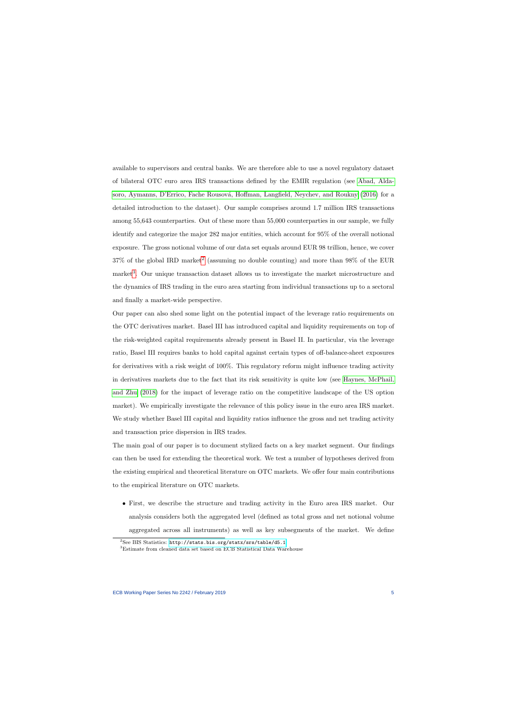available to supervisors and central banks. We are therefore able to use a novel regulatory dataset of bilateral OTC euro area IRS transactions defined by the EMIR regulation (see [Abad, Alda-](#page-41-1)soro, Aymanns, D'Errico, Fache Rousová, Hoffman, Langfield, Neychev, and Roukny [\(2016\)](#page-41-1) for a detailed introduction to the dataset). Our sample comprises around 1.7 million IRS transactions among 55,643 counterparties. Out of these more than 55,000 counterparties in our sample, we fully identify and categorize the major 282 major entities, which account for 95% of the overall notional exposure. The gross notional volume of our data set equals around EUR 98 trillion, hence, we cover  $37\%$  of the global IRD market<sup>[2](#page-5-0)</sup> (assuming no double counting) and more than  $98\%$  of the EUR market<sup>[3](#page-5-1)</sup>. Our unique transaction dataset allows us to investigate the market microstructure and the dynamics of IRS trading in the euro area starting from individual transactions up to a sectoral and finally a market-wide perspective.

Our paper can also shed some light on the potential impact of the leverage ratio requirements on the OTC derivatives market. Basel III has introduced capital and liquidity requirements on top of the risk-weighted capital requirements already present in Basel II. In particular, via the leverage ratio, Basel III requires banks to hold capital against certain types of off-balance-sheet exposures for derivatives with a risk weight of 100%. This regulatory reform might influence trading activity in derivatives markets due to the fact that its risk sensitivity is quite low (see [Haynes, McPhail,](#page-43-1) [and Zhu](#page-43-1) [\(2018\)](#page-43-1) for the impact of leverage ratio on the competitive landscape of the US option market). We empirically investigate the relevance of this policy issue in the euro area IRS market. We study whether Basel III capital and liquidity ratios influence the gross and net trading activity and transaction price dispersion in IRS trades.

The main goal of our paper is to document stylized facts on a key market segment. Our findings can then be used for extending the theoretical work. We test a number of hypotheses derived from the existing empirical and theoretical literature on OTC markets. We offer four main contributions to the empirical literature on OTC markets.

• First, we describe the structure and trading activity in the Euro area IRS market. Our analysis considers both the aggregated level (defined as total gross and net notional volume aggregated across all instruments) as well as key subsegments of the market. We define

<sup>&</sup>lt;sup>2</sup>See BIS Statistics: <http://stats.bis.org/statx/srs/table/d5.1>

<span id="page-5-1"></span><span id="page-5-0"></span><sup>3</sup>Estimate from cleaned data set based on ECB Statistical Data Warehouse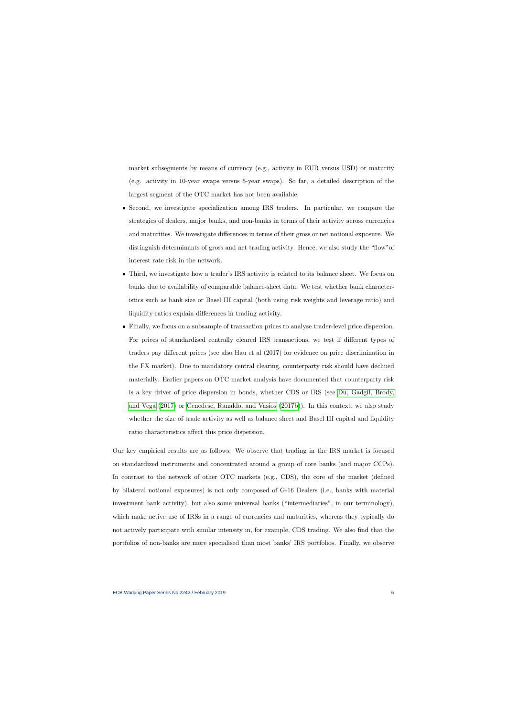market subsegments by means of currency (e.g., activity in EUR versus USD) or maturity (e.g. activity in 10-year swaps versus 5-year swaps). So far, a detailed description of the largest segment of the OTC market has not been available.

- Second, we investigate specialization among IRS traders. In particular, we compare the strategies of dealers, major banks, and non-banks in terms of their activity across currencies and maturities. We investigate differences in terms of their gross or net notional exposure. We distinguish determinants of gross and net trading activity. Hence, we also study the "flow"of interest rate risk in the network.
- Third, we investigate how a trader's IRS activity is related to its balance sheet. We focus on banks due to availability of comparable balance-sheet data. We test whether bank characteristics such as bank size or Basel III capital (both using risk weights and leverage ratio) and liquidity ratios explain differences in trading activity.
- Finally, we focus on a subsample of transaction prices to analyse trader-level price dispersion. For prices of standardised centrally cleared IRS transactions, we test if different types of traders pay different prices (see also Hau et al (2017) for evidence on price discrimination in the FX market). Due to mandatory central clearing, counterparty risk should have declined materially. Earlier papers on OTC market analysis have documented that counterparty risk is a key driver of price dispersion in bonds, whether CDS or IRS (see [Du, Gadgil, Brody,](#page-42-1) [and Vega](#page-42-1) [\(2017\)](#page-42-1) or [Cenedese, Ranaldo, and Vasios](#page-42-2) [\(2017b\)](#page-42-2)). In this context, we also study whether the size of trade activity as well as balance sheet and Basel III capital and liquidity ratio characteristics affect this price dispersion.

Our key empirical results are as follows: We observe that trading in the IRS market is focused on standardized instruments and concentrated around a group of core banks (and major CCPs). In contrast to the network of other OTC markets (e.g., CDS), the core of the market (defined by bilateral notional exposures) is not only composed of G-16 Dealers (i.e., banks with material investment bank activity), but also some universal banks ("intermediaries", in our terminology), which make active use of IRSs in a range of currencies and maturities, whereas they typically do not actively participate with similar intensity in, for example, CDS trading. We also find that the portfolios of non-banks are more specialised than most banks' IRS portfolios. Finally, we observe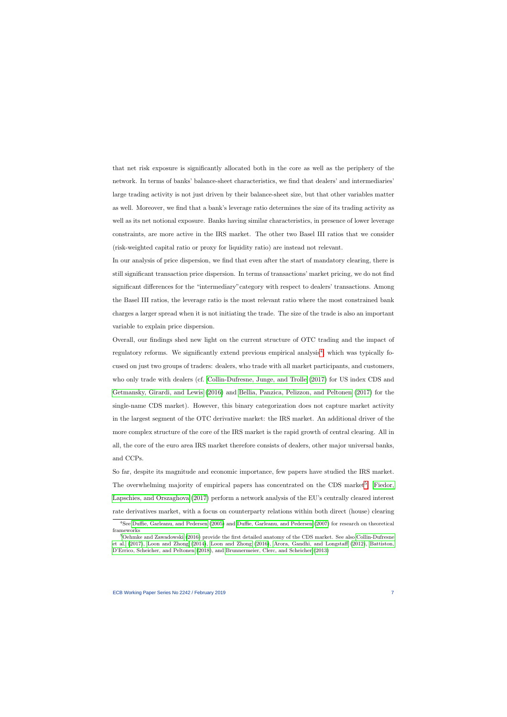that net risk exposure is significantly allocated both in the core as well as the periphery of the network. In terms of banks' balance-sheet characteristics, we find that dealers' and intermediaries' large trading activity is not just driven by their balance-sheet size, but that other variables matter as well. Moreover, we find that a bank's leverage ratio determines the size of its trading activity as well as its net notional exposure. Banks having similar characteristics, in presence of lower leverage constraints, are more active in the IRS market. The other two Basel III ratios that we consider (risk-weighted capital ratio or proxy for liquidity ratio) are instead not relevant.

In our analysis of price dispersion, we find that even after the start of mandatory clearing, there is still significant transaction price dispersion. In terms of transactions' market pricing, we do not find significant differences for the "intermediary"category with respect to dealers' transactions. Among the Basel III ratios, the leverage ratio is the most relevant ratio where the most constrained bank charges a larger spread when it is not initiating the trade. The size of the trade is also an important variable to explain price dispersion.

Overall, our findings shed new light on the current structure of OTC trading and the impact of regulatory reforms. We significantly extend previous empirical analysis<sup>[4](#page-7-0)</sup>, which was typically focused on just two groups of traders: dealers, who trade with all market participants, and customers, who only trade with dealers (cf. [Collin-Dufresne, Junge, and Trolle](#page-42-3) [\(2017\)](#page-42-3) for US index CDS and [Getmansky, Girardi, and Lewis](#page-43-2) [\(2016\)](#page-43-2) and [Bellia, Panzica, Pelizzon, and Peltonen](#page-41-2) [\(2017\)](#page-41-2) for the single-name CDS market). However, this binary categorization does not capture market activity in the largest segment of the OTC derivative market: the IRS market. An additional driver of the more complex structure of the core of the IRS market is the rapid growth of central clearing. All in all, the core of the euro area IRS market therefore consists of dealers, other major universal banks, and CCPs.

So far, despite its magnitude and economic importance, few papers have studied the IRS market. The overwhelming majority of empirical papers has concentrated on the CDS market<sup>[5](#page-7-1)</sup>. [Fiedor,](#page-43-3) [Lapschies, and Orszaghova](#page-43-3) [\(2017\)](#page-43-3) perform a network analysis of the EU's centrally cleared interest rate derivatives market, with a focus on counterparty relations within both direct (house) clearing

<sup>4</sup>See [Duffie, Garleanu, and](#page-42-4) Pedersen [\(2005\)](#page-42-4) and [Duffie, Garleanu, and Pedersen](#page-42-5) [\(2007\)](#page-42-5) for research on theoretical frameworks

<span id="page-7-1"></span><span id="page-7-0"></span><sup>&</sup>lt;sup>5</sup>[Oehmke and Zawadowski](#page-44-0) [\(2016\)](#page-44-0) provide the first detailed anatomy of the CDS market. See also [Collin-Dufresne](#page-42-3) [et al.](#page-42-3) [\(2017\)](#page-42-3), [Loon and Zhong](#page-44-1) [\(2014\)](#page-44-1), [Loon and Zhong](#page-44-2) [\(2016\)](#page-44-2), [Arora, Gandhi, and Longstaff](#page-41-3) [\(2012\)](#page-41-3), [Battiston,](#page-41-4) [D'Errico, Scheicher, and Peltonen](#page-41-4) [\(2018\)](#page-41-4), and [Brunnermeier, Clerc, and Scheicher](#page-42-6) [\(2013\)](#page-42-6)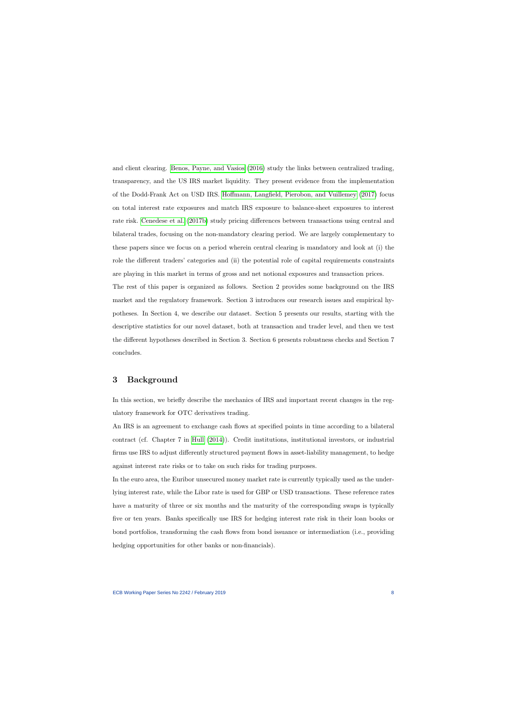and client clearing. Benos, [Payne, and Vasios](#page-41-5) [\(2016\)](#page-41-5) study the links between centralized trading, transparency, and the US IRS market liquidity. They present evidence from the implementation of the Dodd-Frank Act on USD IRS. [Hoffmann, Langfield, Pierobon, and Vuillemey](#page-43-4) [\(2017\)](#page-43-4) focus on total interest rate exposures and match IRS exposure to balance-sheet exposures to interest rate risk. [Cenedese et al.](#page-42-2) [\(2017b\)](#page-42-2) study pricing differences between transactions using central and bilateral trades, focusing on the non-mandatory clearing period. We are largely complementary to these papers since we focus on a period wherein central clearing is mandatory and look at (i) the role the different traders' categories and (ii) the potential role of capital requirements constraints are playing in this market in terms of gross and net notional exposures and transaction prices.

The rest of this paper is organized as follows. Section 2 provides some background on the IRS market and the regulatory framework. Section 3 introduces our research issues and empirical hypotheses. In Section 4, we describe our dataset. Section 5 presents our results, starting with the descriptive statistics for our novel dataset, both at transaction and trader level, and then we test the different hypotheses described in Section 3. Section 6 presents robustness checks and Section 7 concludes.

## 3 Background

In this section, we briefly describe the mechanics of IRS and important recent changes in the regulatory framework for OTC derivatives trading.

An IRS is an agreement to exchange cash flows at specified points in time according to a bilateral contract (cf. Chapter 7 in [Hull](#page-44-3) [\(2014\)](#page-44-3)). Credit institutions, institutional investors, or industrial firms use IRS to adjust differently structured payment flows in asset-liability management, to hedge against interest rate risks or to take on such risks for trading purposes.

In the euro area, the Euribor unsecured money market rate is currently typically used as the underlying interest rate, while the Libor rate is used for GBP or USD transactions. These reference rates have a maturity of three or six months and the maturity of the corresponding swaps is typically five or ten years. Banks specifically use IRS for hedging interest rate risk in their loan books or bond portfolios, transforming the cash flows from bond issuance or intermediation (i.e., providing hedging opportunities for other banks or non-financials).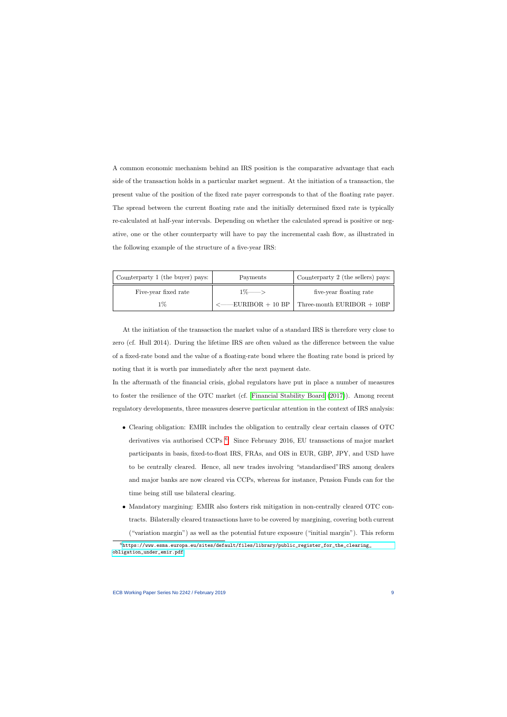A common economic mechanism behind an IRS position is the comparative advantage that each side of the transaction holds in a particular market segment. At the initiation of a transaction, the present value of the position of the fixed rate payer corresponds to that of the floating rate payer. The spread between the current floating rate and the initially determined fixed rate is typically re-calculated at half-year intervals. Depending on whether the calculated spread is positive or negative, one or the other counterparty will have to pay the incremental cash flow, as illustrated in the following example of the structure of a five-year IRS:

| Counterparty 1 (the buyer) pays: | Payments          | Counterparty 2 (the sellers) pays:                |  |  |
|----------------------------------|-------------------|---------------------------------------------------|--|--|
| Five-year fixed rate             | $1\% \rightarrow$ | five-year floating rate                           |  |  |
| 1%                               |                   | $\leq$ EURIBOR + 10 BP Three-month EURIBOR + 10BP |  |  |

At the initiation of the transaction the market value of a standard IRS is therefore very close to zero (cf. Hull 2014). During the lifetime IRS are often valued as the difference between the value of a fixed-rate bond and the value of a floating-rate bond where the floating rate bond is priced by noting that it is worth par immediately after the next payment date.

In the aftermath of the financial crisis, global regulators have put in place a number of measures to foster the resilience of the OTC market (cf. [Financial Stability Board](#page-43-0) [\(2017\)](#page-43-0)). Among recent regulatory developments, three measures deserve particular attention in the context of IRS analysis:

- Clearing obligation: EMIR includes the obligation to centrally clear certain classes of OTC derivatives via authorised CCPs<sup>[6](#page-9-0)</sup>. Since February 2016, EU transactions of major market participants in basis, fixed-to-float IRS, FRAs, and OIS in EUR, GBP, JPY, and USD have to be centrally cleared. Hence, all new trades involving "standardised"IRS among dealers and major banks are now cleared via CCPs, whereas for instance, Pension Funds can for the time being still use bilateral clearing.
- Mandatory margining: EMIR also fosters risk mitigation in non-centrally cleared OTC contracts. Bilaterally cleared transactions have to be covered by margining, covering both current ("variation margin") as well as the potential future exposure ("initial margin"). This reform

<span id="page-9-0"></span> $^6$ [https://www.esma.europa.eu/sites/default/files/library/public\\_register\\_for\\_the\\_clearing\\_](https://www.esma.europa.eu/sites/default/files/library/public_register_for_the_clearing_obligation_under_emir.pdf) [obligation\\_under\\_emir.pdf](https://www.esma.europa.eu/sites/default/files/library/public_register_for_the_clearing_obligation_under_emir.pdf)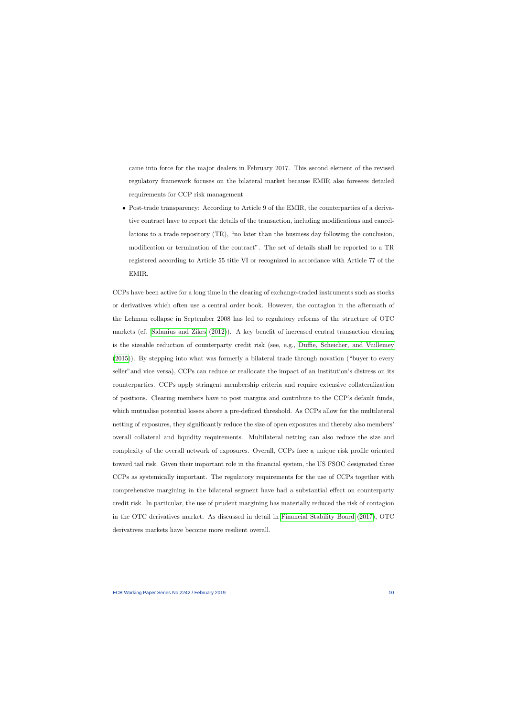came into force for the major dealers in February 2017. This second element of the revised regulatory framework focuses on the bilateral market because EMIR also foresees detailed requirements for CCP risk management

• Post-trade transparency: According to Article 9 of the EMIR, the counterparties of a derivative contract have to report the details of the transaction, including modifications and cancellations to a trade repository (TR), "no later than the business day following the conclusion, modification or termination of the contract". The set of details shall be reported to a TR registered according to Article 55 title VI or recognized in accordance with Article 77 of the EMIR.

CCPs have been active for a long time in the clearing of exchange-traded instruments such as stocks or derivatives which often use a central order book. However, the contagion in the aftermath of the Lehman collapse in September 2008 has led to regulatory reforms of the structure of OTC markets (cf. [Sidanius and Zikes](#page-44-4) [\(2012\)](#page-44-4)). A key benefit of increased central transaction clearing is the sizeable reduction of counterparty credit risk (see, e.g., [Duffie, Scheicher, and Vuillemey](#page-43-5) [\(2015\)](#page-43-5)). By stepping into what was formerly a bilateral trade through novation ("buyer to every seller"and vice versa), CCPs can reduce or reallocate the impact of an institution's distress on its counterparties. CCPs apply stringent membership criteria and require extensive collateralization of positions. Clearing members have to post margins and contribute to the CCP's default funds, which mutualise potential losses above a pre-defined threshold. As CCPs allow for the multilateral netting of exposures, they significantly reduce the size of open exposures and thereby also members' overall collateral and liquidity requirements. Multilateral netting can also reduce the size and complexity of the overall network of exposures. Overall, CCPs face a unique risk profile oriented toward tail risk. Given their important role in the financial system, the US FSOC designated three CCPs as systemically important. The regulatory requirements for the use of CCPs together with comprehensive margining in the bilateral segment have had a substantial effect on counterparty credit risk. In particular, the use of prudent margining has materially reduced the risk of contagion in the OTC derivatives market. As discussed in detail in [Financial Stability Board](#page-43-0) [\(2017\)](#page-43-0), OTC derivatives markets have become more resilient overall.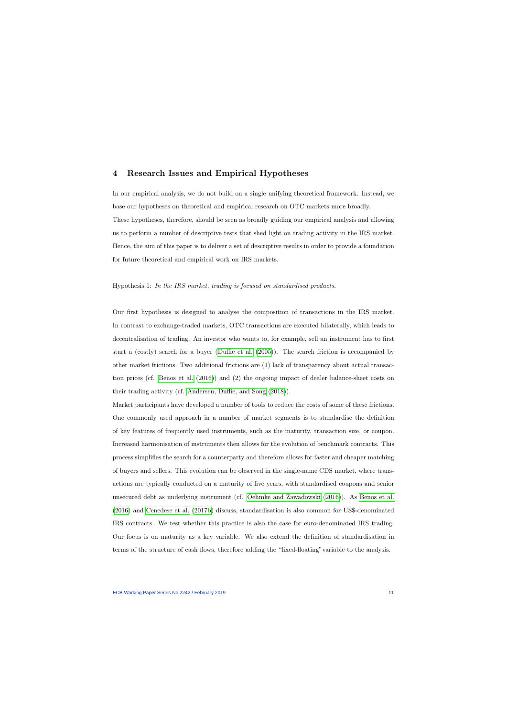## 4 Research Issues and Empirical Hypotheses

In our empirical analysis, we do not build on a single unifying theoretical framework. Instead, we base our hypotheses on theoretical and empirical research on OTC markets more broadly. These hypotheses, therefore, should be seen as broadly guiding our empirical analysis and allowing us to perform a number of descriptive tests that shed light on trading activity in the IRS market. Hence, the aim of this paper is to deliver a set of descriptive results in order to provide a foundation for future theoretical and empirical work on IRS markets.

#### Hypothesis 1: In the IRS market, trading is focused on standardised products.

Our first hypothesis is designed to analyse the composition of transactions in the IRS market. In contrast to exchange-traded markets, OTC transactions are executed bilaterally, which leads to decentralisation of trading. An investor who wants to, for example, sell an instrument has to first start a (costly) search for a buyer [\(Duffie et al.](#page-42-4) [\(2005\)](#page-42-4)). The search friction is accompanied by other market frictions. Two additional frictions are (1) lack of transparency about actual transaction prices (cf. [Benos et al.](#page-41-5) [\(2016\)](#page-41-5)) and (2) the ongoing impact of dealer balance-sheet costs on their trading activity (cf. [Andersen, Duffie, and Song](#page-41-6) [\(2018\)](#page-41-6)).

Market participants have developed a number of tools to reduce the costs of some of these frictions. One commonly used approach in a number of market segments is to standardise the definition of key features of frequently used instruments, such as the maturity, transaction size, or coupon. Increased harmonisation of instruments then allows for the evolution of benchmark contracts. This process simplifies the search for a counterparty and therefore allows for faster and cheaper matching of buyers and sellers. This evolution can be observed in the single-name CDS market, where transactions are typically conducted on a maturity of five years, with standardised coupons and senior unsecured debt as underlying instrument (cf. [Oehmke and Zawadowski](#page-44-0) [\(2016\)](#page-44-0)). As [Benos et al.](#page-41-5) [\(2016\)](#page-41-5) and [Cenedese et al.](#page-42-2) [\(2017b\)](#page-42-2) discuss, standardisation is also common for US\$-denominated IRS contracts. We test whether this practice is also the case for euro-denominated IRS trading. Our focus is on maturity as a key variable. We also extend the definition of standardisation in terms of the structure of cash flows, therefore adding the "fixed-floating"variable to the analysis.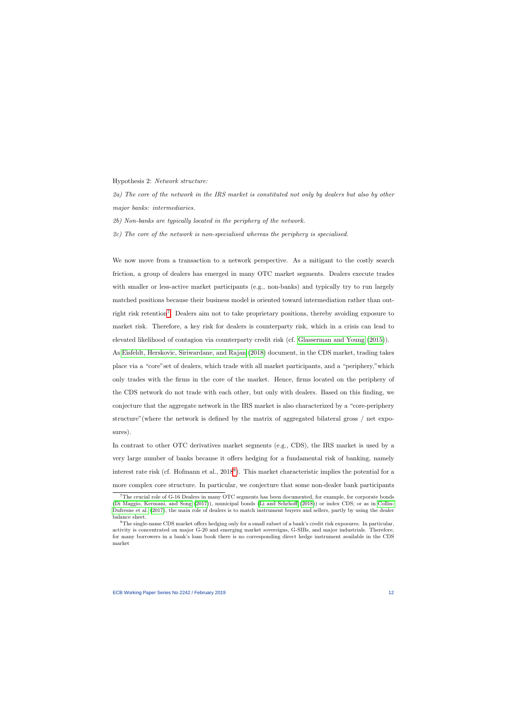Hypothesis 2: Network structure:

2a) The core of the network in the IRS market is constituted not only by dealers but also by other major banks: intermediaries.

2b) Non-banks are typically located in the periphery of the network.

2c) The core of the network is non-specialised whereas the periphery is specialised.

We now move from a transaction to a network perspective. As a mitigant to the costly search friction, a group of dealers has emerged in many OTC market segments. Dealers execute trades with smaller or less-active market participants (e.g., non-banks) and typically try to run largely matched positions because their business model is oriented toward intermediation rather than out-right risk retention<sup>[7](#page-12-0)</sup>. Dealers aim not to take proprietary positions, thereby avoiding exposure to market risk. Therefore, a key risk for dealers is counterparty risk, which in a crisis can lead to elevated likelihood of contagion via counterparty credit risk (cf. [Glasserman and Young](#page-43-6) [\(2015\)](#page-43-6)).

As [Eisfeldt, Herskovic, Siriwardane, and Rajan](#page-43-7) [\(2018\)](#page-43-7) document, in the CDS market, trading takes place via a "core"set of dealers, which trade with all market participants, and a "periphery,"which only trades with the firms in the core of the market. Hence, firms located on the periphery of the CDS network do not trade with each other, but only with dealers. Based on this finding, we conjecture that the aggregate network in the IRS market is also characterized by a "core-periphery structure"(where the network is defined by the matrix of aggregated bilateral gross / net exposures).

In contrast to other OTC derivatives market segments (e.g., CDS), the IRS market is used by a very large number of banks because it offers hedging for a fundamental risk of banking, namely interest rate risk (cf. Hofmann et al., 201[8](#page-12-1)<sup>8</sup>). This market characteristic implies the potential for a more complex core structure. In particular, we conjecture that some non-dealer bank participants

<sup>7</sup>The crucial role of G-16 Dealers in many OTC segments has been documented, for example, for corporate bonds [\(Di Maggio, Kermani, and Song](#page-42-7) [\(2017\)](#page-42-7)), municipal bonds [\(Li and Schrhoff](#page-44-5) [\(2018\)](#page-44-5)) or index CDS; or as in [Collin-](#page-42-3)[Dufresne et al.](#page-42-3) [\(2017\)](#page-42-3), the main role of dealers is to match instrument buyers and sellers, partly by using the dealer balance sheet.

<span id="page-12-1"></span><span id="page-12-0"></span><sup>8</sup>The single-name CDS market offers hedging only for a small subset of a bank's credit risk exposures. In particular, activity is concentrated on major G-20 and emerging market sovereigns, G-SIBs, and major industrials. Therefore, for many borrowers in a bank's loan book there is no corresponding direct hedge instrument available in the CDS market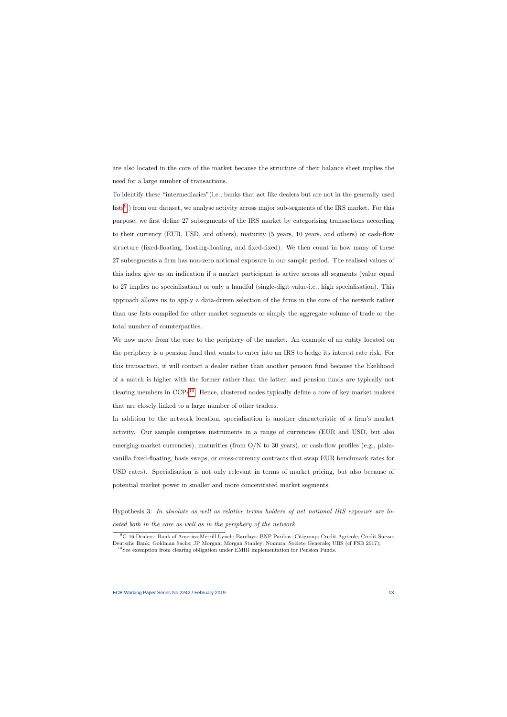are also located in the core of the market because the structure of their balance sheet implies the need for a large number of transactions.

To identify these "intermediaries"(i.e., banks that act like dealers but are not in the generally used  $\text{lists}^9$  $\text{lists}^9$ ) from our dataset, we analyse activity across major sub-segments of the IRS market. For this purpose, we first define 27 subsegments of the IRS market by categorising transactions according to their currency (EUR, USD, and others), maturity (5 years, 10 years, and others) or cash-flow structure (fixed-floating, floating-floating, and fixed-fixed). We then count in how many of these 27 subsegments a firm has non-zero notional exposure in our sample period. The realised values of this index give us an indication if a market participant is active across all segments (value equal to 27 implies no specialisation) or only a handful (single-digit value-i.e., high specialisation). This approach allows us to apply a data-driven selection of the firms in the core of the network rather than use lists compiled for other market segments or simply the aggregate volume of trade or the total number of counterparties.

We now move from the core to the periphery of the market. An example of an entity located on the periphery is a pension fund that wants to enter into an IRS to hedge its interest rate risk. For this transaction, it will contact a dealer rather than another pension fund because the likelihood of a match is higher with the former rather than the latter, and pension funds are typically not clearing members in  $CCPs^{10}$  $CCPs^{10}$  $CCPs^{10}$ . Hence, clustered nodes typically define a core of key market makers that are closely linked to a large number of other traders.

In addition to the network location, specialisation is another characteristic of a firm's market activity. Our sample comprises instruments in a range of currencies (EUR and USD, but also emerging-market currencies), maturities (from  $O/N$  to 30 years), or cash-flow profiles (e.g., plainvanilla fixed-floating, basis swaps, or cross-currency contracts that swap EUR benchmark rates for USD rates). Specialisation is not only relevant in terms of market pricing, but also because of potential market power in smaller and more concentrated market segments.

Hypothesis 3: In absolute as well as relative terms holders of net notional IRS exposure are located both in the core as well as in the periphery of the network.

<sup>9</sup>G-16 Dealers: Bank of America Merrill Lynch; Barclays; BNP Paribas; Citigroup; Credit Agricole; Credit Suisse; Deutsche Bank; Goldman Sachs; JP Morgan; Morgan Stanley; Nomura; Societe Generale; UBS (cf FSB 2017);

<span id="page-13-1"></span><span id="page-13-0"></span> $^{10}\mathrm{See}$  exemption from clearing obligation under EMIR implementation for Pension Funds.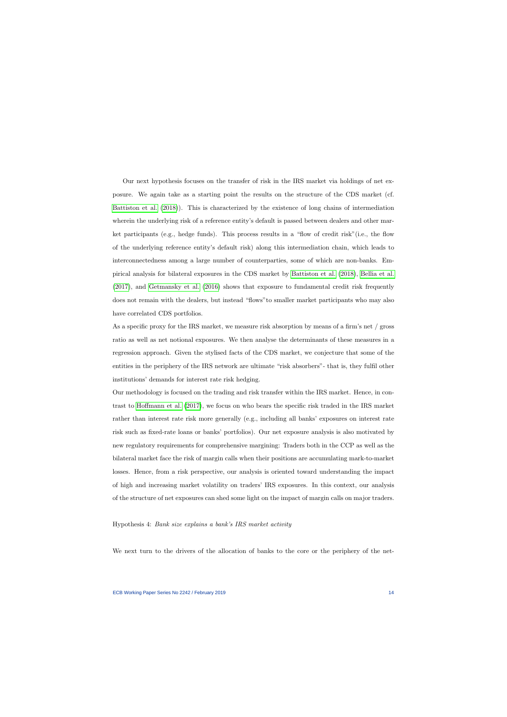Our next hypothesis focuses on the transfer of risk in the IRS market via holdings of net exposure. We again take as a starting point the results on the structure of the CDS market (cf. [Battiston et al.](#page-41-4) [\(2018\)](#page-41-4)). This is characterized by the existence of long chains of intermediation wherein the underlying risk of a reference entity's default is passed between dealers and other market participants (e.g., hedge funds). This process results in a "flow of credit risk"(i.e., the flow of the underlying reference entity's default risk) along this intermediation chain, which leads to interconnectedness among a large number of counterparties, some of which are non-banks. Empirical analysis for bilateral exposures in the CDS market by [Battiston et al.](#page-41-4) [\(2018\)](#page-41-4), [Bellia et al.](#page-41-2) [\(2017\)](#page-41-2), and [Getmansky et al.](#page-43-2) [\(2016\)](#page-43-2) shows that exposure to fundamental credit risk frequently does not remain with the dealers, but instead "flows"to smaller market participants who may also have correlated CDS portfolios.

As a specific proxy for the IRS market, we measure risk absorption by means of a firm's net / gross ratio as well as net notional exposures. We then analyse the determinants of these measures in a regression approach. Given the stylised facts of the CDS market, we conjecture that some of the entities in the periphery of the IRS network are ultimate "risk absorbers"- that is, they fulfil other institutions' demands for interest rate risk hedging.

Our methodology is focused on the trading and risk transfer within the IRS market. Hence, in contrast to [Hoffmann et al.](#page-43-4) [\(2017\)](#page-43-4), we focus on who bears the specific risk traded in the IRS market rather than interest rate risk more generally (e.g., including all banks' exposures on interest rate risk such as fixed-rate loans or banks' portfolios). Our net exposure analysis is also motivated by new regulatory requirements for comprehensive margining: Traders both in the CCP as well as the bilateral market face the risk of margin calls when their positions are accumulating mark-to-market losses. Hence, from a risk perspective, our analysis is oriented toward understanding the impact of high and increasing market volatility on traders' IRS exposures. In this context, our analysis of the structure of net exposures can shed some light on the impact of margin calls on major traders.

### Hypothesis 4: Bank size explains a bank's IRS market activity

We next turn to the drivers of the allocation of banks to the core or the periphery of the net-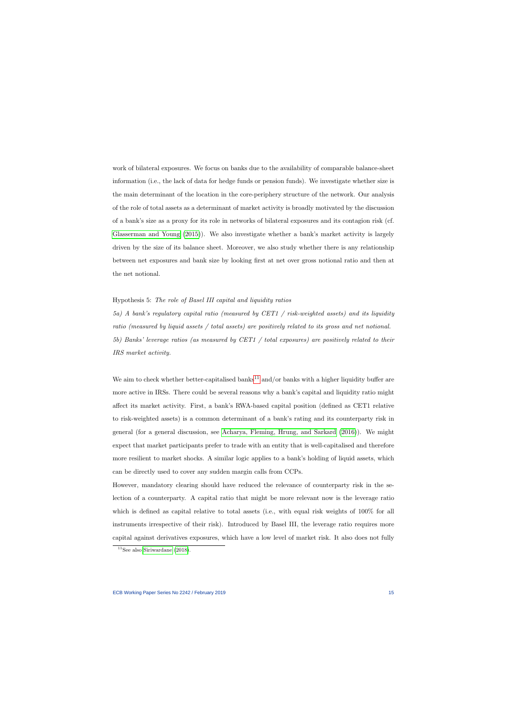work of bilateral exposures. We focus on banks due to the availability of comparable balance-sheet information (i.e., the lack of data for hedge funds or pension funds). We investigate whether size is the main determinant of the location in the core-periphery structure of the network. Our analysis of the role of total assets as a determinant of market activity is broadly motivated by the discussion of a bank's size as a proxy for its role in networks of bilateral exposures and its contagion risk (cf. [Glasserman and Young](#page-43-6) [\(2015\)](#page-43-6)). We also investigate whether a bank's market activity is largely driven by the size of its balance sheet. Moreover, we also study whether there is any relationship between net exposures and bank size by looking first at net over gross notional ratio and then at the net notional.

#### Hypothesis 5: The role of Basel III capital and liquidity ratios

5a) A bank's regulatory capital ratio (measured by CET1 / risk-weighted assets) and its liquidity ratio (measured by liquid assets / total assets) are positively related to its gross and net notional. 5b) Banks' leverage ratios (as measured by CET1 / total exposures) are positively related to their IRS market activity.

We aim to check whether better-capitalised banks<sup>[11](#page-15-0)</sup> and/or banks with a higher liquidity buffer are more active in IRSs. There could be several reasons why a bank's capital and liquidity ratio might affect its market activity. First, a bank's RWA-based capital position (defined as CET1 relative to risk-weighted assets) is a common determinant of a bank's rating and its counterparty risk in general (for a general discussion, see [Acharya, Fleming, Hrung, and Sarkard](#page-41-7) [\(2016\)](#page-41-7)). We might expect that market participants prefer to trade with an entity that is well-capitalised and therefore more resilient to market shocks. A similar logic applies to a bank's holding of liquid assets, which can be directly used to cover any sudden margin calls from CCPs.

However, mandatory clearing should have reduced the relevance of counterparty risk in the selection of a counterparty. A capital ratio that might be more relevant now is the leverage ratio which is defined as capital relative to total assets (i.e., with equal risk weights of 100% for all instruments irrespective of their risk). Introduced by Basel III, the leverage ratio requires more capital against derivatives exposures, which have a low level of market risk. It also does not fully

<span id="page-15-0"></span> $11$ See also [Siriwardane](#page-44-6) [\(2018\)](#page-44-6).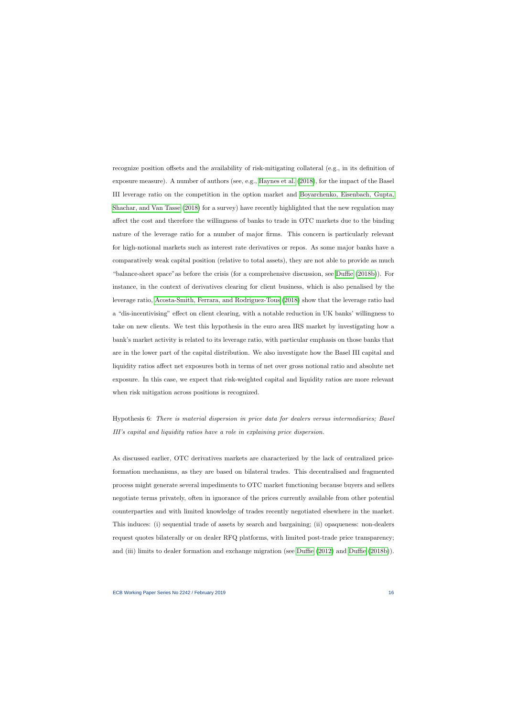recognize position offsets and the availability of risk-mitigating collateral (e.g., in its definition of exposure measure). A number of authors (see, e.g., [Haynes et al.](#page-43-1) [\(2018\)](#page-43-1), for the impact of the Basel III leverage ratio on the competition in the option market and [Boyarchenko, Eisenbach, Gupta,](#page-41-8) [Shachar, and Van Tasse](#page-41-8) [\(2018\)](#page-41-8) for a survey) have recently highlighted that the new regulation may affect the cost and therefore the willingness of banks to trade in OTC markets due to the binding nature of the leverage ratio for a number of major firms. This concern is particularly relevant for high-notional markets such as interest rate derivatives or repos. As some major banks have a comparatively weak capital position (relative to total assets), they are not able to provide as much "balance-sheet space"as before the crisis (for a comprehensive discussion, see [Duffie](#page-42-8) [\(2018b\)](#page-42-8)). For instance, in the context of derivatives clearing for client business, which is also penalised by the leverage ratio, [Acosta-Smith, Ferrara, and Rodriguez-Tous](#page-41-9) [\(2018\)](#page-41-9) show that the leverage ratio had a "dis-incentivising" effect on client clearing, with a notable reduction in UK banks' willingness to take on new clients. We test this hypothesis in the euro area IRS market by investigating how a bank's market activity is related to its leverage ratio, with particular emphasis on those banks that are in the lower part of the capital distribution. We also investigate how the Basel III capital and liquidity ratios affect net exposures both in terms of net over gross notional ratio and absolute net exposure. In this case, we expect that risk-weighted capital and liquidity ratios are more relevant when risk mitigation across positions is recognized.

Hypothesis 6: There is material dispersion in price data for dealers versus intermediaries; Basel III's capital and liquidity ratios have a role in explaining price dispersion.

As discussed earlier, OTC derivatives markets are characterized by the lack of centralized priceformation mechanisms, as they are based on bilateral trades. This decentralised and fragmented process might generate several impediments to OTC market functioning because buyers and sellers negotiate terms privately, often in ignorance of the prices currently available from other potential counterparties and with limited knowledge of trades recently negotiated elsewhere in the market. This induces: (i) sequential trade of assets by search and bargaining; (ii) opaqueness: non-dealers request quotes bilaterally or on dealer RFQ platforms, with limited post-trade price transparency; and (iii) limits to dealer formation and exchange migration (see [Duffie](#page-42-0) [\(2012\)](#page-42-0) and [Duffie](#page-42-8) [\(2018b\)](#page-42-8)).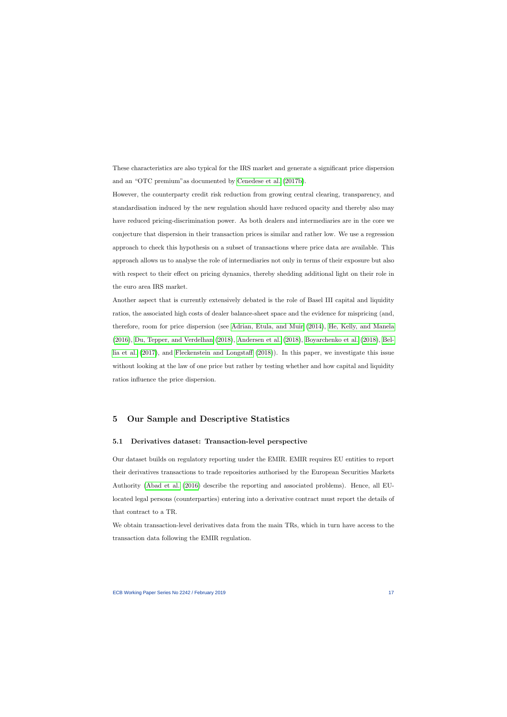These characteristics are also typical for the IRS market and generate a significant price dispersion and an "OTC premium"as documented by [Cenedese et al.](#page-42-2) [\(2017b\)](#page-42-2).

However, the counterparty credit risk reduction from growing central clearing, transparency, and standardisation induced by the new regulation should have reduced opacity and thereby also may have reduced pricing-discrimination power. As both dealers and intermediaries are in the core we conjecture that dispersion in their transaction prices is similar and rather low. We use a regression approach to check this hypothesis on a subset of transactions where price data are available. This approach allows us to analyse the role of intermediaries not only in terms of their exposure but also with respect to their effect on pricing dynamics, thereby shedding additional light on their role in the euro area IRS market.

Another aspect that is currently extensively debated is the role of Basel III capital and liquidity ratios, the associated high costs of dealer balance-sheet space and the evidence for mispricing (and, therefore, room for price dispersion (see [Adrian, Etula, and Muir](#page-41-10) [\(2014\)](#page-41-10), [He, Kelly, and Manela](#page-43-8) [\(2016\)](#page-43-8), [Du, Tepper, and Verdelhan](#page-42-9) [\(2018\)](#page-42-9), [Andersen et al.](#page-41-6) [\(2018\)](#page-41-6), [Boyarchenko et al.](#page-41-8) [\(2018\)](#page-41-8), [Bel](#page-41-2)[lia et al.](#page-41-2) [\(2017\)](#page-41-2), and [Fleckenstein and Longstaff](#page-43-9) [\(2018\)](#page-43-9)). In this paper, we investigate this issue without looking at the law of one price but rather by testing whether and how capital and liquidity ratios influence the price dispersion.

## 5 Our Sample and Descriptive Statistics

## 5.1 Derivatives dataset: Transaction-level perspective

Our dataset builds on regulatory reporting under the EMIR. EMIR requires EU entities to report their derivatives transactions to trade repositories authorised by the European Securities Markets Authority [\(Abad et al.](#page-41-1) [\(2016\)](#page-41-1) describe the reporting and associated problems). Hence, all EUlocated legal persons (counterparties) entering into a derivative contract must report the details of that contract to a TR.

We obtain transaction-level derivatives data from the main TRs, which in turn have access to the transaction data following the EMIR regulation.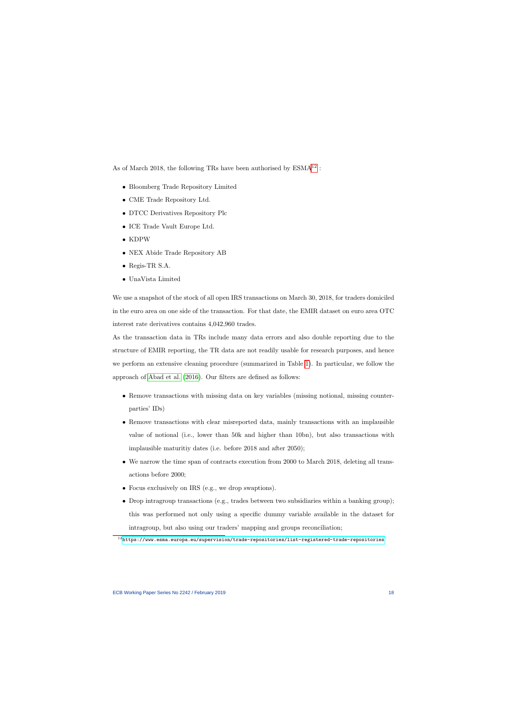As of March 2018, the following TRs have been authorised by  $ESMA^{12}$  $ESMA^{12}$  $ESMA^{12}$ :

- Bloomberg Trade Repository Limited
- CME Trade Repository Ltd.
- DTCC Derivatives Repository Plc
- ICE Trade Vault Europe Ltd.
- KDPW
- NEX Abide Trade Repository AB
- Regis-TR S.A.
- UnaVista Limited

We use a snapshot of the stock of all open IRS transactions on March 30, 2018, for traders domiciled in the euro area on one side of the transaction. For that date, the EMIR dataset on euro area OTC interest rate derivatives contains 4,042,960 trades.

As the transaction data in TRs include many data errors and also double reporting due to the structure of EMIR reporting, the TR data are not readily usable for research purposes, and hence we perform an extensive cleaning procedure (summarized in Table [1\)](#page-45-0). In particular, we follow the approach of [Abad et al.](#page-41-1) [\(2016\)](#page-41-1). Our filters are defined as follows:

- Remove transactions with missing data on key variables (missing notional, missing counterparties' IDs)
- Remove transactions with clear misreported data, mainly transactions with an implausible value of notional (i.e., lower than 50k and higher than 10bn), but also transactions with implausible maturitiy dates (i.e. before 2018 and after 2050);
- We narrow the time span of contracts execution from 2000 to March 2018, deleting all transactions before 2000;
- Focus exclusively on IRS (e.g., we drop swaptions).
- Drop intragroup transactions (e.g., trades between two subsidiaries within a banking group); this was performed not only using a specific dummy variable available in the dataset for intragroup, but also using our traders' mapping and groups reconciliation;

<span id="page-18-0"></span> $12$ <https://www.esma.europa.eu/supervision/trade-repositories/list-registered-trade-repositories>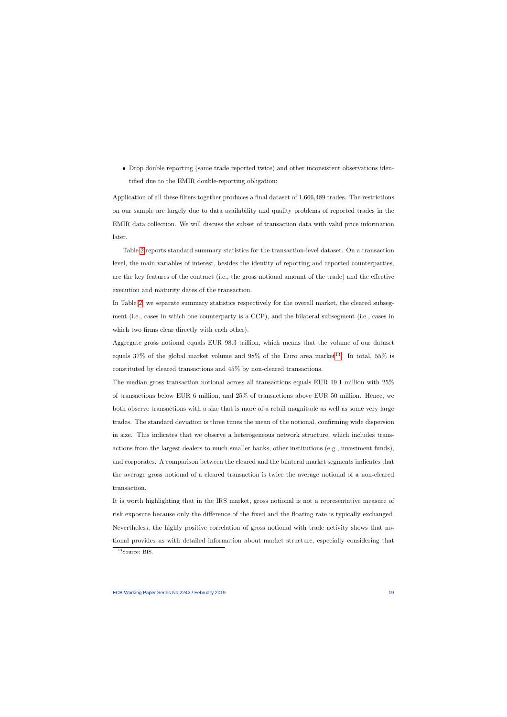• Drop double reporting (same trade reported twice) and other inconsistent observations identified due to the EMIR double-reporting obligation;

Application of all these filters together produces a final dataset of 1,666,489 trades. The restrictions on our sample are largely due to data availability and quality problems of reported trades in the EMIR data collection. We will discuss the subset of transaction data with valid price information later.

Table [2](#page-46-0) reports standard summary statistics for the transaction-level dataset. On a transaction level, the main variables of interest, besides the identity of reporting and reported counterparties, are the key features of the contract (i.e., the gross notional amount of the trade) and the effective execution and maturity dates of the transaction.

In Table [2,](#page-46-0) we separate summary statistics respectively for the overall market, the cleared subsegment (i.e., cases in which one counterparty is a CCP), and the bilateral subsegment (i.e., cases in which two firms clear directly with each other).

Aggregate gross notional equals EUR 98.3 trillion, which means that the volume of our dataset equals 37% of the global market volume and 98% of the Euro area market<sup>[13](#page-19-0)</sup>. In total, 55% is constituted by cleared transactions and 45% by non-cleared transactions.

The median gross transaction notional across all transactions equals EUR 19.1 million with 25% of transactions below EUR 6 million, and 25% of transactions above EUR 50 million. Hence, we both observe transactions with a size that is more of a retail magnitude as well as some very large trades. The standard deviation is three times the mean of the notional, confirming wide dispersion in size. This indicates that we observe a heterogeneous network structure, which includes transactions from the largest dealers to much smaller banks, other institutions (e.g., investment funds), and corporates. A comparison between the cleared and the bilateral market segments indicates that the average gross notional of a cleared transaction is twice the average notional of a non-cleared transaction.

It is worth highlighting that in the IRS market, gross notional is not a representative measure of risk exposure because only the difference of the fixed and the floating rate is typically exchanged. Nevertheless, the highly positive correlation of gross notional with trade activity shows that notional provides us with detailed information about market structure, especially considering that

<span id="page-19-0"></span><sup>&</sup>lt;sup>13</sup>Source: BIS.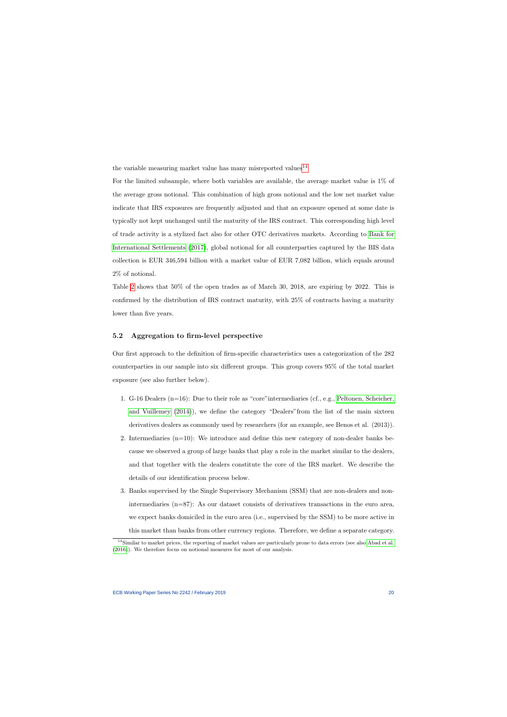the variable measuring market value has many misreported values<sup>[14](#page-20-0)</sup>

For the limited subsample, where both variables are available, the average market value is 1% of the average gross notional. This combination of high gross notional and the low net market value indicate that IRS exposures are frequently adjusted and that an exposure opened at some date is typically not kept unchanged until the maturity of the IRS contract. This corresponding high level of trade activity is a stylized fact also for other OTC derivatives markets. According to [Bank for](#page-41-0) [International Settlements](#page-41-0) [\(2017\)](#page-41-0), global notional for all counterparties captured by the BIS data collection is EUR 346,594 billion with a market value of EUR 7,082 billion, which equals around 2% of notional.

Table [2](#page-46-0) shows that 50% of the open trades as of March 30, 2018, are expiring by 2022. This is confirmed by the distribution of IRS contract maturity, with 25% of contracts having a maturity lower than five years.

## 5.2 Aggregation to firm-level perspective

Our first approach to the definition of firm-specific characteristics uses a categorization of the 282 counterparties in our sample into six different groups. This group covers 95% of the total market exposure (see also further below).

- 1. G-16 Dealers (n=16): Due to their role as "core"intermediaries (cf., e.g., [Peltonen, Scheicher,](#page-44-7) [and Vuillemey](#page-44-7) [\(2014\)](#page-44-7)), we define the category "Dealers"from the list of the main sixteen derivatives dealers as commonly used by researchers (for an example, see Benos et al. (2013)).
- 2. Intermediaries  $(n=10)$ : We introduce and define this new category of non-dealer banks because we observed a group of large banks that play a role in the market similar to the dealers, and that together with the dealers constitute the core of the IRS market. We describe the details of our identification process below.
- 3. Banks supervised by the Single Supervisory Mechanism (SSM) that are non-dealers and nonintermediaries (n=87): As our dataset consists of derivatives transactions in the euro area, we expect banks domiciled in the euro area (i.e., supervised by the SSM) to be more active in this market than banks from other currency regions. Therefore, we define a separate category.

<span id="page-20-0"></span> $14$ Similar to market prices, the reporting of market values are particularly prone to data errors (see also [Abad et al.](#page-41-1) [\(2016\)](#page-41-1)). We therefore focus on notional measures for most of our analysis.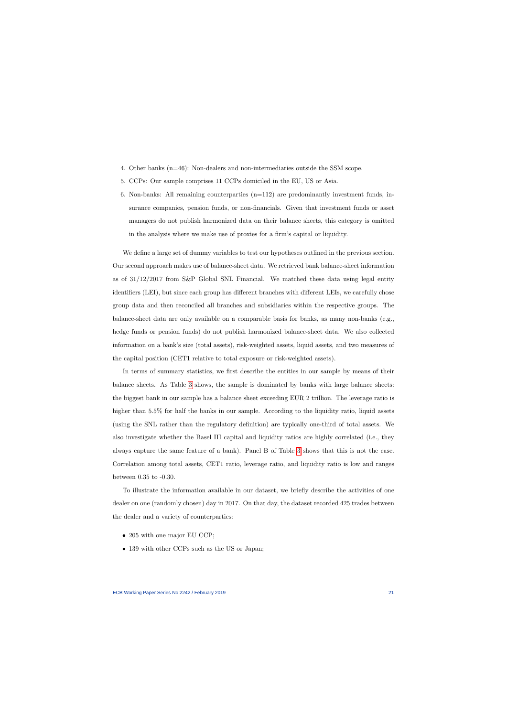- 4. Other banks (n=46): Non-dealers and non-intermediaries outside the SSM scope.
- 5. CCPs: Our sample comprises 11 CCPs domiciled in the EU, US or Asia.
- 6. Non-banks: All remaining counterparties  $(n=112)$  are predominantly investment funds, insurance companies, pension funds, or non-financials. Given that investment funds or asset managers do not publish harmonized data on their balance sheets, this category is omitted in the analysis where we make use of proxies for a firm's capital or liquidity.

We define a large set of dummy variables to test our hypotheses outlined in the previous section. Our second approach makes use of balance-sheet data. We retrieved bank balance-sheet information as of  $31/12/2017$  from S&P Global SNL Financial. We matched these data using legal entity identifiers (LEI), but since each group has different branches with different LEIs, we carefully chose group data and then reconciled all branches and subsidiaries within the respective groups. The balance-sheet data are only available on a comparable basis for banks, as many non-banks (e.g., hedge funds or pension funds) do not publish harmonized balance-sheet data. We also collected information on a bank's size (total assets), risk-weighted assets, liquid assets, and two measures of the capital position (CET1 relative to total exposure or risk-weighted assets).

In terms of summary statistics, we first describe the entities in our sample by means of their balance sheets. As Table [3](#page-47-0) shows, the sample is dominated by banks with large balance sheets: the biggest bank in our sample has a balance sheet exceeding EUR 2 trillion. The leverage ratio is higher than 5.5% for half the banks in our sample. According to the liquidity ratio, liquid assets (using the SNL rather than the regulatory definition) are typically one-third of total assets. We also investigate whether the Basel III capital and liquidity ratios are highly correlated (i.e., they always capture the same feature of a bank). Panel B of Table [3](#page-47-0) shows that this is not the case. Correlation among total assets, CET1 ratio, leverage ratio, and liquidity ratio is low and ranges between 0.35 to -0.30.

To illustrate the information available in our dataset, we briefly describe the activities of one dealer on one (randomly chosen) day in 2017. On that day, the dataset recorded 425 trades between the dealer and a variety of counterparties:

- 205 with one major EU CCP;
- 139 with other CCPs such as the US or Japan;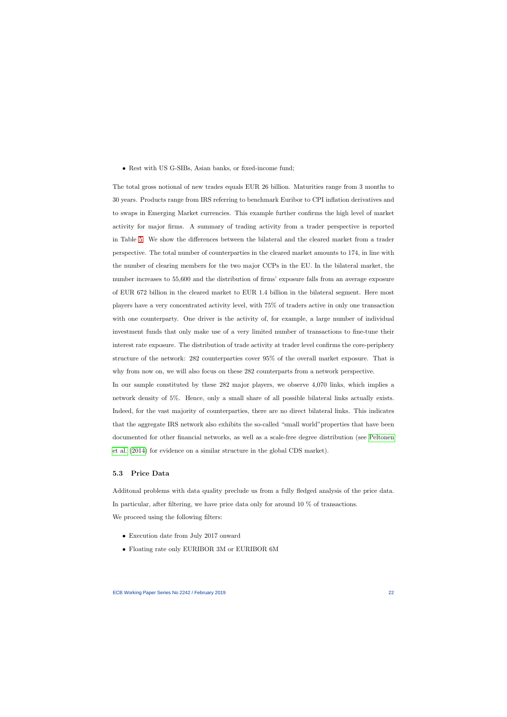• Rest with US G-SIBs, Asian banks, or fixed-income fund;

The total gross notional of new trades equals EUR 26 billion. Maturities range from 3 months to 30 years. Products range from IRS referring to benchmark Euribor to CPI inflation derivatives and to swaps in Emerging Market currencies. This example further confirms the high level of market activity for major firms. A summary of trading activity from a trader perspective is reported in Table [5.](#page-49-0) We show the differences between the bilateral and the cleared market from a trader perspective. The total number of counterparties in the cleared market amounts to 174, in line with the number of clearing members for the two major CCPs in the EU. In the bilateral market, the number increases to 55,600 and the distribution of firms' exposure falls from an average exposure of EUR 672 billion in the cleared market to EUR 1.4 billion in the bilateral segment. Here most players have a very concentrated activity level, with 75% of traders active in only one transaction with one counterparty. One driver is the activity of, for example, a large number of individual investment funds that only make use of a very limited number of transactions to fine-tune their interest rate exposure. The distribution of trade activity at trader level confirms the core-periphery structure of the network: 282 counterparties cover 95% of the overall market exposure. That is why from now on, we will also focus on these 282 counterparts from a network perspective.

In our sample constituted by these 282 major players, we observe 4,070 links, which implies a network density of 5%. Hence, only a small share of all possible bilateral links actually exists. Indeed, for the vast majority of counterparties, there are no direct bilateral links. This indicates that the aggregate IRS network also exhibits the so-called "small world"properties that have been documented for other financial networks, as well as a scale-free degree distribution (see [Peltonen](#page-44-7) [et al.](#page-44-7) [\(2014\)](#page-44-7) for evidence on a similar structure in the global CDS market).

### 5.3 Price Data

Additonal problems with data quality preclude us from a fully fledged analysis of the price data. In particular, after filtering, we have price data only for around 10 % of transactions. We proceed using the following filters:

- Execution date from July 2017 onward
- Floating rate only EURIBOR 3M or EURIBOR 6M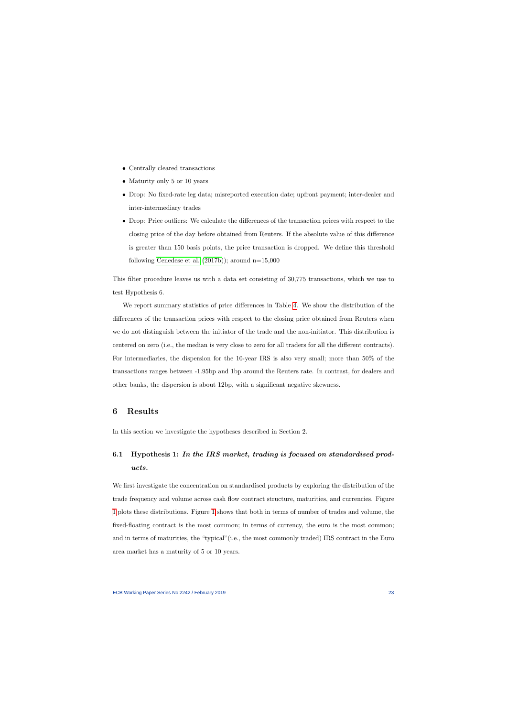- Centrally cleared transactions
- Maturity only 5 or 10 years
- Drop: No fixed-rate leg data; misreported execution date; upfront payment; inter-dealer and inter-intermediary trades
- Drop: Price outliers: We calculate the differences of the transaction prices with respect to the closing price of the day before obtained from Reuters. If the absolute value of this difference is greater than 150 basis points, the price transaction is dropped. We define this threshold following [Cenedese et al.](#page-42-2)  $(2017b)$ ; around n=15,000

This filter procedure leaves us with a data set consisting of 30,775 transactions, which we use to test Hypothesis 6.

We report summary statistics of price differences in Table [4.](#page-48-0) We show the distribution of the differences of the transaction prices with respect to the closing price obtained from Reuters when we do not distinguish between the initiator of the trade and the non-initiator. This distribution is centered on zero (i.e., the median is very close to zero for all traders for all the different contracts). For intermediaries, the dispersion for the 10-year IRS is also very small; more than 50% of the transactions ranges between -1.95bp and 1bp around the Reuters rate. In contrast, for dealers and other banks, the dispersion is about 12bp, with a significant negative skewness.

## 6 Results

In this section we investigate the hypotheses described in Section 2.

# 6.1 Hypothesis 1: In the IRS market, trading is focused on standardised products.

We first investigate the concentration on standardised products by exploring the distribution of the trade frequency and volume across cash flow contract structure, maturities, and currencies. Figure [1](#page-58-0) plots these distributions. Figure [1](#page-58-0) shows that both in terms of number of trades and volume, the fixed-floating contract is the most common; in terms of currency, the euro is the most common; and in terms of maturities, the "typical"(i.e., the most commonly traded) IRS contract in the Euro area market has a maturity of 5 or 10 years.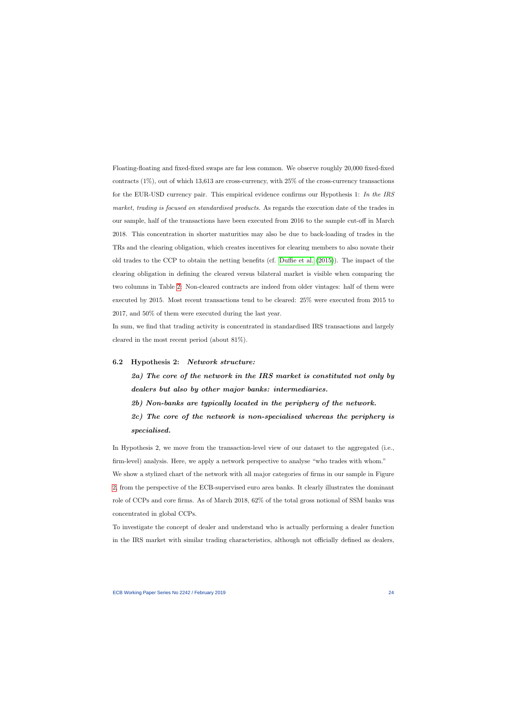Floating-floating and fixed-fixed swaps are far less common. We observe roughly 20,000 fixed-fixed contracts  $(1\%)$ , out of which 13,613 are cross-currency, with  $25\%$  of the cross-currency transactions for the EUR-USD currency pair. This empirical evidence confirms our Hypothesis 1: In the IRS market, trading is focused on standardised products. As regards the execution date of the trades in our sample, half of the transactions have been executed from 2016 to the sample cut-off in March 2018. This concentration in shorter maturities may also be due to back-loading of trades in the TRs and the clearing obligation, which creates incentives for clearing members to also novate their old trades to the CCP to obtain the netting benefits (cf. [Duffie et al.](#page-43-5) [\(2015\)](#page-43-5)). The impact of the clearing obligation in defining the cleared versus bilateral market is visible when comparing the two columns in Table [2:](#page-46-0) Non-cleared contracts are indeed from older vintages: half of them were executed by 2015. Most recent transactions tend to be cleared: 25% were executed from 2015 to 2017, and 50% of them were executed during the last year.

In sum, we find that trading activity is concentrated in standardised IRS transactions and largely cleared in the most recent period (about 81%).

## 6.2 Hypothesis 2: Network structure:

2a) The core of the network in the IRS market is constituted not only by dealers but also by other major banks: intermediaries.

2b) Non-banks are typically located in the periphery of the network.

2c) The core of the network is non-specialised whereas the periphery is specialised.

In Hypothesis 2, we move from the transaction-level view of our dataset to the aggregated (i.e., firm-level) analysis. Here, we apply a network perspective to analyse "who trades with whom." We show a stylized chart of the network with all major categories of firms in our sample in Figure [2,](#page-59-0) from the perspective of the ECB-supervised euro area banks. It clearly illustrates the dominant role of CCPs and core firms. As of March 2018, 62% of the total gross notional of SSM banks was concentrated in global CCPs.

To investigate the concept of dealer and understand who is actually performing a dealer function in the IRS market with similar trading characteristics, although not officially defined as dealers,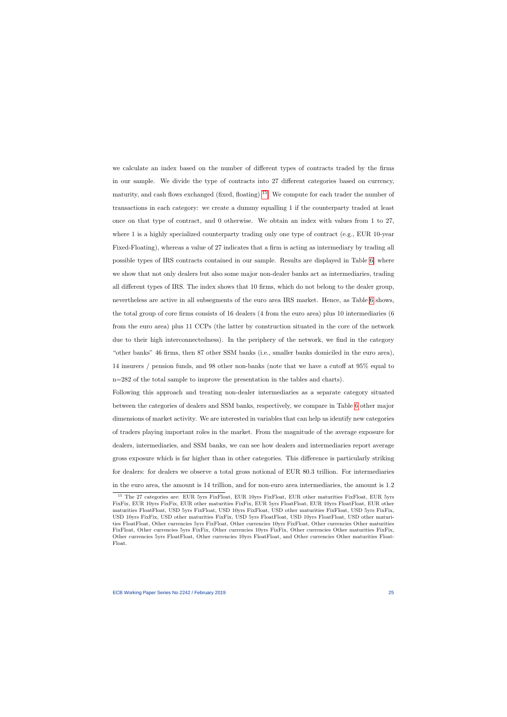we calculate an index based on the number of different types of contracts traded by the firms in our sample. We divide the type of contracts into 27 different categories based on currency, maturity, and cash flows exchanged (fixed, floating)  $^{15}$  $^{15}$  $^{15}$ . We compute for each trader the number of transactions in each category: we create a dummy equalling 1 if the counterparty traded at least once on that type of contract, and 0 otherwise. We obtain an index with values from 1 to 27, where 1 is a highly specialized counterparty trading only one type of contract (e.g., EUR 10-year Fixed-Floating), whereas a value of 27 indicates that a firm is acting as intermediary by trading all possible types of IRS contracts contained in our sample. Results are displayed in Table [6,](#page-50-0) where we show that not only dealers but also some major non-dealer banks act as intermediaries, trading all different types of IRS. The index shows that 10 firms, which do not belong to the dealer group, nevertheless are active in all subsegments of the euro area IRS market. Hence, as Table [6](#page-50-0) shows, the total group of core firms consists of 16 dealers (4 from the euro area) plus 10 intermediaries (6 from the euro area) plus 11 CCPs (the latter by construction situated in the core of the network due to their high interconnectedness). In the periphery of the network, we find in the category "other banks" 46 firms, then 87 other SSM banks (i.e., smaller banks domiciled in the euro area), 14 insurers / pension funds, and 98 other non-banks (note that we have a cutoff at 95% equal to n=282 of the total sample to improve the presentation in the tables and charts).

Following this approach and treating non-dealer intermediaries as a separate category situated between the categories of dealers and SSM banks, respectively, we compare in Table [6](#page-50-0) other major dimensions of market activity. We are interested in variables that can help us identify new categories of traders playing important roles in the market. From the magnitude of the average exposure for dealers, intermediaries, and SSM banks, we can see how dealers and intermediaries report average gross exposure which is far higher than in other categories. This difference is particularly striking for dealers: for dealers we observe a total gross notional of EUR 80.3 trillion. For intermediaries in the euro area, the amount is 14 trillion, and for non-euro area intermediaries, the amount is 1.2

<span id="page-25-0"></span><sup>&</sup>lt;sup>15</sup> The 27 categories are: EUR 5yrs FixFloat, EUR 10yrs FixFloat, EUR other maturities FixFloat, EUR 5yrs FixFix, EUR 10yrs FixFix, EUR other maturities FixFix, EUR 5yrs FloatFloat, EUR 10yrs FloatFloat, EUR other maturities FloatFloat, USD 5yrs FixFloat, USD 10yrs FixFloat, USD other maturities FixFloat, USD 5yrs FixFix, USD 10yrs FixFix, USD other maturities FixFix, USD 5yrs FloatFloat, USD 10yrs FloatFloat, USD other maturities FloatFloat, Other currencies 5yrs FixFloat, Other currencies 10yrs FixFloat, Other currencies Other maturities FixFloat, Other currencies 5yrs FixFix, Other currencies 10yrs FixFix, Other currencies Other maturities FixFix, Other currencies 5yrs FloatFloat, Other currencies 10yrs FloatFloat, and Other currencies Other maturities Float-Float.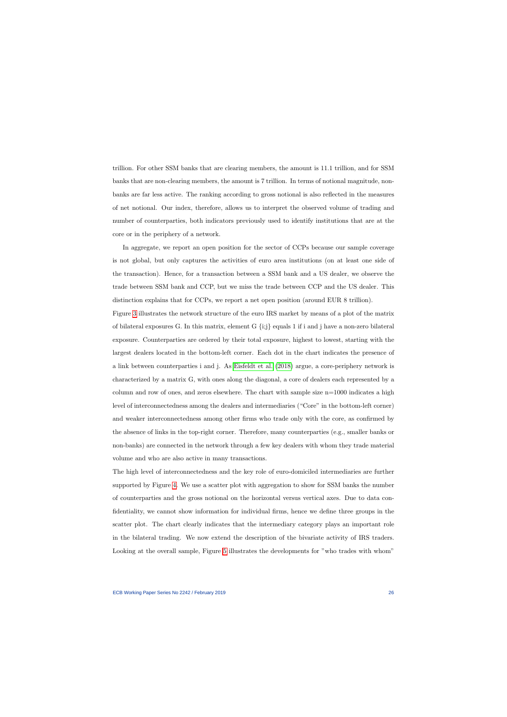trillion. For other SSM banks that are clearing members, the amount is 11.1 trillion, and for SSM banks that are non-clearing members, the amount is 7 trillion. In terms of notional magnitude, nonbanks are far less active. The ranking according to gross notional is also reflected in the measures of net notional. Our index, therefore, allows us to interpret the observed volume of trading and number of counterparties, both indicators previously used to identify institutions that are at the core or in the periphery of a network.

In aggregate, we report an open position for the sector of CCPs because our sample coverage is not global, but only captures the activities of euro area institutions (on at least one side of the transaction). Hence, for a transaction between a SSM bank and a US dealer, we observe the trade between SSM bank and CCP, but we miss the trade between CCP and the US dealer. This distinction explains that for CCPs, we report a net open position (around EUR 8 trillion).

Figure [3](#page-60-0) illustrates the network structure of the euro IRS market by means of a plot of the matrix of bilateral exposures G. In this matrix, element G {i;j} equals 1 if i and j have a non-zero bilateral exposure. Counterparties are ordered by their total exposure, highest to lowest, starting with the largest dealers located in the bottom-left corner. Each dot in the chart indicates the presence of a link between counterparties i and j. As [Eisfeldt et al.](#page-43-7) [\(2018\)](#page-43-7) argue, a core-periphery network is characterized by a matrix G, with ones along the diagonal, a core of dealers each represented by a column and row of ones, and zeros elsewhere. The chart with sample size  $n=1000$  indicates a high level of interconnectedness among the dealers and intermediaries ("Core" in the bottom-left corner) and weaker interconnectedness among other firms who trade only with the core, as confirmed by the absence of links in the top-right corner. Therefore, many counterparties (e.g., smaller banks or non-banks) are connected in the network through a few key dealers with whom they trade material volume and who are also active in many transactions.

The high level of interconnectedness and the key role of euro-domiciled intermediaries are further supported by Figure [4.](#page-61-0) We use a scatter plot with aggregation to show for SSM banks the number of counterparties and the gross notional on the horizontal versus vertical axes. Due to data confidentiality, we cannot show information for individual firms, hence we define three groups in the scatter plot. The chart clearly indicates that the intermediary category plays an important role in the bilateral trading. We now extend the description of the bivariate activity of IRS traders. Looking at the overall sample, Figure [5](#page-62-0) illustrates the developments for "who trades with whom"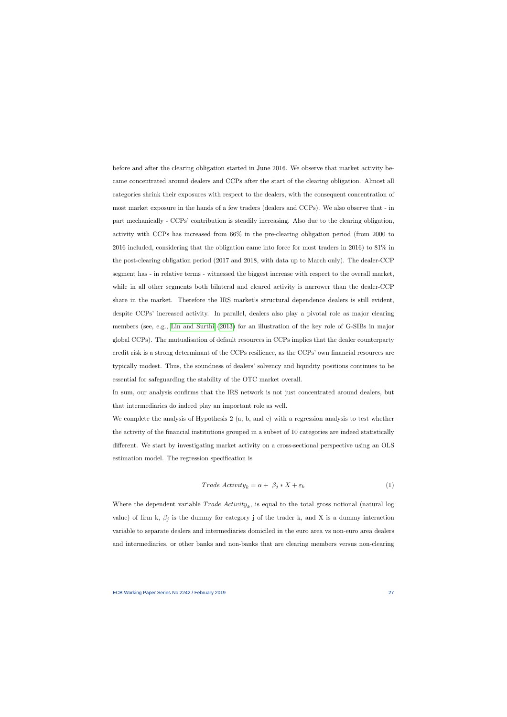before and after the clearing obligation started in June 2016. We observe that market activity became concentrated around dealers and CCPs after the start of the clearing obligation. Almost all categories shrink their exposures with respect to the dealers, with the consequent concentration of most market exposure in the hands of a few traders (dealers and CCPs). We also observe that - in part mechanically - CCPs' contribution is steadily increasing. Also due to the clearing obligation, activity with CCPs has increased from 66% in the pre-clearing obligation period (from 2000 to 2016 included, considering that the obligation came into force for most traders in 2016) to 81% in the post-clearing obligation period (2017 and 2018, with data up to March only). The dealer-CCP segment has - in relative terms - witnessed the biggest increase with respect to the overall market, while in all other segments both bilateral and cleared activity is narrower than the dealer-CCP share in the market. Therefore the IRS market's structural dependence dealers is still evident, despite CCPs' increased activity. In parallel, dealers also play a pivotal role as major clearing members (see, e.g., [Lin and Surthi](#page-44-8) [\(2013\)](#page-44-8) for an illustration of the key role of G-SIBs in major global CCPs). The mutualisation of default resources in CCPs implies that the dealer counterparty credit risk is a strong determinant of the CCPs resilience, as the CCPs' own financial resources are typically modest. Thus, the soundness of dealers' solvency and liquidity positions continues to be essential for safeguarding the stability of the OTC market overall.

In sum, our analysis confirms that the IRS network is not just concentrated around dealers, but that intermediaries do indeed play an important role as well.

We complete the analysis of Hypothesis 2 (a, b, and c) with a regression analysis to test whether the activity of the financial institutions grouped in a subset of 10 categories are indeed statistically different. We start by investigating market activity on a cross-sectional perspective using an OLS estimation model. The regression specification is

$$
Trade \; Activity_k = \alpha + \beta_j * X + \varepsilon_k \tag{1}
$$

Where the dependent variable  $Trade \; Activeity_k$ , is equal to the total gross notional (natural log value) of firm k,  $\beta_j$  is the dummy for category j of the trader k, and X is a dummy interaction variable to separate dealers and intermediaries domiciled in the euro area vs non-euro area dealers and intermediaries, or other banks and non-banks that are clearing members versus non-clearing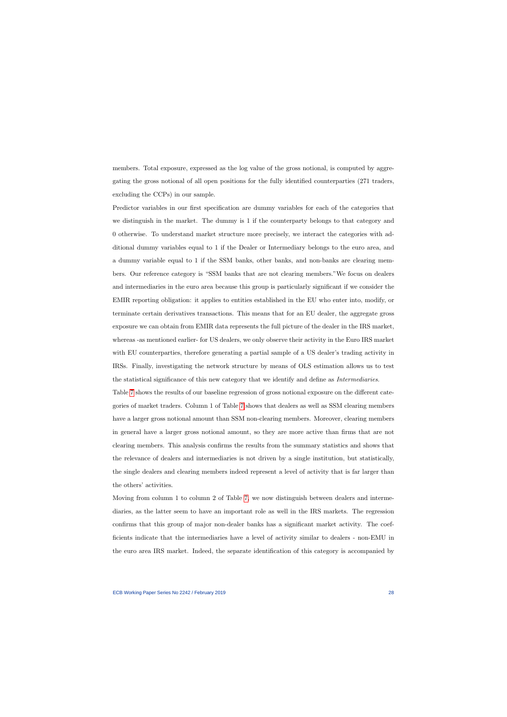members. Total exposure, expressed as the log value of the gross notional, is computed by aggregating the gross notional of all open positions for the fully identified counterparties (271 traders, excluding the CCPs) in our sample.

Predictor variables in our first specification are dummy variables for each of the categories that we distinguish in the market. The dummy is 1 if the counterparty belongs to that category and 0 otherwise. To understand market structure more precisely, we interact the categories with additional dummy variables equal to 1 if the Dealer or Intermediary belongs to the euro area, and a dummy variable equal to 1 if the SSM banks, other banks, and non-banks are clearing members. Our reference category is "SSM banks that are not clearing members."We focus on dealers and intermediaries in the euro area because this group is particularly significant if we consider the EMIR reporting obligation: it applies to entities established in the EU who enter into, modify, or terminate certain derivatives transactions. This means that for an EU dealer, the aggregate gross exposure we can obtain from EMIR data represents the full picture of the dealer in the IRS market, whereas -as mentioned earlier- for US dealers, we only observe their activity in the Euro IRS market with EU counterparties, therefore generating a partial sample of a US dealer's trading activity in IRSs. Finally, investigating the network structure by means of OLS estimation allows us to test the statistical significance of this new category that we identify and define as Intermediaries.

Table [7](#page-51-0) shows the results of our baseline regression of gross notional exposure on the different categories of market traders. Column 1 of Table [7](#page-51-0) shows that dealers as well as SSM clearing members have a larger gross notional amount than SSM non-clearing members. Moreover, clearing members in general have a larger gross notional amount, so they are more active than firms that are not clearing members. This analysis confirms the results from the summary statistics and shows that the relevance of dealers and intermediaries is not driven by a single institution, but statistically, the single dealers and clearing members indeed represent a level of activity that is far larger than the others' activities.

Moving from column 1 to column 2 of Table [7,](#page-51-0) we now distinguish between dealers and intermediaries, as the latter seem to have an important role as well in the IRS markets. The regression confirms that this group of major non-dealer banks has a significant market activity. The coefficients indicate that the intermediaries have a level of activity similar to dealers - non-EMU in the euro area IRS market. Indeed, the separate identification of this category is accompanied by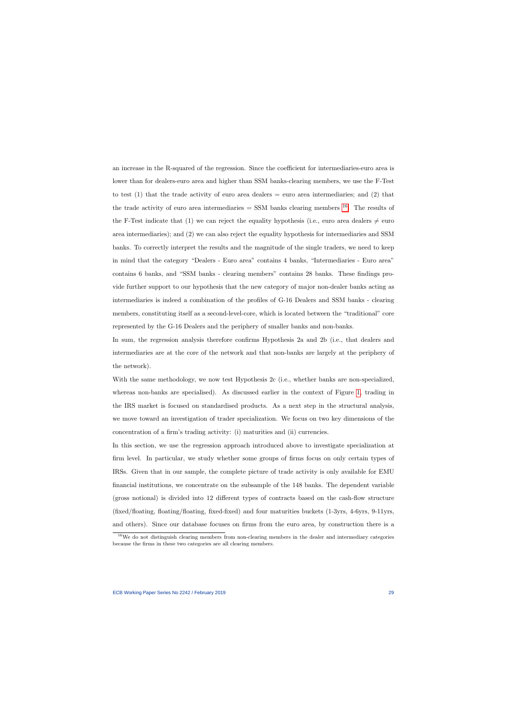an increase in the R-squared of the regression. Since the coefficient for intermediaries-euro area is lower than for dealers-euro area and higher than SSM banks-clearing members, we use the F-Test to test  $(1)$  that the trade activity of euro area dealers  $=$  euro area intermediaries; and  $(2)$  that the trade activity of euro area intermediaries  $=$  SSM banks clearing members  $^{16}$  $^{16}$  $^{16}$ . The results of the F-Test indicate that (1) we can reject the equality hypothesis (i.e., euro area dealers  $\neq$  euro area intermediaries); and (2) we can also reject the equality hypothesis for intermediaries and SSM banks. To correctly interpret the results and the magnitude of the single traders, we need to keep in mind that the category "Dealers - Euro area" contains 4 banks, "Intermediaries - Euro area" contains 6 banks, and "SSM banks - clearing members" contains 28 banks. These findings provide further support to our hypothesis that the new category of major non-dealer banks acting as intermediaries is indeed a combination of the profiles of G-16 Dealers and SSM banks - clearing members, constituting itself as a second-level-core, which is located between the "traditional" core represented by the G-16 Dealers and the periphery of smaller banks and non-banks.

In sum, the regression analysis therefore confirms Hypothesis 2a and 2b (i.e., that dealers and intermediaries are at the core of the network and that non-banks are largely at the periphery of the network).

With the same methodology, we now test Hypothesis 2c (i.e., whether banks are non-specialized, whereas non-banks are specialised). As discussed earlier in the context of Figure [1,](#page-58-0) trading in the IRS market is focused on standardised products. As a next step in the structural analysis, we move toward an investigation of trader specialization. We focus on two key dimensions of the concentration of a firm's trading activity: (i) maturities and (ii) currencies.

In this section, we use the regression approach introduced above to investigate specialization at firm level. In particular, we study whether some groups of firms focus on only certain types of IRSs. Given that in our sample, the complete picture of trade activity is only available for EMU financial institutions, we concentrate on the subsample of the 148 banks. The dependent variable (gross notional) is divided into 12 different types of contracts based on the cash-flow structure (fixed/floating, floating/floating, fixed-fixed) and four maturities buckets (1-3yrs, 4-6yrs, 9-11yrs, and others). Since our database focuses on firms from the euro area, by construction there is a

<span id="page-29-0"></span><sup>&</sup>lt;sup>16</sup>We do not distinguish clearing members from non-clearing members in the dealer and intermediary categories because the firms in these two categories are all clearing members.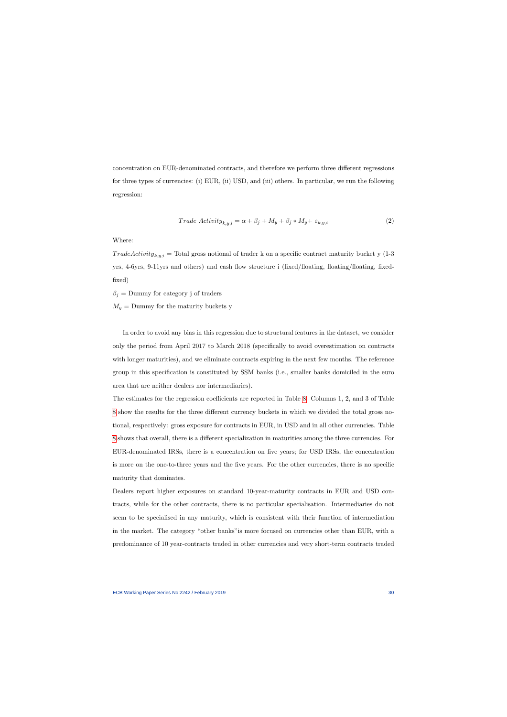concentration on EUR-denominated contracts, and therefore we perform three different regressions for three types of currencies: (i) EUR, (ii) USD, and (iii) others. In particular, we run the following regression:

$$
Trade \; Activity_{k,y,i} = \alpha + \beta_j + M_y + \beta_j * M_y + \varepsilon_{k,y,i}
$$
\n
$$
(2)
$$

Where:

 $TradeActivity_{k,y,i} = Total gross notional of tradeer k on a specific contract maturity bucket y (1-3)$ yrs, 4-6yrs, 9-11yrs and others) and cash flow structure i (fixed/floating, floating/floating, fixedfixed)

 $\beta_j$  = Dummy for category j of traders

 $M_y =$  Dummy for the maturity buckets y

In order to avoid any bias in this regression due to structural features in the dataset, we consider only the period from April 2017 to March 2018 (specifically to avoid overestimation on contracts with longer maturities), and we eliminate contracts expiring in the next few months. The reference group in this specification is constituted by SSM banks (i.e., smaller banks domiciled in the euro area that are neither dealers nor intermediaries).

The estimates for the regression coefficients are reported in Table [8.](#page-52-0) Columns 1, 2, and 3 of Table [8](#page-52-0) show the results for the three different currency buckets in which we divided the total gross notional, respectively: gross exposure for contracts in EUR, in USD and in all other currencies. Table [8](#page-52-0) shows that overall, there is a different specialization in maturities among the three currencies. For EUR-denominated IRSs, there is a concentration on five years; for USD IRSs, the concentration is more on the one-to-three years and the five years. For the other currencies, there is no specific maturity that dominates.

Dealers report higher exposures on standard 10-year-maturity contracts in EUR and USD contracts, while for the other contracts, there is no particular specialisation. Intermediaries do not seem to be specialised in any maturity, which is consistent with their function of intermediation in the market. The category "other banks"is more focused on currencies other than EUR, with a predominance of 10 year-contracts traded in other currencies and very short-term contracts traded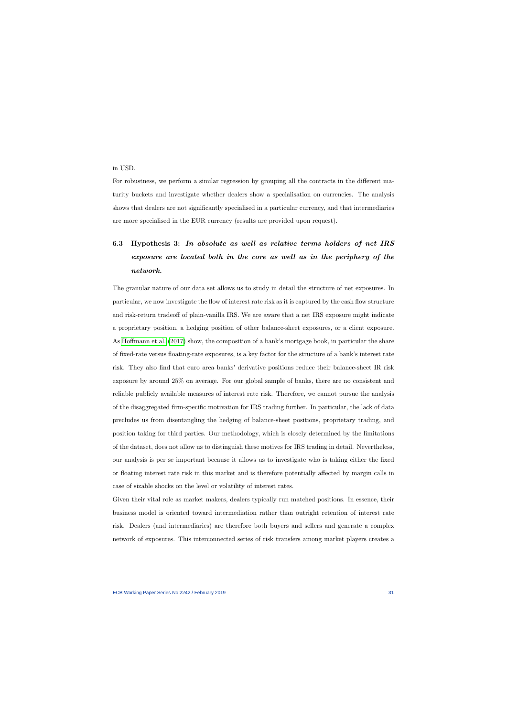in USD.

For robustness, we perform a similar regression by grouping all the contracts in the different maturity buckets and investigate whether dealers show a specialisation on currencies. The analysis shows that dealers are not significantly specialised in a particular currency, and that intermediaries are more specialised in the EUR currency (results are provided upon request).

# 6.3 Hypothesis 3: In absolute as well as relative terms holders of net IRS exposure are located both in the core as well as in the periphery of the network.

The granular nature of our data set allows us to study in detail the structure of net exposures. In particular, we now investigate the flow of interest rate risk as it is captured by the cash flow structure and risk-return tradeoff of plain-vanilla IRS. We are aware that a net IRS exposure might indicate a proprietary position, a hedging position of other balance-sheet exposures, or a client exposure. As [Hoffmann et al.](#page-43-4) [\(2017\)](#page-43-4) show, the composition of a bank's mortgage book, in particular the share of fixed-rate versus floating-rate exposures, is a key factor for the structure of a bank's interest rate risk. They also find that euro area banks' derivative positions reduce their balance-sheet IR risk exposure by around 25% on average. For our global sample of banks, there are no consistent and reliable publicly available measures of interest rate risk. Therefore, we cannot pursue the analysis of the disaggregated firm-specific motivation for IRS trading further. In particular, the lack of data precludes us from disentangling the hedging of balance-sheet positions, proprietary trading, and position taking for third parties. Our methodology, which is closely determined by the limitations of the dataset, does not allow us to distinguish these motives for IRS trading in detail. Nevertheless, our analysis is per se important because it allows us to investigate who is taking either the fixed or floating interest rate risk in this market and is therefore potentially affected by margin calls in case of sizable shocks on the level or volatility of interest rates.

Given their vital role as market makers, dealers typically run matched positions. In essence, their business model is oriented toward intermediation rather than outright retention of interest rate risk. Dealers (and intermediaries) are therefore both buyers and sellers and generate a complex network of exposures. This interconnected series of risk transfers among market players creates a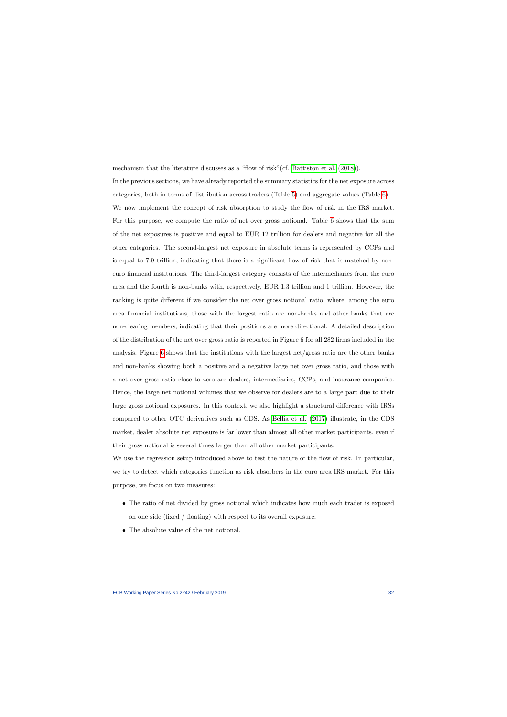mechanism that the literature discusses as a "flow of risk"(cf. [Battiston et al.](#page-41-4) [\(2018\)](#page-41-4)).

In the previous sections, we have already reported the summary statistics for the net exposure across categories, both in terms of distribution across traders (Table [5\)](#page-49-0) and aggregate values (Table [6\)](#page-50-0). We now implement the concept of risk absorption to study the flow of risk in the IRS market. For this purpose, we compute the ratio of net over gross notional. Table [6](#page-50-0) shows that the sum of the net exposures is positive and equal to EUR 12 trillion for dealers and negative for all the other categories. The second-largest net exposure in absolute terms is represented by CCPs and is equal to 7.9 trillion, indicating that there is a significant flow of risk that is matched by noneuro financial institutions. The third-largest category consists of the intermediaries from the euro area and the fourth is non-banks with, respectively, EUR 1.3 trillion and 1 trillion. However, the ranking is quite different if we consider the net over gross notional ratio, where, among the euro area financial institutions, those with the largest ratio are non-banks and other banks that are non-clearing members, indicating that their positions are more directional. A detailed description of the distribution of the net over gross ratio is reported in Figure [6](#page-63-0) for all 282 firms included in the analysis. Figure [6](#page-63-0) shows that the institutions with the largest net/gross ratio are the other banks and non-banks showing both a positive and a negative large net over gross ratio, and those with a net over gross ratio close to zero are dealers, intermediaries, CCPs, and insurance companies. Hence, the large net notional volumes that we observe for dealers are to a large part due to their large gross notional exposures. In this context, we also highlight a structural difference with IRSs compared to other OTC derivatives such as CDS. As [Bellia et al.](#page-41-2) [\(2017\)](#page-41-2) illustrate, in the CDS market, dealer absolute net exposure is far lower than almost all other market participants, even if their gross notional is several times larger than all other market participants.

We use the regression setup introduced above to test the nature of the flow of risk. In particular, we try to detect which categories function as risk absorbers in the euro area IRS market. For this purpose, we focus on two measures:

- The ratio of net divided by gross notional which indicates how much each trader is exposed on one side (fixed / floating) with respect to its overall exposure;
- The absolute value of the net notional.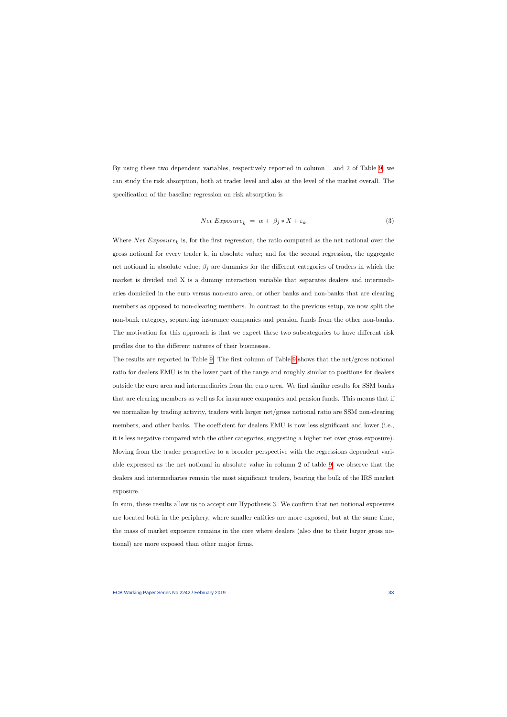By using these two dependent variables, respectively reported in column 1 and 2 of Table [9,](#page-53-0) we can study the risk absorption, both at trader level and also at the level of the market overall. The specification of the baseline regression on risk absorption is

$$
Net\,\,Exposure_k = \alpha + \beta_j * X + \varepsilon_k \tag{3}
$$

Where Net  $Exposure_k$  is, for the first regression, the ratio computed as the net notional over the gross notional for every trader k, in absolute value; and for the second regression, the aggregate net notional in absolute value;  $\beta_i$  are dummies for the different categories of traders in which the market is divided and X is a dummy interaction variable that separates dealers and intermediaries domiciled in the euro versus non-euro area, or other banks and non-banks that are clearing members as opposed to non-clearing members. In contrast to the previous setup, we now split the non-bank category, separating insurance companies and pension funds from the other non-banks. The motivation for this approach is that we expect these two subcategories to have different risk profiles due to the different natures of their businesses.

The results are reported in Table [9.](#page-53-0) The first column of Table [9](#page-53-0) shows that the net/gross notional ratio for dealers EMU is in the lower part of the range and roughly similar to positions for dealers outside the euro area and intermediaries from the euro area. We find similar results for SSM banks that are clearing members as well as for insurance companies and pension funds. This means that if we normalize by trading activity, traders with larger net/gross notional ratio are SSM non-clearing members, and other banks. The coefficient for dealers EMU is now less significant and lower (i.e., it is less negative compared with the other categories, suggesting a higher net over gross exposure). Moving from the trader perspective to a broader perspective with the regressions dependent variable expressed as the net notional in absolute value in column 2 of table [9,](#page-53-0) we observe that the dealers and intermediaries remain the most significant traders, bearing the bulk of the IRS market exposure.

In sum, these results allow us to accept our Hypothesis 3. We confirm that net notional exposures are located both in the periphery, where smaller entities are more exposed, but at the same time, the mass of market exposure remains in the core where dealers (also due to their larger gross notional) are more exposed than other major firms.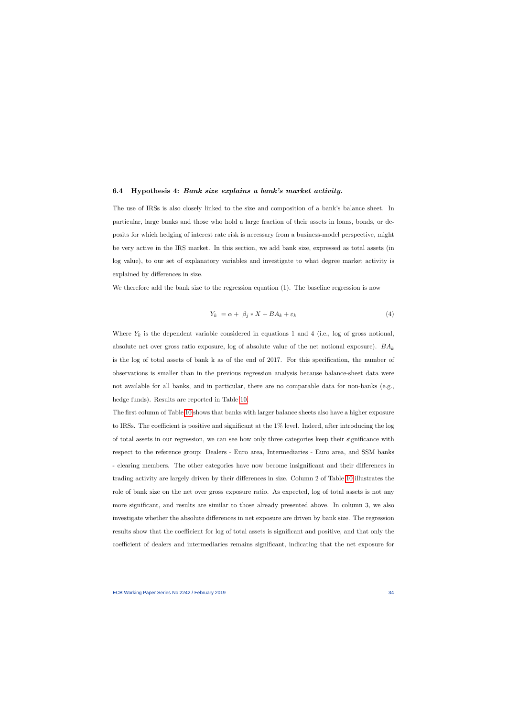## 6.4 Hypothesis 4: Bank size explains a bank's market activity.

The use of IRSs is also closely linked to the size and composition of a bank's balance sheet. In particular, large banks and those who hold a large fraction of their assets in loans, bonds, or deposits for which hedging of interest rate risk is necessary from a business-model perspective, might be very active in the IRS market. In this section, we add bank size, expressed as total assets (in log value), to our set of explanatory variables and investigate to what degree market activity is explained by differences in size.

We therefore add the bank size to the regression equation (1). The baseline regression is now

$$
Y_k = \alpha + \beta_j * X + BA_k + \varepsilon_k \tag{4}
$$

Where  $Y_k$  is the dependent variable considered in equations 1 and 4 (i.e., log of gross notional, absolute net over gross ratio exposure, log of absolute value of the net notional exposure).  $BA_k$ is the log of total assets of bank k as of the end of 2017. For this specification, the number of observations is smaller than in the previous regression analysis because balance-sheet data were not available for all banks, and in particular, there are no comparable data for non-banks (e.g., hedge funds). Results are reported in Table [10.](#page-54-0)

The first column of Table [10](#page-54-0) shows that banks with larger balance sheets also have a higher exposure to IRSs. The coefficient is positive and significant at the 1% level. Indeed, after introducing the log of total assets in our regression, we can see how only three categories keep their significance with respect to the reference group: Dealers - Euro area, Intermediaries - Euro area, and SSM banks - clearing members. The other categories have now become insignificant and their differences in trading activity are largely driven by their differences in size. Column 2 of Table [10](#page-54-0) illustrates the role of bank size on the net over gross exposure ratio. As expected, log of total assets is not any more significant, and results are similar to those already presented above. In column 3, we also investigate whether the absolute differences in net exposure are driven by bank size. The regression results show that the coefficient for log of total assets is significant and positive, and that only the coefficient of dealers and intermediaries remains significant, indicating that the net exposure for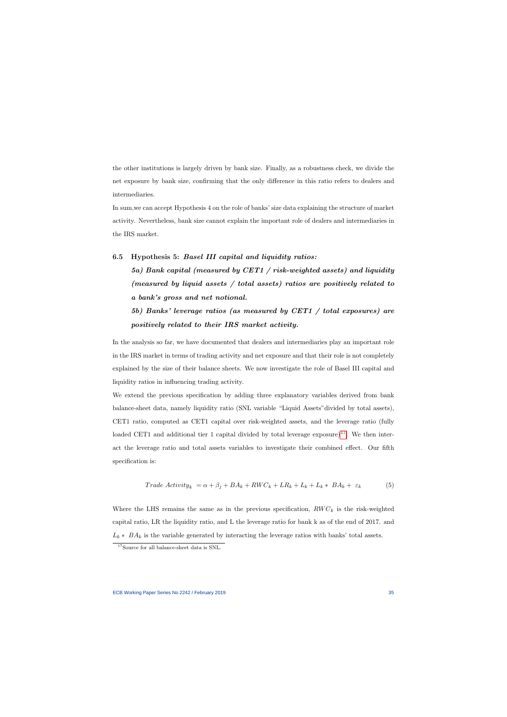the other institutions is largely driven by bank size. Finally, as a robustness check, we divide the net exposure by bank size, confirming that the only difference in this ratio refers to dealers and intermediaries.

In sum,we can accept Hypothesis 4 on the role of banks' size data explaining the structure of market activity. Nevertheless, bank size cannot explain the important role of dealers and intermediaries in the IRS market.

## 6.5 Hypothesis 5: Basel III capital and liquidity ratios:

5a) Bank capital (measured by CET1 / risk-weighted assets) and liquidity (measured by liquid assets / total assets) ratios are positively related to a bank's gross and net notional.

# 5b) Banks' leverage ratios (as measured by CET1 / total exposures) are positively related to their IRS market activity.

In the analysis so far, we have documented that dealers and intermediaries play an important role in the IRS market in terms of trading activity and net exposure and that their role is not completely explained by the size of their balance sheets. We now investigate the role of Basel III capital and liquidity ratios in influencing trading activity.

We extend the previous specification by adding three explanatory variables derived from bank balance-sheet data, namely liquidity ratio (SNL variable "Liquid Assets"divided by total assets), CET1 ratio, computed as CET1 capital over risk-weighted assets, and the leverage ratio (fully loaded CET1 and additional tier 1 capital divided by total leverage exposure)<sup>[17](#page-35-0)</sup>. We then interact the leverage ratio and total assets variables to investigate their combined effect. Our fifth specification is:

$$
Trade \; Activity_k = \alpha + \beta_j + BA_k + RWC_k + LR_k + L_k + L_k * BA_k + \varepsilon_k \tag{5}
$$

Where the LHS remains the same as in the previous specification,  $RWC_k$  is the risk-weighted capital ratio, LR the liquidity ratio, and L the leverage ratio for bank k as of the end of 2017. and  $L_k * BA_k$  is the variable generated by interacting the leverage ratios with banks' total assets.

<span id="page-35-0"></span><sup>17</sup>Source for all balance-sheet data is SNL.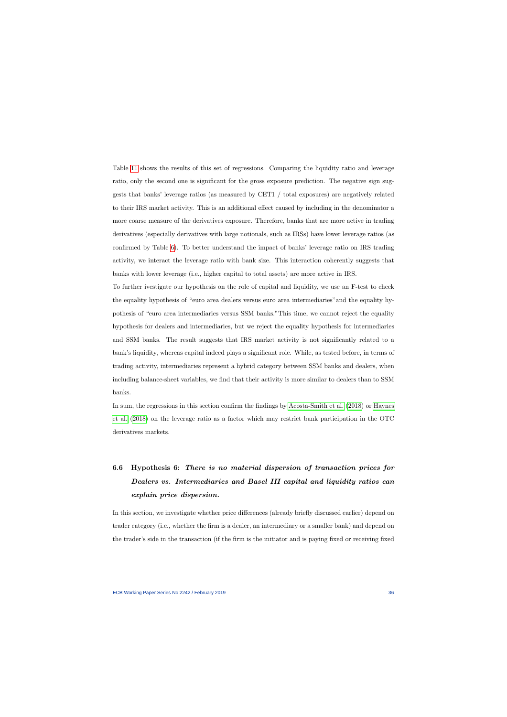Table [11](#page-55-0) shows the results of this set of regressions. Comparing the liquidity ratio and leverage ratio, only the second one is significant for the gross exposure prediction. The negative sign suggests that banks' leverage ratios (as measured by CET1 / total exposures) are negatively related to their IRS market activity. This is an additional effect caused by including in the denominator a more coarse measure of the derivatives exposure. Therefore, banks that are more active in trading derivatives (especially derivatives with large notionals, such as IRSs) have lower leverage ratios (as confirmed by Table [6\)](#page-50-0). To better understand the impact of banks' leverage ratio on IRS trading activity, we interact the leverage ratio with bank size. This interaction coherently suggests that banks with lower leverage (i.e., higher capital to total assets) are more active in IRS.

To further ivestigate our hypothesis on the role of capital and liquidity, we use an F-test to check the equality hypothesis of "euro area dealers versus euro area intermediaries"and the equality hypothesis of "euro area intermediaries versus SSM banks."This time, we cannot reject the equality hypothesis for dealers and intermediaries, but we reject the equality hypothesis for intermediaries and SSM banks. The result suggests that IRS market activity is not significantly related to a bank's liquidity, whereas capital indeed plays a significant role. While, as tested before, in terms of trading activity, intermediaries represent a hybrid category between SSM banks and dealers, when including balance-sheet variables, we find that their activity is more similar to dealers than to SSM banks.

In sum, the regressions in this section confirm the findings by [Acosta-Smith et al.](#page-41-9) [\(2018\)](#page-41-9) or [Haynes](#page-43-1) [et al.](#page-43-1) [\(2018\)](#page-43-1) on the leverage ratio as a factor which may restrict bank participation in the OTC derivatives markets.

# 6.6 Hypothesis 6: There is no material dispersion of transaction prices for Dealers vs. Intermediaries and Basel III capital and liquidity ratios can explain price dispersion.

In this section, we investigate whether price differences (already briefly discussed earlier) depend on trader category (i.e., whether the firm is a dealer, an intermediary or a smaller bank) and depend on the trader's side in the transaction (if the firm is the initiator and is paying fixed or receiving fixed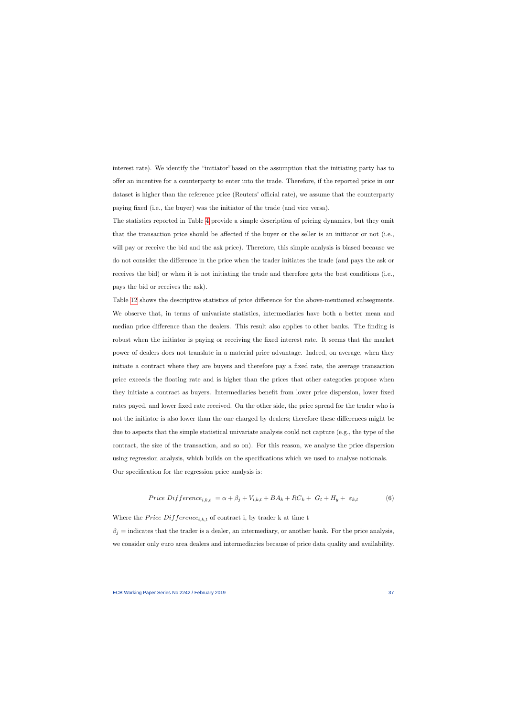interest rate). We identify the "initiator"based on the assumption that the initiating party has to offer an incentive for a counterparty to enter into the trade. Therefore, if the reported price in our dataset is higher than the reference price (Reuters' official rate), we assume that the counterparty paying fixed (i.e., the buyer) was the initiator of the trade (and vice versa).

The statistics reported in Table [4](#page-48-0) provide a simple description of pricing dynamics, but they omit that the transaction price should be affected if the buyer or the seller is an initiator or not (i.e., will pay or receive the bid and the ask price). Therefore, this simple analysis is biased because we do not consider the difference in the price when the trader initiates the trade (and pays the ask or receives the bid) or when it is not initiating the trade and therefore gets the best conditions (i.e., pays the bid or receives the ask).

Table [12](#page-56-0) shows the descriptive statistics of price difference for the above-mentioned subsegments. We observe that, in terms of univariate statistics, intermediaries have both a better mean and median price difference than the dealers. This result also applies to other banks. The finding is robust when the initiator is paying or receiving the fixed interest rate. It seems that the market power of dealers does not translate in a material price advantage. Indeed, on average, when they initiate a contract where they are buyers and therefore pay a fixed rate, the average transaction price exceeds the floating rate and is higher than the prices that other categories propose when they initiate a contract as buyers. Intermediaries benefit from lower price dispersion, lower fixed rates payed, and lower fixed rate received. On the other side, the price spread for the trader who is not the initiator is also lower than the one charged by dealers; therefore these differences might be due to aspects that the simple statistical univariate analysis could not capture (e.g., the type of the contract, the size of the transaction, and so on). For this reason, we analyse the price dispersion using regression analysis, which builds on the specifications which we used to analyse notionals. Our specification for the regression price analysis is:

$$
Price\ Diffference_{i,k,t} = \alpha + \beta_j + V_{i,k,t} + BA_k + RC_k + G_t + H_y + \varepsilon_{k,t}
$$
\n
$$
(6)
$$

Where the Price  $Difference_{i,k,t}$  of contract i, by trader k at time t

<span id="page-37-0"></span> $\beta_i$  = indicates that the trader is a dealer, an intermediary, or another bank. For the price analysis, we consider only euro area dealers and intermediaries because of price data quality and availability.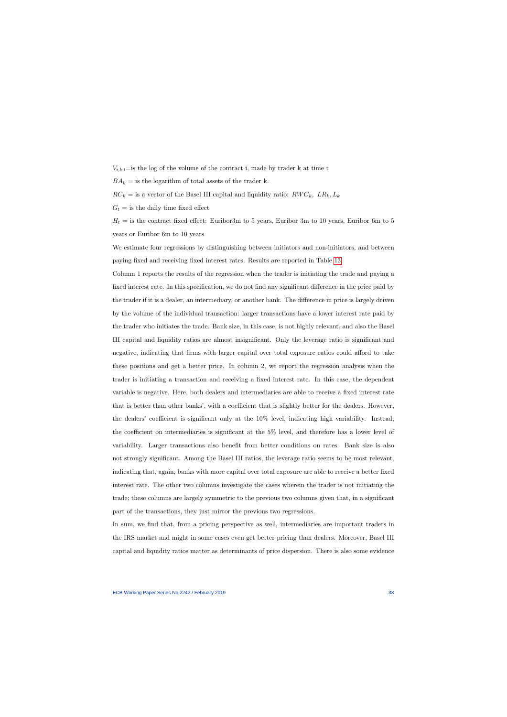$V_{i,k,t}$ =is the log of the volume of the contract i, made by trader k at time t

 $BA_k =$  is the logarithm of total assets of the trader k.

 $RC_k =$  is a vector of the Basel III capital and liquidity ratio:  $RWC_k$ ,  $LR_k, L_k$ 

 $G_t =$  is the daily time fixed effect

 $H_t =$  is the contract fixed effect: Euribor3m to 5 years, Euribor 3m to 10 years, Euribor 6m to 5 years or Euribor 6m to 10 years

We estimate four regressions by distinguishing between initiators and non-initiators, and between paying fixed and receiving fixed interest rates. Results are reported in Table [13.](#page-57-0)

Column 1 reports the results of the regression when the trader is initiating the trade and paying a fixed interest rate. In this specification, we do not find any significant difference in the price paid by the trader if it is a dealer, an intermediary, or another bank. The difference in price is largely driven by the volume of the individual transaction: larger transactions have a lower interest rate paid by the trader who initiates the trade. Bank size, in this case, is not highly relevant, and also the Basel III capital and liquidity ratios are almost insignificant. Only the leverage ratio is significant and negative, indicating that firms with larger capital over total exposure ratios could afford to take these positions and get a better price. In column 2, we report the regression analysis when the trader is initiating a transaction and receiving a fixed interest rate. In this case, the dependent variable is negative. Here, both dealers and intermediaries are able to receive a fixed interest rate that is better than other banks', with a coefficient that is slightly better for the dealers. However, the dealers' coefficient is significant only at the 10% level, indicating high variability. Instead, the coefficient on intermediaries is significant at the 5% level, and therefore has a lower level of variability. Larger transactions also benefit from better conditions on rates. Bank size is also not strongly significant. Among the Basel III ratios, the leverage ratio seems to be most relevant, indicating that, again, banks with more capital over total exposure are able to receive a better fixed interest rate. The other two columns investigate the cases wherein the trader is not initiating the trade; these columns are largely symmetric to the previous two columns given that, in a significant part of the transactions, they just mirror the previous two regressions.

In sum, we find that, from a pricing perspective as well, intermediaries are important traders in the IRS market and might in some cases even get better pricing than dealers. Moreover, Basel III capital and liquidity ratios matter as determinants of price dispersion. There is also some evidence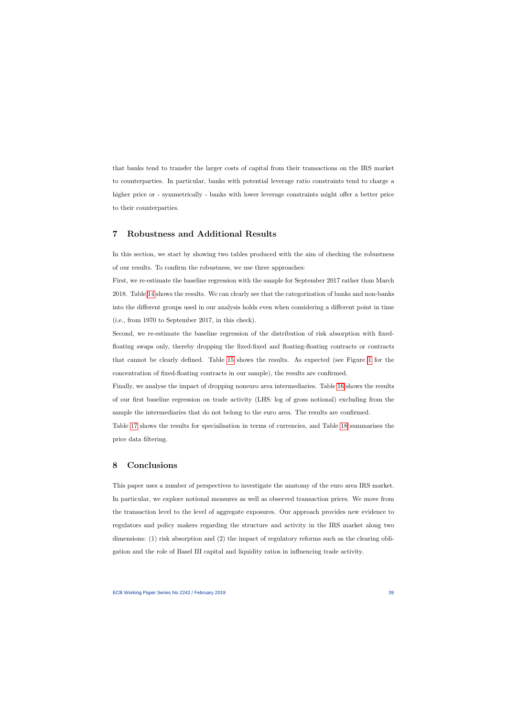that banks tend to transfer the larger costs of capital from their transactions on the IRS market to counterparties. In particular, banks with potential leverage ratio constraints tend to charge a higher price or - symmetrically - banks with lower leverage constraints might offer a better price to their counterparties.

## 7 Robustness and Additional Results

In this section, we start by showing two tables produced with the aim of checking the robustness of our results. To confirm the robustness, we use three approaches:

First, we re-estimate the baseline regression with the sample for September 2017 rather than March 2018. Table [14](#page-64-0) shows the results. We can clearly see that the categorization of banks and non-banks into the different groups used in our analysis holds even when considering a different point in time (i.e., from 1970 to September 2017, in this check).

Second, we re-estimate the baseline regression of the distribution of risk absorption with fixedfloating swaps only, thereby dropping the fixed-fixed and floating-floating contracts or contracts that cannot be clearly defined. Table [15](#page-65-0) shows the results. As expected (see Figure [1](#page-58-0) for the concentration of fixed-floating contracts in our sample), the results are confirmed.

Finally, we analyse the impact of dropping noneuro area intermediaries. Table [16](#page-66-0) shows the results of our first baseline regression on trade activity (LHS: log of gross notional) excluding from the sample the intermediaries that do not belong to the euro area. The results are confirmed.

Table [17](#page-67-0) shows the results for specialisation in terms of currencies, and Table [18](#page-68-0) summarises the price data filtering.

## 8 Conclusions

This paper uses a number of perspectives to investigate the anatomy of the euro area IRS market. In particular, we explore notional measures as well as observed transaction prices. We move from the transaction level to the level of aggregate exposures. Our approach provides new evidence to regulators and policy makers regarding the structure and activity in the IRS market along two dimensions: (1) risk absorption and (2) the impact of regulatory reforms such as the clearing obligation and the role of Basel III capital and liquidity ratios in influencing trade activity.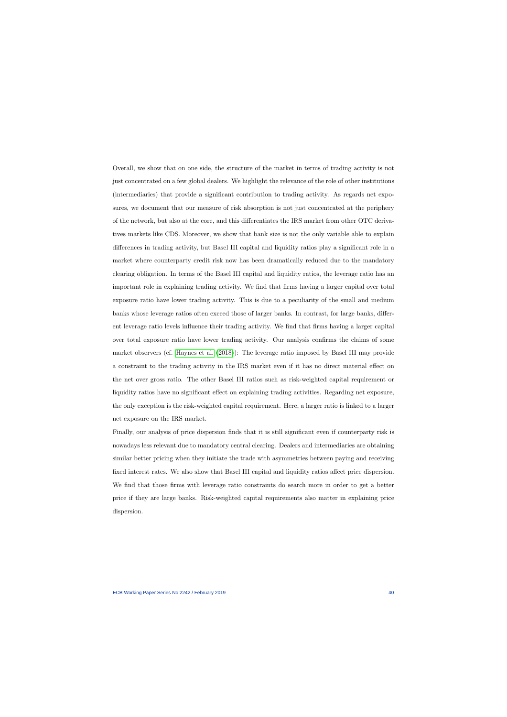Overall, we show that on one side, the structure of the market in terms of trading activity is not just concentrated on a few global dealers. We highlight the relevance of the role of other institutions (intermediaries) that provide a significant contribution to trading activity. As regards net exposures, we document that our measure of risk absorption is not just concentrated at the periphery of the network, but also at the core, and this differentiates the IRS market from other OTC derivatives markets like CDS. Moreover, we show that bank size is not the only variable able to explain differences in trading activity, but Basel III capital and liquidity ratios play a significant role in a market where counterparty credit risk now has been dramatically reduced due to the mandatory clearing obligation. In terms of the Basel III capital and liquidity ratios, the leverage ratio has an important role in explaining trading activity. We find that firms having a larger capital over total exposure ratio have lower trading activity. This is due to a peculiarity of the small and medium banks whose leverage ratios often exceed those of larger banks. In contrast, for large banks, different leverage ratio levels influence their trading activity. We find that firms having a larger capital over total exposure ratio have lower trading activity. Our analysis confirms the claims of some market observers (cf. [Haynes et al.](#page-43-1) [\(2018\)](#page-43-1)): The leverage ratio imposed by Basel III may provide a constraint to the trading activity in the IRS market even if it has no direct material effect on the net over gross ratio. The other Basel III ratios such as risk-weighted capital requirement or liquidity ratios have no significant effect on explaining trading activities. Regarding net exposure, the only exception is the risk-weighted capital requirement. Here, a larger ratio is linked to a larger net exposure on the IRS market.

Finally, our analysis of price dispersion finds that it is still significant even if counterparty risk is nowadays less relevant due to mandatory central clearing. Dealers and intermediaries are obtaining similar better pricing when they initiate the trade with asymmetries between paying and receiving fixed interest rates. We also show that Basel III capital and liquidity ratios affect price dispersion. We find that those firms with leverage ratio constraints do search more in order to get a better price if they are large banks. Risk-weighted capital requirements also matter in explaining price dispersion.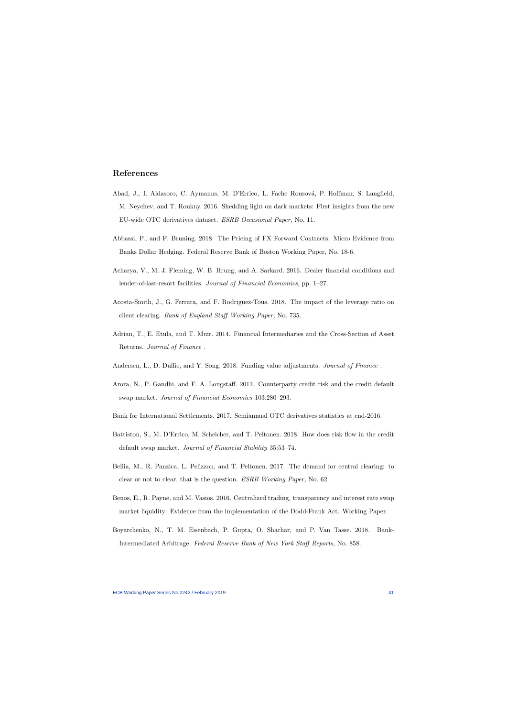## References

- Abad, J., I. Aldasoro, C. Aymanns, M. D'Errico, L. Fache Rousová, P. Hoffman, S. Langfield, M. Neychev, and T. Roukny. 2016. Shedding light on dark markets: First insights from the new EU-wide OTC derivatives dataset. ESRB Occasional Paper, No. 11.
- Abbassi, P., and F. Bruning. 2018. The Pricing of FX Forward Contracts: Micro Evidence from Banks Dollar Hedging. Federal Reserve Bank of Boston Working Paper, No. 18-6.
- Acharya, V., M. J. Fleming, W. B. Hrung, and A. Sarkard. 2016. Dealer financial conditions and lender-of-last-resort facilities. Journal of Financial Economics, pp. 1–27.
- <span id="page-41-1"></span>Acosta-Smith, J., G. Ferrara, and F. Rodriguez-Tous. 2018. The impact of the leverage ratio on client clearing. Bank of England Staff Working Paper, No. 735.
- Adrian, T., E. Etula, and T. Muir. 2014. Financial Intermediaries and the Cross-Section of Asset Returns. Journal of Finance .
- Andersen, L., D. Duffie, and Y. Song. 2018. Funding value adjustments. Journal of Finance.
- <span id="page-41-7"></span>Arora, N., P. Gandhi, and F. A. Longstaff. 2012. Counterparty credit risk and the credit default swap market. Journal of Financial Economics 103:280–293.
- <span id="page-41-9"></span>Bank for International Settlements. 2017. Semiannual OTC derivatives statistics at end-2016.
- <span id="page-41-10"></span>Battiston, S., M. D'Errico, M. Scheicher, and T. Peltonen. 2018. How does risk flow in the credit default swap market. Journal of Financial Stability 35:53–74.
- <span id="page-41-6"></span>Bellia, M., R. Panzica, L. Pelizzon, and T. Peltonen. 2017. The demand for central clearing: to clear or not to clear, that is the question. ESRB Working Paper, No. 62.
- <span id="page-41-3"></span>Benos, E., R. Payne, and M. Vasios. 2016. Centralized trading, transparency and interest rate swap market liquidity: Evidence from the implementation of the Dodd-Frank Act. Working Paper.
- <span id="page-41-8"></span><span id="page-41-5"></span><span id="page-41-4"></span><span id="page-41-2"></span><span id="page-41-0"></span>Boyarchenko, N., T. M. Eisenbach, P. Gupta, O. Shachar, and P. Van Tasse. 2018. Bank-Intermediated Arbitrage. Federal Reserve Bank of New York Staff Reports, No. 858.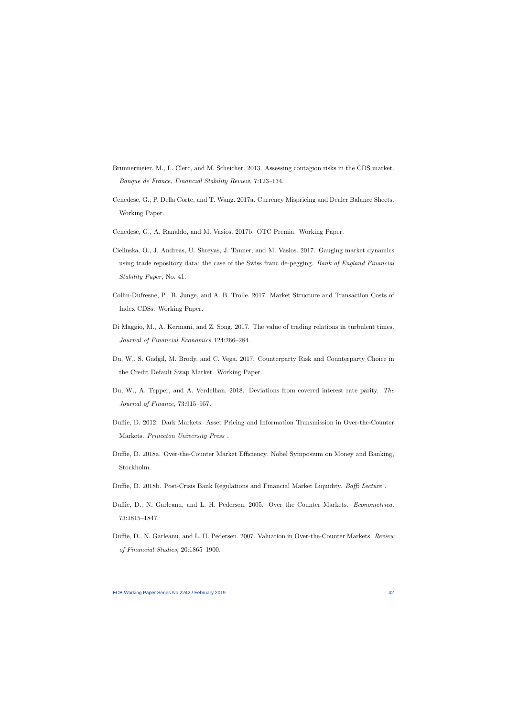- Brunnermeier, M., L. Clerc, and M. Scheicher. 2013. Assessing contagion risks in the CDS market. Banque de France, Financial Stability Review, 7:123–134.
- Cenedese, G., P. Della Corte, and T. Wang. 2017a. Currency Mispricing and Dealer Balance Sheets. Working Paper.
- Cenedese, G., A. Ranaldo, and M. Vasios. 2017b. OTC Premia. Working Paper.
- Cielinska, O., J. Andreas, U. Shreyas, J. Tanner, and M. Vasios. 2017. Gauging market dynamics using trade repository data: the case of the Swiss franc de-pegging. Bank of England Financial Stability Paper, No. 41.
- <span id="page-42-6"></span>Collin-Dufresne, P., B. Junge, and A. B. Trolle. 2017. Market Structure and Transaction Costs of Index CDSs. Working Paper.
- Di Maggio, M., A. Kermani, and Z. Song. 2017. The value of trading relations in turbulent times. Journal of Financial Economics 124:266–284.
- <span id="page-42-2"></span>Du, W., S. Gadgil, M. Brody, and C. Vega. 2017. Counterparty Risk and Counterparty Choice in the Credit Default Swap Market. Working Paper.
- <span id="page-42-3"></span>Du, W., A. Tepper, and A. Verdelhan. 2018. Deviations from covered interest rate parity. The Journal of Finance, 73:915–957.
- <span id="page-42-7"></span>Duffie, D. 2012. Dark Markets: Asset Pricing and Information Transmission in Over-the-Counter Markets. Princeton University Press .
- Duffie, D. 2018a. Over-the-Counter Market Efficiency. Nobel Symposium on Money and Banking, Stockholm.
- <span id="page-42-1"></span>Duffie, D. 2018b. Post-Crisis Bank Regulations and Financial Market Liquidity. Baffi Lecture.
- <span id="page-42-9"></span>Duffie, D., N. Garleanu, and L. H. Pedersen. 2005. Over the Counter Markets. Econometrica, 73:1815–1847.
- <span id="page-42-8"></span><span id="page-42-5"></span><span id="page-42-4"></span><span id="page-42-0"></span>Duffie, D., N. Garleanu, and L. H. Pedersen. 2007. Valuation in Over-the-Counter Markets. Review of Financial Studies, 20:1865–1900.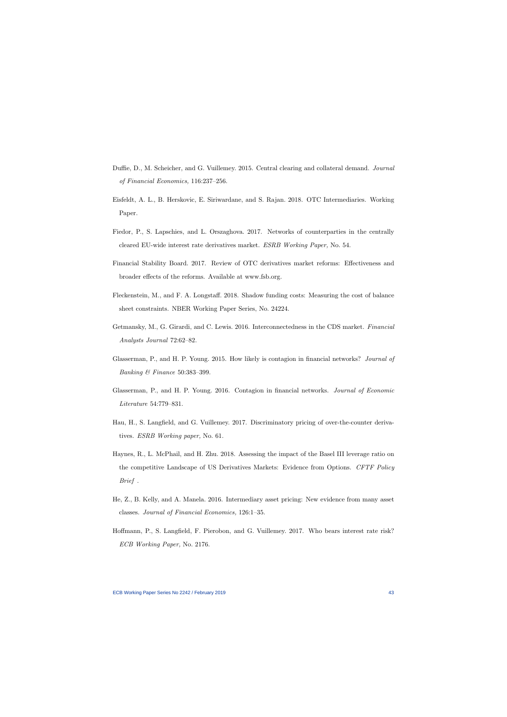- Duffie, D., M. Scheicher, and G. Vuillemey. 2015. Central clearing and collateral demand. Journal of Financial Economics, 116:237–256.
- Eisfeldt, A. L., B. Herskovic, E. Siriwardane, and S. Rajan. 2018. OTC Intermediaries. Working Paper.
- Fiedor, P., S. Lapschies, and L. Orszaghova. 2017. Networks of counterparties in the centrally cleared EU-wide interest rate derivatives market. ESRB Working Paper, No. 54.
- Financial Stability Board. 2017. Review of OTC derivatives market reforms: Effectiveness and broader effects of the reforms. Available at www.fsb.org.
- <span id="page-43-7"></span><span id="page-43-5"></span>Fleckenstein, M., and F. A. Longstaff. 2018. Shadow funding costs: Measuring the cost of balance sheet constraints. NBER Working Paper Series, No. 24224.
- Getmansky, M., G. Girardi, and C. Lewis. 2016. Interconnectedness in the CDS market. Financial Analysts Journal 72:62–82.
- <span id="page-43-3"></span>Glasserman, P., and H. P. Young. 2015. How likely is contagion in financial networks? Journal of Banking & Finance 50:383–399.
- <span id="page-43-9"></span><span id="page-43-0"></span>Glasserman, P., and H. P. Young. 2016. Contagion in financial networks. Journal of Economic Literature 54:779–831.
- <span id="page-43-2"></span>Hau, H., S. Langfield, and G. Vuillemey. 2017. Discriminatory pricing of over-the-counter derivatives. ESRB Working paper, No. 61.
- <span id="page-43-6"></span>Haynes, R., L. McPhail, and H. Zhu. 2018. Assessing the impact of the Basel III leverage ratio on the competitive Landscape of US Derivatives Markets: Evidence from Options. CFTF Policy Brief .
- He, Z., B. Kelly, and A. Manela. 2016. Intermediary asset pricing: New evidence from many asset classes. Journal of Financial Economics, 126:1–35.
- <span id="page-43-8"></span><span id="page-43-4"></span><span id="page-43-1"></span>Hoffmann, P., S. Langfield, F. Pierobon, and G. Vuillemey. 2017. Who bears interest rate risk? ECB Working Paper, No. 2176.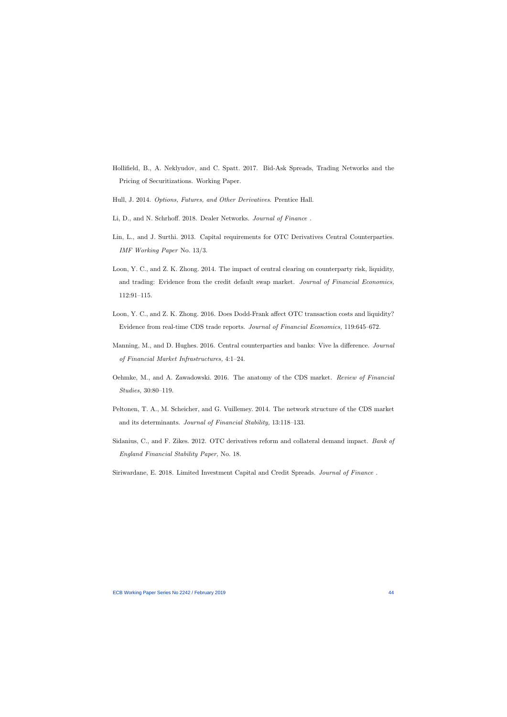- Hollifield, B., A. Neklyudov, and C. Spatt. 2017. Bid-Ask Spreads, Trading Networks and the Pricing of Securitizations. Working Paper.
- Hull, J. 2014. Options, Futures, and Other Derivatives. Prentice Hall.
- Li, D., and N. Schrhoff. 2018. Dealer Networks. Journal of Finance .
- Lin, L., and J. Surthi. 2013. Capital requirements for OTC Derivatives Central Counterparties. IMF Working Paper No. 13/3.
- Loon, Y. C., and Z. K. Zhong. 2014. The impact of central clearing on counterparty risk, liquidity, and trading: Evidence from the credit default swap market. Journal of Financial Economics, 112:91–115.
- <span id="page-44-5"></span><span id="page-44-3"></span>Loon, Y. C., and Z. K. Zhong. 2016. Does Dodd-Frank affect OTC transaction costs and liquidity? Evidence from real-time CDS trade reports. Journal of Financial Economics, 119:645–672.
- <span id="page-44-8"></span>Manning, M., and D. Hughes. 2016. Central counterparties and banks: Vive la difference. Journal of Financial Market Infrastructures, 4:1–24.
- <span id="page-44-1"></span>Oehmke, M., and A. Zawadowski. 2016. The anatomy of the CDS market. Review of Financial Studies, 30:80–119.
- <span id="page-44-2"></span>Peltonen, T. A., M. Scheicher, and G. Vuillemey. 2014. The network structure of the CDS market and its determinants. Journal of Financial Stability, 13:118–133.
- Sidanius, C., and F. Zikes. 2012. OTC derivatives reform and collateral demand impact. Bank of England Financial Stability Paper, No. 18.
- <span id="page-44-7"></span><span id="page-44-6"></span><span id="page-44-4"></span><span id="page-44-0"></span>Siriwardane, E. 2018. Limited Investment Capital and Credit Spreads. Journal of Finance .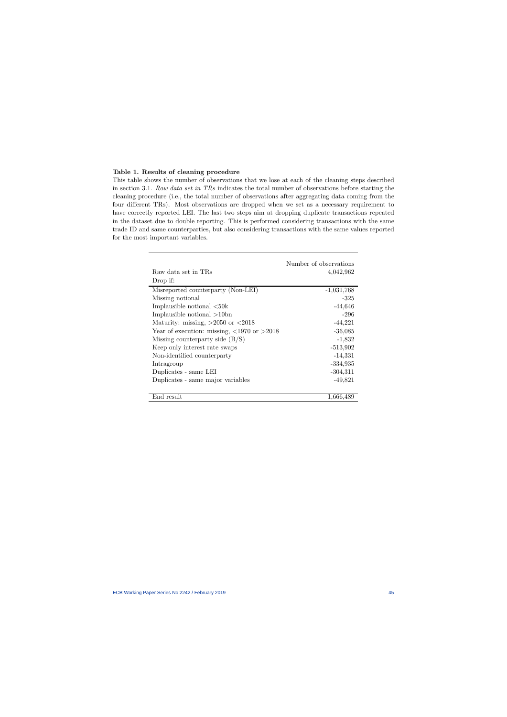## Table 1. Results of cleaning procedure

This table shows the number of observations that we lose at each of the cleaning steps described in section 3.1. Raw data set in TRs indicates the total number of observations before starting the cleaning procedure (i.e., the total number of observations after aggregating data coming from the four different TRs). Most observations are dropped when we set as a necessary requirement to have correctly reported LEI. The last two steps aim at dropping duplicate transactions repeated in the dataset due to double reporting. This is performed considering transactions with the same trade ID and same counterparties, but also considering transactions with the same values reported for the most important variables.

<span id="page-45-0"></span>

|                                                                     | Number of observations |
|---------------------------------------------------------------------|------------------------|
| Raw data set in TRs                                                 | 4,042,962              |
| Drop if:                                                            |                        |
| Misreported counterparty (Non-LEI)                                  | $-1,031,768$           |
| Missing notional                                                    | $-325$                 |
| Implausible notional $\langle 50k \rangle$                          | $-44,646$              |
| Implausible notional $>10$ bn                                       | $-296$                 |
| Maturity: missing, $>2050$ or $<2018$                               | $-44,221$              |
| Year of execution: missing, $\langle 1970 \text{ or } \rangle 2018$ | $-36,085$              |
| Missing counterparty side $(B/S)$                                   | $-1,832$               |
| Keep only interest rate swaps                                       | $-513,902$             |
| Non-identified counterparty                                         | $-14,331$              |
| Intragroup                                                          | $-334,935$             |
| Duplicates - same LEI                                               | $-304,311$             |
| Duplicates - same major variables                                   | $-49,821$              |
|                                                                     |                        |
| End result                                                          | 1,666,489              |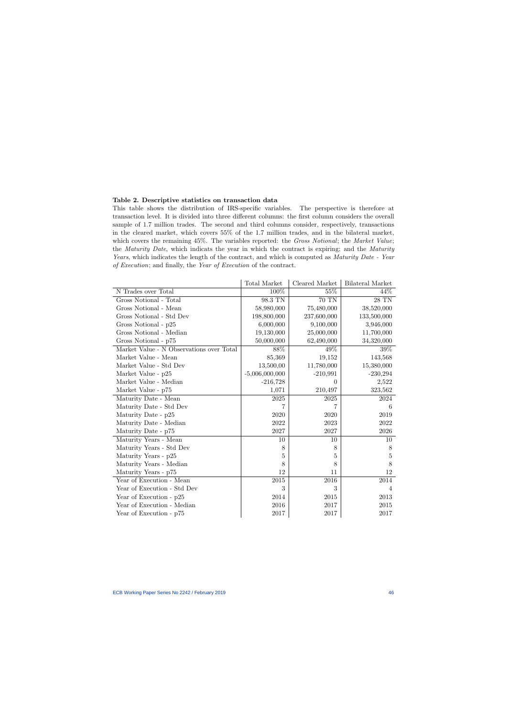## Table 2. Descriptive statistics on transaction data

This table shows the distribution of IRS-specific variables. The perspective is therefore at transaction level. It is divided into three different columns: the first column considers the overall sample of 1.7 million trades. The second and third columns consider, respectively, transactions in the cleared market, which covers 55% of the 1.7 million trades, and in the bilateral market, which covers the remaining 45%. The variables reported: the Gross Notional; the Market Value; the *Maturity Date*, which indicats the year in which the contract is expiring; and the *Maturity* Years, which indicates the length of the contract, and which is computed as Maturity Date - Year of Execution; and finally, the Year of Execution of the contract.

<span id="page-46-0"></span>

|                                          | Total Market     | Cleared Market | Bilateral Market |
|------------------------------------------|------------------|----------------|------------------|
| N Trades over Total                      | 100%             | 55%            | 44\%             |
| Gross Notional - Total                   | 98.3 TN          | 70 TN          | 28 TN            |
| Gross Notional - Mean                    | 58,980,000       | 75,480,000     | 38,520,000       |
| Gross Notional - Std Dev                 | 198,800,000      | 237,600,000    | 133,500,000      |
| Gross Notional - p25                     | 6,000,000        | 9,100,000      | 3,946,000        |
| Gross Notional - Median                  | 19,130,000       | 25,000,000     | 11,700,000       |
| Gross Notional - p75                     | 50,000,000       | 62,490,000     | 34,320,000       |
| Market Value - N Observations over Total | 88\%             | 49%            | 39%              |
| Market Value - Mean                      | 85,369           | 19,152         | 143,568          |
| Market Value - Std Dev                   | 13,500,00        | 11,780,000     | 15,380,000       |
| Market Value - p25                       | $-5,006,000,000$ | $-210,991$     | $-230,294$       |
| Market Value - Median                    | $-216,728$       | $\Omega$       | 2,522            |
| Market Value - p75                       | 1,071            | 210,497        | 323,562          |
| Maturity Date - Mean                     | 2025             | 2025           | 2024             |
| Maturity Date - Std Dev                  |                  |                | 6                |
| Maturity Date - p25                      | 2020             | 2020           | 2019             |
| Maturity Date - Median                   | 2022             | 2023           | 2022             |
| Maturity Date - p75                      | 2027             | 2027           | 2026             |
| Maturity Years - Mean                    | 10               | 10             | 10               |
| Maturity Years - Std Dev                 | 8                | 8              | 8                |
| Maturity Years - p25                     | 5                | 5              | $\overline{5}$   |
| Maturity Years - Median                  | 8                | 8              | 8                |
| Maturity Years - p75                     | 12               | 11             | 12               |
| Year of Execution - Mean                 | $2015\,$         | 2016           | 2014             |
| Year of Execution - Std Dev              | 3                | 3              | $\overline{4}$   |
| Year of Execution - p25                  | 2014             | 2015           | 2013             |
| Year of Execution - Median               | 2016             | 2017           | 2015             |
| Year of Execution - p75                  | 2017             | 2017           | 2017             |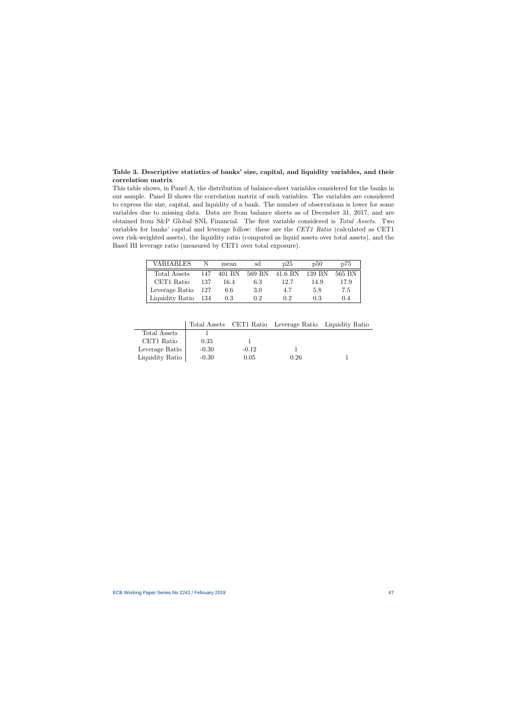## Table 3. Descriptive statistics of banks' size, capital, and liquidity variables, and their correlation matrix

This table shows, in Panel A, the distribution of balance-sheet variables considered for the banks in our sample. Panel B shows the correlation matrix of such variables. The variables are considered to express the size, capital, and liquidity of a bank. The number of observations is lower for some variables due to missing data. Data are from balance sheets as of December 31, 2017, and are obtained from S&P Global SNL Financial. The first variable considered is Total Assets. Two variables for banks' capital and leverage follow: these are the CET1 Ratio (calculated as CET1 over risk-weighted assets), the liquidity ratio (computed as liquid assets over total assets), and the Basel III leverage ratio (measured by CET1 over total exposure).

| VARIABLES       |       | mean   | sd     | p25     | D50    | p75    |
|-----------------|-------|--------|--------|---------|--------|--------|
| Total Assets    | 147   | 401 BN | 569 BN | 41.6 BN | 139 BN | 565 BN |
| CET1 Ratio      | 137   | 164    | 6.3    | 12.7    | 14.9   | 17.9   |
| Leverage Ratio  | - 127 | 6.6    | 3.0    | 4.7     | 5.8    | 7.5    |
| Liquidity Ratio | -134  | 0.3    | 02     | 02      | 0.3    | 0.4    |

<span id="page-47-0"></span>

|                 |         |         | Total Assets CET1 Ratio Leverage Ratio Liquidity Ratio |  |
|-----------------|---------|---------|--------------------------------------------------------|--|
| Total Assets    |         |         |                                                        |  |
| CET1 Ratio      | 0.35    |         |                                                        |  |
| Leverage Ratio  | $-0.30$ | $-0.12$ |                                                        |  |
| Liquidity Ratio | $-0.30$ | 0.05    | 0.26                                                   |  |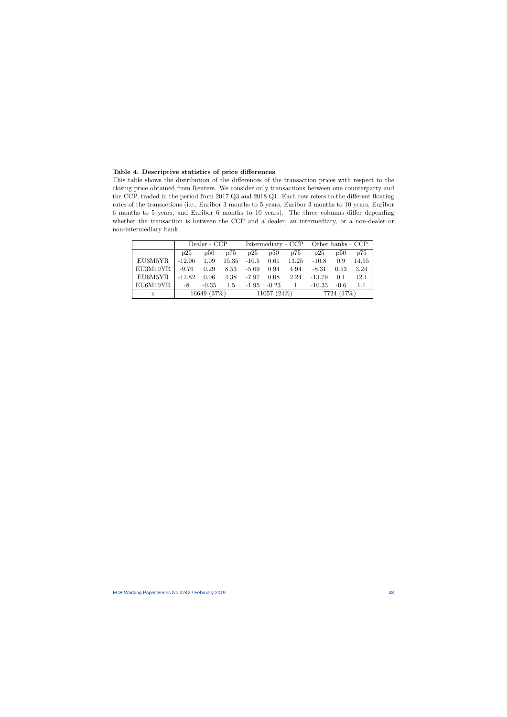## Table 4. Descriptive statistics of price differences

This table shows the distribution of the differences of the transaction prices with respect to the closing price obtained from Reuters. We consider only transactions between one counterparty and the CCP, traded in the period from 2017 Q3 and 2018 Q1. Each row refers to the different floating rates of the transactions (i.e., Euribor 3 months to 5 years, Euribor 3 months to 10 years, Euribor 6 months to 5 years, and Euribor 6 months to 10 years). The three columns differ depending whether the transaction is between the CCP and a dealer, an intermediary, or a non-dealer or non-intermediary bank.

<span id="page-48-0"></span>

|          |             | Dealer - CCP |            | Intermediary - CCP   Other banks - CCP |         |             |          |        |       |
|----------|-------------|--------------|------------|----------------------------------------|---------|-------------|----------|--------|-------|
|          | p25         | p50          | p75        | p25                                    | p50     | p75         | p25      | p50    | p75   |
| EU3M5YR  | $-12.06$    | 1.09         | 15.35      | $-10.5$                                | 0.61    | 13.25       | $-10.8$  | 0.9    | 14.55 |
| EU3M10YR | $-9.76$     | 0.29         | 8.53       | $-5.09$                                | 0.94    | 4.94        | $-8.31$  | 0.53   | 3.24  |
| EU6M5YR  | $-12.82$    | 0.06         | 4.38       | $-7.97$                                | 0.08    | 2.24        | $-13.79$ | 0.1    | 12.1  |
| EU6M10YR | -8          | $-0.35$      | 1.5        | $-1.95$                                | $-0.23$ |             | $-10.33$ | $-0.6$ | 1.1   |
| n        | 16649 (37%) |              | 11057(24%) |                                        |         | 7724 (17\%) |          |        |       |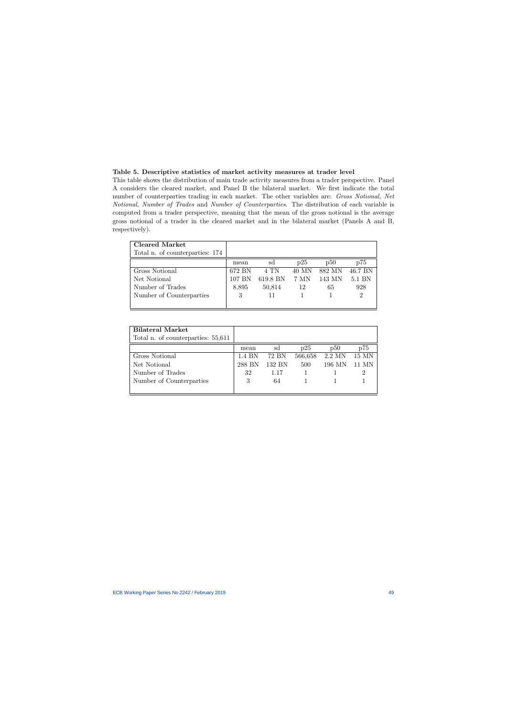## Table 5. Descriptive statistics of market activity measures at trader level

This table shows the distribution of main trade activity measures from a trader perspective. Panel A considers the cleared market, and Panel B the bilateral market. We first indicate the total number of counterparties trading in each market. The other variables are: Gross Notional, Net Notional, Number of Trades and Number of Counterparties. The distribution of each variable is computed from a trader perspective, meaning that the mean of the gross notional is the average gross notional of a trader in the cleared market and in the bilateral market (Panels A and B, respectively).

<span id="page-49-0"></span>

| Cleared Market                  |        |          |       |        |         |
|---------------------------------|--------|----------|-------|--------|---------|
| Total n. of counterparties: 174 |        |          |       |        |         |
|                                 | mean   | sd       | p25   | p50    | p75     |
| Gross Notional                  | 672 BN | 4 TN     | 40 MN | 882 MN | 46.7 BN |
| Net Notional                    | 107 BN | 619.8 BN | 7 MN  | 143 MN | 5.1 BN  |
| Number of Trades                | 8,895  | 50,814   | 12    | 65     | 928     |
| Number of Counterparties        | 3      |          |       |        |         |
|                                 |        |          |       |        |         |

| <b>Bilateral Market</b>            |        |        |         |        |       |
|------------------------------------|--------|--------|---------|--------|-------|
| Total n. of counterparties: 55,611 |        |        |         |        |       |
|                                    | mean   | sd     | p25     | p50    | p75   |
| Gross Notional                     | 1.4 BN | 72 BN  | 566,658 | 2.2 MN | 15 MN |
| Net Notional                       | 288 BN | 132 BN | 500     | 196 MN | 11 MN |
| Number of Trades                   | 32     | 1.17   |         |        |       |
| Number of Counterparties           | 3      | 64     |         |        |       |
|                                    |        |        |         |        |       |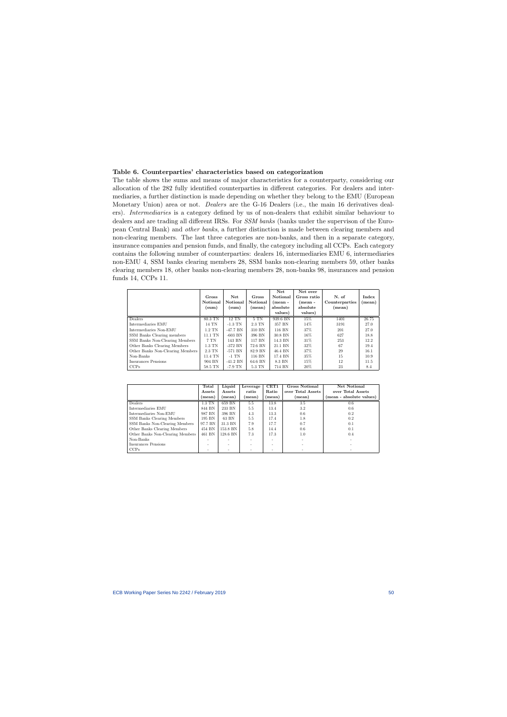## Table 6. Counterparties' characteristics based on categorization

The table shows the sums and means of major characteristics for a counterparty, considering our allocation of the 282 fully identified counterparties in different categories. For dealers and intermediaries, a further distinction is made depending on whether they belong to the EMU (European Monetary Union) area or not. *Dealers* are the G-16 Dealers (i.e., the main 16 derivatives dealers). Intermediaries is a category defined by us of non-dealers that exhibit similar behaviour to dealers and are trading all different IRSs. For *SSM banks* (banks under the supervison of the European Central Bank) and other banks, a further distinction is made between clearing members and non-clearing members. The last three categories are non-banks, and then in a separate category, insurance companies and pension funds, and finally, the category including all CCPs. Each category contains the following number of counterparties: dealers 16, intermediaries EMU 6, intermediaries non-EMU 4, SSM banks clearing members 28, SSM banks non-clearing members 59, other banks clearing members 18, other banks non-clearing members 28, non-banks 98, insurances and pension funds 14, CCPs 11.

<span id="page-50-0"></span>

|                                  | Gross<br>Notional<br>(sum) | Net<br>Notional<br>(sum) | Gross<br>Notional<br>(mean) | Net<br>Notional<br>(mean -<br>absolute<br>values) | Net over<br>Gross ratio<br>$(mean -$<br>absolute<br>values) | N. of<br>Counterparties<br>(mean) | Index<br>(mean) |
|----------------------------------|----------------------------|--------------------------|-----------------------------|---------------------------------------------------|-------------------------------------------------------------|-----------------------------------|-----------------|
| Dealers                          | 80.3 TN                    | <b>12 TN</b>             | 5T <sub>N</sub>             | 939.6 BN                                          | 15%                                                         | 1401                              | 26.75           |
| Intermediaries EMU               | 14 TN                      | $-1.3$ TN                | 2.3 TN                      | 357 BN                                            | 14%                                                         | 3191                              | 27.0            |
| Intermediaries Non-EMU           | $1.2$ TN                   | $-47.7$ BN               | 310 BN                      | 116 BN                                            | 37%                                                         | 201                               | 27.0            |
| SSM Banks Clearing members       | 11.1 TN                    | $-603$ BN                | 396 BN                      | 30.8 BN                                           | 16%                                                         | 627                               | 18.8            |
| SSM Banks Non-Clearing Members   | 7 TN                       | 143 BN                   | 117 BN                      | 14.3 BN                                           | 31\%                                                        | 253                               | 12.2            |
| Other Banks Clearing Members     | $1.3$ TN                   | $-372$ BN                | 72.6 BN                     | 21.1 BN                                           | 32%                                                         | 67                                | 19.4            |
| Other Banks Non-Clearing Members | $2.3$ TN                   | $-571$ BN                | 82.9 BN                     | 46.4 BN                                           | 37%                                                         | 29                                | 16.1            |
| Non-Banks                        | 11.4 TN                    | $-1$ TN                  | 116 BN                      | 17.4 BN                                           | 35%                                                         | 15                                | 10.9            |
| Insurances Pensions              | 904 BN                     | $-41.2$ BN               | 64.6 BN                     | 8.3 BN                                            | 15%                                                         | 12                                | 11.5            |
| CCPs                             | 58.5 TN                    | $-7.9$ TN                | 5.3 TN                      | 714 BN                                            | 20%                                                         | 23                                | 8.4             |

|                                  | Total<br>Assets          | Liquid<br>Assets | Leverage<br>ratio | CET1<br>Ratio | <b>Gross Notional</b><br>over Total Assets | Net Notional<br>over Total Assets |
|----------------------------------|--------------------------|------------------|-------------------|---------------|--------------------------------------------|-----------------------------------|
|                                  | (mean)                   | (mean)           | (mean)            | (mean)        | (mean)                                     | (mean - absolute values)          |
| Dealers                          | $1.3$ TN                 | 659 BN           | 5.5               | 13.8          | 3.5                                        | 0.6                               |
| Intermediaries EMU               | 844 BN                   | 233 BN           | 5.5               | 13.4          | 3.2                                        | 0.6                               |
| Intermediaries Non-EMU           | 987 BN                   | 396 BN           | 4.3               | 13.3          | 0.6                                        | 0.2                               |
| SSM Banks Clearing Members       | 195 BN                   | 63 BN            | 5.5               | 17.4          | 1.8                                        | 0.2                               |
| SSM Banks Non-Clearing Members   | 97.7 BN                  | 31.3 BN          | 7.9               | 17.7          | 0.7                                        | 0.1                               |
| Other Banks Clearing Members     | 454 BN                   | 153.8 BN         | 5.8               | 14.4          | 0.6                                        | 0.1                               |
| Other Banks Non-Clearing Members | 461 BN                   | 128.6 BN         | 7.3               | 17.3          | 1.0                                        | 0.4                               |
| Non-Banks                        | $\overline{\phantom{a}}$ | ۰                |                   | ۰             |                                            |                                   |
| Insurances Pensions              |                          |                  | ۰                 | -             |                                            |                                   |
| CCPs                             |                          |                  |                   | $\sim$        |                                            |                                   |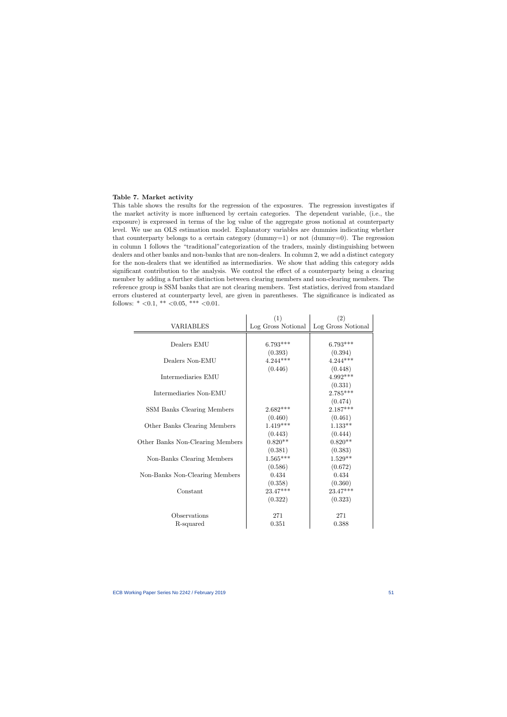#### Table 7. Market activity

This table shows the results for the regression of the exposures. The regression investigates if the market activity is more influenced by certain categories. The dependent variable, (i.e., the exposure) is expressed in terms of the log value of the aggregate gross notional at counterparty level. We use an OLS estimation model. Explanatory variables are dummies indicating whether that counterparty belongs to a certain category  $(d\text{umm}y=1)$  or not  $(d\text{umm}y=0)$ . The regression in column 1 follows the "traditional"categorization of the traders, mainly distinguishing between dealers and other banks and non-banks that are non-dealers. In column 2, we add a distinct category for the non-dealers that we identified as intermediaries. We show that adding this category adds significant contribution to the analysis. We control the effect of a counterparty being a clearing member by adding a further distinction between clearing members and non-clearing members. The reference group is SSM banks that are not clearing members. Test statistics, derived from standard errors clustered at counterparty level, are given in parentheses. The significance is indicated as follows:  $* < 0.1, ** < 0.05, ** < 0.01$ .

<span id="page-51-0"></span>

|                                  | (1)                | (2)                |
|----------------------------------|--------------------|--------------------|
| <b>VARIABLES</b>                 | Log Gross Notional | Log Gross Notional |
|                                  |                    |                    |
| Dealers EMU                      | $6.793***$         | $6.793***$         |
|                                  | (0.393)            | (0.394)            |
| Dealers Non-EMU                  | $4.244***$         | $4.244***$         |
|                                  | (0.446)            | (0.448)            |
| Intermediaries EMU               |                    | $4.992***$         |
|                                  |                    | (0.331)            |
| Intermediaries Non-EMU           |                    | $2.785***$         |
|                                  |                    | (0.474)            |
| SSM Banks Clearing Members       | $2.682***$         | $2.187***$         |
|                                  | (0.460)            | (0.461)            |
| Other Banks Clearing Members     | $1.419***$         | $1.133**$          |
|                                  | (0.443)            | (0.444)            |
| Other Banks Non-Clearing Members | $0.820**$          | $0.820**$          |
|                                  | (0.381)            | (0.383)            |
| Non-Banks Clearing Members       | $1.565***$         | $1.529**$          |
|                                  | (0.586)            | (0.672)            |
| Non-Banks Non-Clearing Members   | 0.434              | 0.434              |
|                                  | (0.358)            | (0.360)            |
| Constant                         | 23.47***           | 23.47***           |
|                                  | (0.322)            | (0.323)            |
|                                  |                    |                    |
| Observations                     | 271                | 271                |
| R-squared                        | 0.351              | 0.388              |

 $\mathbf{r}$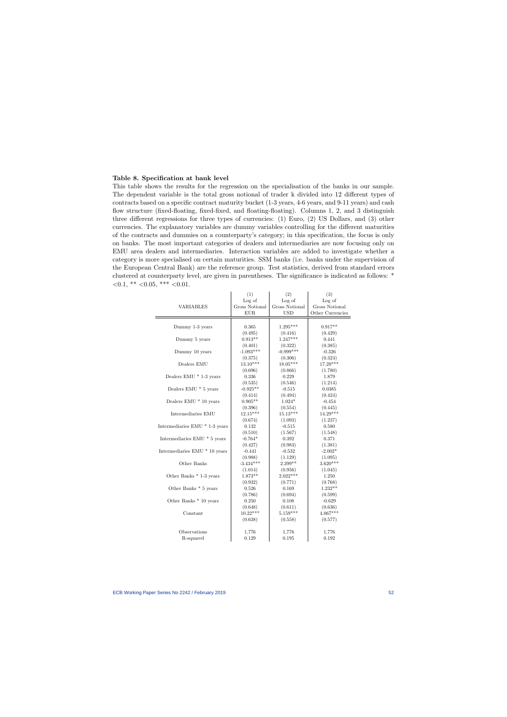#### Table 8. Specification at bank level

<span id="page-52-0"></span> $\equiv$ 

This table shows the results for the regression on the specialisation of the banks in our sample. The dependent variable is the total gross notional of trader k divided into 12 different types of contracts based on a specific contract maturity bucket (1-3 years, 4-6 years, and 9-11 years) and cash flow structure (fixed-floating, fixed-fixed, and floating-floating). Columns 1, 2, and 3 distinguish three different regressions for three types of currencies: (1) Euro, (2) US Dollars, and (3) other currencies. The explanatory variables are dummy variables controlling for the different maturities of the contracts and dummies on a counterparty's category; in this specification, the focus is only on banks. The most important categories of dealers and intermediaries are now focusing only on EMU area dealers and intermediaries. Interaction variables are added to investigate whether a category is more specialised on certain maturities. SSM banks (i.e. banks under the supervision of the European Central Bank) are the reference group. Test statistics, derived from standard errors clustered at counterparty level, are given in parentheses. The significance is indicated as follows: \*  $< 0.1,$  \*\*  $< 0.05,$  \*\*\*  $< 0.01.$ 

|                                     | (1)                   | (2)            | (3)                   |
|-------------------------------------|-----------------------|----------------|-----------------------|
|                                     | Log of                | Log of         | Log of                |
| <b>VARIABLES</b>                    | <b>Gross Notional</b> | Gross Notional | <b>Gross Notional</b> |
|                                     | ${\rm EUR}$           | <b>USD</b>     | Other Currencies      |
|                                     |                       |                |                       |
| Dummy 1-3 years                     | 0.365                 | $1.295***$     | $0.917**$             |
|                                     | (0.495)               | (0.416)        | (0.429)               |
| Dummy 5 years                       | $0.913**$             | $1.247***$     | 0.441                 |
|                                     | (0.401)               | (0.322)        | (0.385)               |
| Dummy 10 years                      | $-1.093***$           | $-0.999***$    | $-0.326$              |
|                                     | (0.375)               | (0.306)        | (0.324)               |
| Dealers $\mathop{\rm EMU}\nolimits$ | $13.10***$            | 18.05***       | 17.28***              |
|                                     | (0.696)               | (0.866)        | (1.780)               |
| Dealers EMU * 1-3 years             | 0.336                 | 0.229          | 1.879                 |
|                                     | (0.535)               | (0.546)        | (1.214)               |
| Dealers EMU * 5 years               | $-0.925**$            | $-0.515$       | 0.0385                |
|                                     | (0.414)               | (0.494)        | (0.424)               |
| Dealers EMU * 10 years              | $0.905**$             | $1.024*$       | $-0.454$              |
|                                     | (0.396)               | (0.554)        | (0.445)               |
| Intermediaries EMU                  | $12.15***$            | $15.13***$     | 14.29***              |
|                                     | (0.674)               | (1.093)        | (1.237)               |
| Intermediaries EMU * 1-3 years      | 0.132                 | $-0.515$       | 0.580                 |
|                                     | (0.510)               | (1.567)        | (1.548)               |
| Intermediaries EMU * 5 years        | $-0.764*$             | 0.392          | 0.371                 |
|                                     | (0.427)               | (0.983)        | (1.381)               |
| Intermediaries EMU * 10 years       | $-0.441$              | $-0.532$       | $-2.002*$             |
|                                     | (0.988)               | (1.129)        | (1.095)               |
| Other Banks                         | $-3.434***$           | 2.399**        | $3.620***$            |
|                                     | (1.014)               | (0.956)        | (1.045)               |
| Other Banks * 1-3 years             | $1.873**$             | $2.022***$     | 1.250                 |
|                                     | (0.932)               | (0.771)        | (0.768)               |
| Other Banks * 5 years               | $0.526\,$             | 0.169          | $1.232**$             |
|                                     | (0.786)               | (0.694)        | (0.599)               |
| Other Banks * 10 years              | 0.250                 | 0.108          | $-0.629$              |
|                                     | (0.648)               | (0.611)        | (0.636)               |
| Constant                            | $10.22***$            | $5.159***$     | $4.067***$            |
|                                     | (0.638)               | (0.558)        | (0.577)               |
| Observations                        | 1,776                 | 1,776          | 1,776                 |
| R-squared                           | 0.129                 | 0.195          | 0.192                 |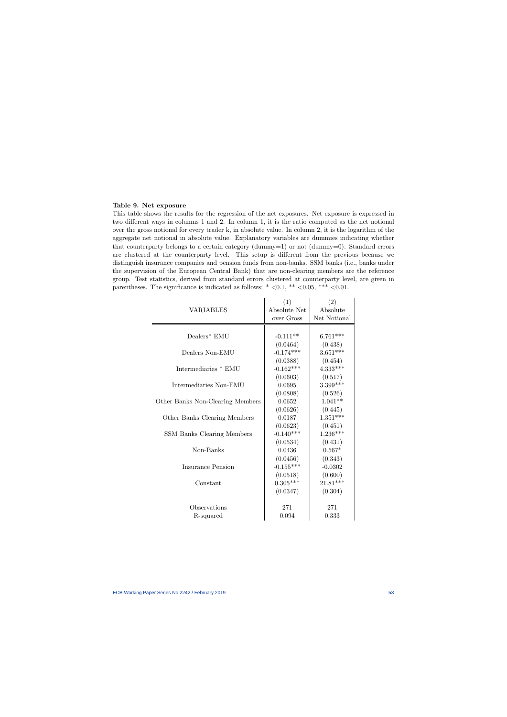#### Table 9. Net exposure

This table shows the results for the regression of the net exposures. Net exposure is expressed in two different ways in columns 1 and 2. In column 1, it is the ratio computed as the net notional over the gross notional for every trader k, in absolute value. In column 2, it is the logarithm of the aggregate net notional in absolute value. Explanatory variables are dummies indicating whether that counterparty belongs to a certain category (dummy=1) or not (dummy=0). Standard errors are clustered at the counterparty level. This setup is different from the previous because we distinguish insurance companies and pension funds from non-banks. SSM banks (i.e., banks under the supervision of the European Central Bank) that are non-clearing members are the reference group. Test statistics, derived from standard errors clustered at counterparty level, are given in parentheses. The significance is indicated as follows:  $* <0.1, ** <0.05, ** <0.01$ .

<span id="page-53-0"></span>

|                                  | (1)          | (2)          |
|----------------------------------|--------------|--------------|
| VARIABLES                        | Absolute Net | Absolute     |
|                                  | over Gross   | Net Notional |
|                                  |              |              |
| Dealers* EMU                     | $-0.111**$   | $6.761***$   |
|                                  | (0.0464)     | (0.438)      |
| Dealers Non-EMU                  | $-0.174***$  | $3.651***$   |
|                                  | (0.0388)     | (0.454)      |
| Intermediaries * EMU             | $-0.162***$  | $4.333***$   |
|                                  | (0.0603)     | (0.517)      |
| Intermediaries Non-EMU           | 0.0695       | $3.399***$   |
|                                  | (0.0808)     | (0.526)      |
| Other Banks Non-Clearing Members | 0.0652       | $1.041**$    |
|                                  | (0.0626)     | (0.445)      |
| Other Banks Clearing Members     | 0.0187       | $1.351***$   |
|                                  | (0.0623)     | (0.451)      |
| SSM Banks Clearing Members       | $-0.140***$  | $1.236***$   |
|                                  | (0.0534)     | (0.431)      |
| Non-Banks                        | 0.0436       | $0.567*$     |
|                                  | (0.0456)     | (0.343)      |
| Insurance Pension                | $-0.155***$  | $-0.0302$    |
|                                  | (0.0518)     | (0.600)      |
| Constant                         | $0.305***$   | $21.81***$   |
|                                  | (0.0347)     | (0.304)      |
|                                  |              |              |
| Observations                     | 271          | 271          |
| R-squared                        | 0.094        | 0.333        |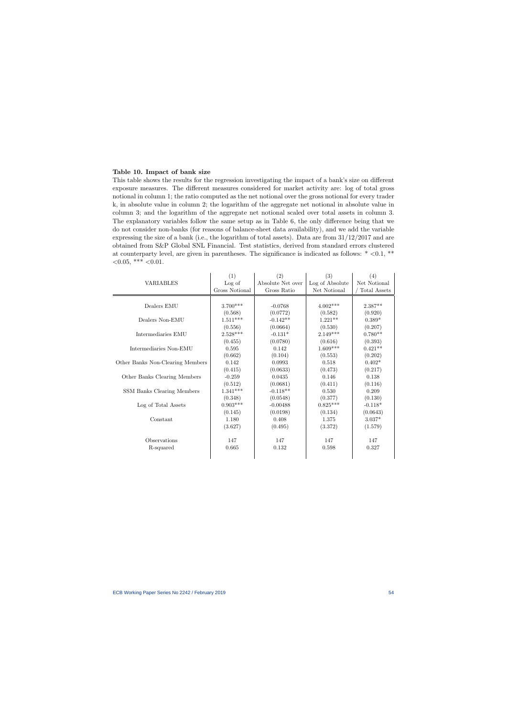## Table 10. Impact of bank size

This table shows the results for the regression investigating the impact of a bank's size on different exposure measures. The different measures considered for market activity are: log of total gross notional in column 1; the ratio computed as the net notional over the gross notional for every trader k, in absolute value in column 2; the logarithm of the aggregate net notional in absolute value in column 3; and the logarithm of the aggregate net notional scaled over total assets in column 3. The explanatory variables follow the same setup as in Table 6, the only difference being that we do not consider non-banks (for reasons of balance-sheet data availability), and we add the variable expressing the size of a bank (i.e., the logarithm of total assets). Data are from  $31/12/2017$  and are obtained from S&P Global SNL Financial. Test statistics, derived from standard errors clustered at counterparty level, are given in parentheses. The significance is indicated as follows:  $* < 0.1$ ,  $**$  $< 0.05,$  \*\*\*  $< 0.01$ .

<span id="page-54-0"></span>

|                                  | (1)            | (2)               | (3)             | (4)          |
|----------------------------------|----------------|-------------------|-----------------|--------------|
| <b>VARIABLES</b>                 | Log of         | Absolute Net over | Log of Absolute | Net Notional |
|                                  | Gross Notional | Gross Ratio       | Net Notional    | Total Assets |
|                                  |                |                   |                 |              |
| Dealers EMU                      | $3.700***$     | $-0.0768$         | $4.002***$      | $2.387**$    |
|                                  | (0.568)        | (0.0772)          | (0.582)         | (0.920)      |
| Dealers Non-EMU                  | $1.511***$     | $-0.142**$        | $1.221**$       | $0.389*$     |
|                                  | (0.556)        | (0.0664)          | (0.530)         | (0.207)      |
| Intermediaries EMU               | $2.528***$     | $-0.131*$         | $2.149***$      | $0.780**$    |
|                                  | (0.455)        | (0.0780)          | (0.616)         | (0.393)      |
| Intermediaries Non-EMU           | 0.595          | 0.142             | $1.609***$      | $0.421**$    |
|                                  | (0.662)        | (0.104)           | (0.553)         | (0.202)      |
| Other Banks Non-Clearing Members | 0.142          | 0.0993            | 0.518           | $0.402*$     |
|                                  | (0.415)        | (0.0633)          | (0.473)         | (0.217)      |
| Other Banks Clearing Members     | $-0.259$       | 0.0435            | 0.146           | 0.138        |
|                                  | (0.512)        | (0.0681)          | (0.411)         | (0.116)      |
| SSM Banks Clearing Members       | $1.341***$     | $-0.118**$        | 0.530           | 0.209        |
|                                  | (0.348)        | (0.0548)          | (0.377)         | (0.130)      |
| Log of Total Assets              | $0.903***$     | $-0.00488$        | $0.825***$      | $-0.118*$    |
|                                  | (0.145)        | (0.0198)          | (0.134)         | (0.0643)     |
| Constant                         | 1.180          | 0.408             | 1.375           | $3.037*$     |
|                                  | (3.627)        | (0.495)           | (3.372)         | (1.579)      |
|                                  |                |                   |                 |              |
| Observations                     | 147            | 147               | 147             | 147          |
| R-squared                        | 0.665          | 0.132             | 0.598           | 0.327        |
|                                  |                |                   |                 |              |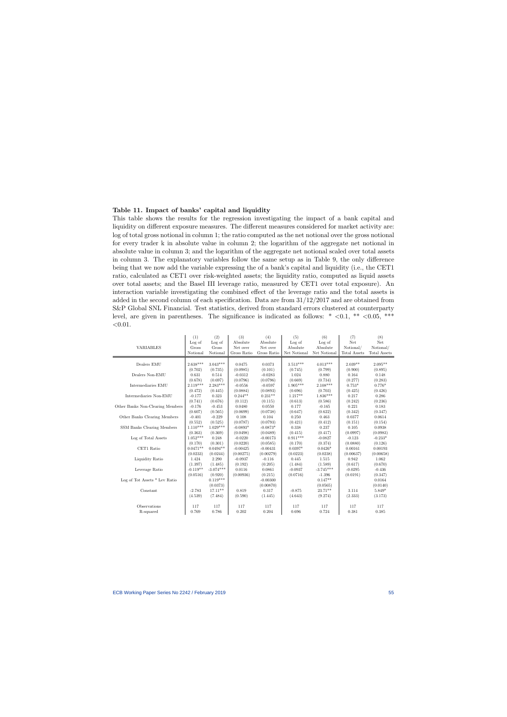## Table 11. Impact of banks' capital and liquidity

This table shows the results for the regression investigating the impact of a bank capital and liquidity on different exposure measures. The different measures considered for market activity are: log of total gross notional in column 1; the ratio computed as the net notional over the gross notional for every trader k in absolute value in column 2; the logarithm of the aggregate net notional in absolute value in column 3; and the logarithm of the aggregate net notional scaled over total assets in column 3. The explanatory variables follow the same setup as in Table 9, the only difference being that we now add the variable expressing the of a bank's capital and liquidity (i.e., the CET1 ratio, calculated as CET1 over risk-weighted assets; the liquidity ratio, computed as liquid assets over total assets; and the Basel III leverage ratio, measured by CET1 over total exposure). An interaction variable investigating the combined effect of the leverage ratio and the total assets is added in the second column of each specification. Data are from 31/12/2017 and are obtained from S&P Global SNL Financial. Test statistics, derived from standard errors clustered at counterparty level, are given in parentheses. The significance is indicated as follows:  $* < 0.1, ** < 0.05, ***$  $< 0.01$ .

<span id="page-55-0"></span>

|                                  | (1)        | (2)         | (3)         | (4)         | (5)          | (6)          | (7)          | (8)                 |
|----------------------------------|------------|-------------|-------------|-------------|--------------|--------------|--------------|---------------------|
|                                  | Log of     | Log of      | Absolute    | Absolute    | Log of       | Log of       | Net          | Net                 |
| <b>VARIABLES</b>                 | Gross      | Gross       | Net over    | Net over    | Absolute     | Absolute     | Notional/    | Notional/           |
|                                  | Notional   | Notional    | Gross Ratio | Gross Ratio | Net Notional | Net Notional | Total Assets | <b>Total Assets</b> |
|                                  |            |             |             |             |              |              |              |                     |
| Dealers EMU                      | $2.638***$ | $3.043***$  | 0.0475      | 0.0373      | $3.513***$   | $4.013***$   | $2.039**$    | $2.095**$           |
|                                  | (0.702)    | (0.735)     | (0.0985)    | (0.101)     | (0.745)      | (0.799)      | (0.900)      | (0.895)             |
| Dealers Non-EMU                  | 0.631      | 0.514       | $-0.0312$   | $-0.0283$   | 1.024        | 0.880        | 0.164        | 0.148               |
|                                  | (0.678)    | (0.697)     | (0.0796)    | (0.0796)    | (0.669)      | (0.734)      | (0.277)      | (0.283)             |
| Intermediaries EMU               | $2.119***$ | $2.283***$  | $-0.0556$   | $-0.0597$   | $1.905***$   | $2.108***$   | $0.753*$     | $0.776*$            |
|                                  | (0.472)    | (0.445)     | (0.0884)    | (0.0893)    | (0.696)      | (0.703)      | (0.425)      | (0.426)             |
| Intermediaries Non-EMU           | $-0.177$   | 0.323       | $0.244**$   | $0.231**$   | $1.217**$    | $1.836***$   | 0.217        | 0.286               |
|                                  | (0.741)    | (0.676)     | (0.112)     | (0.115)     | (0.613)      | (0.586)      | (0.242)      | (0.236)             |
| Other Banks Non-Clearing Members | $-0.176$   | $-0.453$    | 0.0480      | 0.0550      | 0.177        | $-0.165$     | 0.221        | 0.183               |
|                                  | (0.607)    | (0.565)     | (0.0699)    | (0.0738)    | (0.647)      | (0.622)      | (0.342)      | (0.347)             |
| Other Banks Clearing Members     | $-0.401$   | $-0.229$    | 0.108       | 0.104       | 0.250        | 0.463        | 0.0377       | 0.0614              |
|                                  | (0.552)    | (0.525)     | (0.0787)    | (0.0793)    | (0.421)      | (0.412)      | (0.151)      | (0.154)             |
| SSM Banks Clearing Members       | $1.110***$ | $1.029***$  | $-0.0893*$  | $-0.0873*$  | 0.338        | 0.237        | 0.105        | 0.0938              |
|                                  | (0.363)    | (0.369)     | (0.0498)    | (0.0489)    | (0.415)      | (0.417)      | (0.0997)     | (0.0983)            |
| Log of Total Assets              | $1.052***$ | 0.248       | $-0.0220$   | $-0.00173$  | $0.911***$   | $-0.0827$    | $-0.123$     | $-0.233*$           |
|                                  | (0.170)    | (0.301)     | (0.0220)    | (0.0585)    | (0.170)      | (0.374)      | (0.0880)     | (0.126)             |
| CET1 Ratio                       | $0.0471**$ | $0.0494**$  | $-0.00425$  | $-0.00431$  | $0.0397*$    | $0.0426*$    | 0.00161      | 0.00193             |
|                                  | (0.0233)   | (0.0244)    | (0.00275)   | (0.00279)   | (0.0223)     | (0.0238)     | (0.00637)    | (0.00658)           |
| Liquidity Ratio                  | 1.424      | 2.290       | $-0.0937$   | $-0.116$    | 0.445        | 1.515        | 0.942        | 1.062               |
|                                  | (1.397)    | (1.485)     | (0.192)     | (0.205)     | (1.484)      | (1.589)      | (0.617)      | (0.670)             |
| Leverage Ratio                   | $-0.119**$ | $-3.074***$ | 0.0116      | 0.0861      | $-0.0937$    | $-3.745***$  | $-0.0295$    | $-0.436$            |
|                                  | (0.0516)   | (0.920)     | (0.00936)   | (0.215)     | (0.0716)     | $-1.396$     | (0.0191)     | (0.347)             |
| Log of Tot Assets * Lev Ratio    |            | $0.119***$  |             | $-0.00300$  |              | $0.147**$    |              | 0.0164              |
|                                  |            | (0.0373)    |             | (0.00870)   |              | (0.0565)     |              | (0.0140)            |
| Constant                         | $-2.783$   | $17.11**$   | 0.819       | 0.317       | $-0.875$     | 23.71**      | 3.114        | 5.849*              |
|                                  | (4.539)    | (7.484)     | (0.590)     | (1.445)     | (4.643)      | (9.274)      | (2.333)      | (3.173)             |
| Observations                     | 117        | 117         | 117         | 117         | 117          | 117          | 117          | 117                 |
| R-squared                        | 0.769      | 0.786       | 0.202       | 0.204       | 0.696        | 0.724        | 0.381        | 0.385               |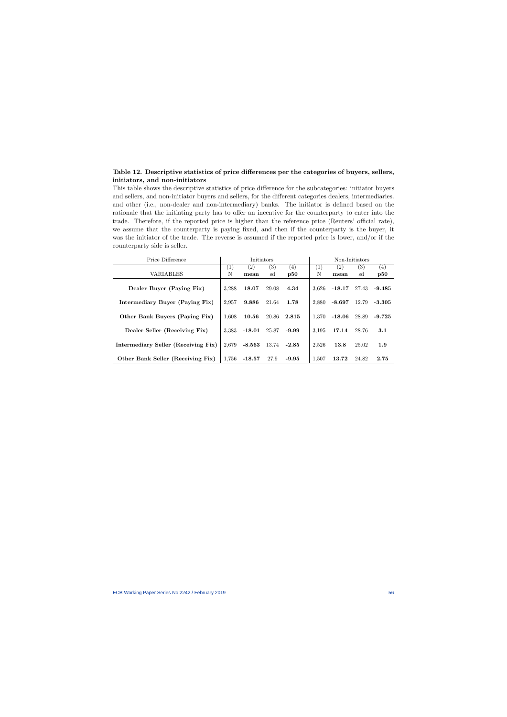## Table 12. Descriptive statistics of price differences per the categories of buyers, sellers, initiators, and non-initiators

This table shows the descriptive statistics of price difference for the subcategories: initiator buyers and sellers, and non-initiator buyers and sellers, for the different categories dealers, intermediaries. and other (i.e., non-dealer and non-intermediary) banks. The initiator is defined based on the rationale that the initiating party has to offer an incentive for the counterparty to enter into the trade. Therefore, if the reported price is higher than the reference price (Reuters' official rate), we assume that the counterparty is paying fixed, and then if the counterparty is the buyer, it was the initiator of the trade. The reverse is assumed if the reported price is lower, and/or if the counterparty side is seller.

<span id="page-56-0"></span>

| Price Difference                    | Initiators       |                   |       | Non-Initiators |       |                   |       |          |
|-------------------------------------|------------------|-------------------|-------|----------------|-------|-------------------|-------|----------|
|                                     | $\left(1\right)$ | $\left( 2\right)$ | (3)   | (4)            | (1)   | $\left( 2\right)$ | (3)   | (4)      |
| <b>VARIABLES</b>                    | N                | mean              | sd    | p50            | N     | mean              | sd    | p50      |
| Dealer Buyer (Paying Fix)           | 3.288            | 18.07             | 29.08 | 4.34           | 3.626 | $-18.17$          | 27.43 | $-9.485$ |
| Intermediary Buyer (Paying Fix)     | 2,957            | 9.886             | 21.64 | 1.78           | 2,880 | $-8.697$          | 12.79 | -3.305   |
| Other Bank Buyers (Paying Fix)      | 1.608            | 10.56             | 20.86 | 2.815          | 1.370 | $-18.06$          | 28.89 | $-9.725$ |
| Dealer Seller (Receiving Fix)       | 3.383            | $-18.01$          | 25.87 | $-9.99$        | 3.195 | 17.14             | 28.76 | 3.1      |
| Intermediary Seller (Receiving Fix) | 2.679            | $-8.563$          | 13.74 | $-2.85$        | 2,526 | 13.8              | 25.02 | 1.9      |
| Other Bank Seller (Receiving Fix)   | 1.756            | $-18.57$          | 27.9  | $-9.95$        | 1,507 | 13.72             | 24.82 | 2.75     |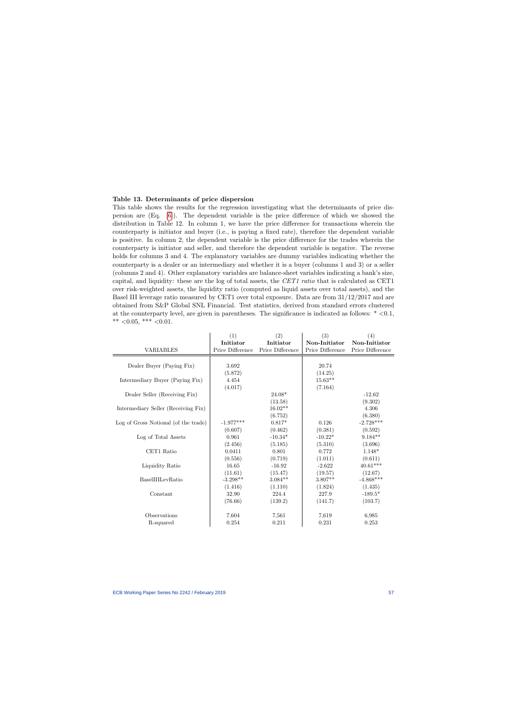#### Table 13. Determinants of price dispersion

This table shows the results for the regression investigating what the determinants of price dispersion are (Eq. [\[6\]](#page-37-0)). The dependent variable is the price difference of which we showed the distribution in Table 12. In column 1, we have the price difference for transactions wherein the counterparty is initiator and buyer (i.e., is paying a fixed rate), therefore the dependent variable is positive. In column 2, the dependent variable is the price difference for the trades wherein the counterparty is initiator and seller, and therefore the dependent variable is negative. The reverse holds for columns 3 and 4. The explanatory variables are dummy variables indicating whether the counterparty is a dealer or an intermediary and whether it is a buyer (columns 1 and 3) or a seller (columns 2 and 4). Other explanatory variables are balance-sheet variables indicating a bank's size, capital, and liquidity: these are the log of total assets, the CET1 ratio that is calculated as CET1 over risk-weighted assets, the liquidity ratio (computed as liquid assets over total assets), and the Basel III leverage ratio measured by CET1 over total exposure. Data are from 31/12/2017 and are obtained from S&P Global SNL Financial. Test statistics, derived from standard errors clustered at the counterparty level, are given in parentheses. The significance is indicated as follows:  $* < 0.1$ , \*\*  $<0.05$ , \*\*\*  $<0.01$ .

<span id="page-57-0"></span>

|                                      | (1)              | (2)              | (3)              | (4)              |
|--------------------------------------|------------------|------------------|------------------|------------------|
|                                      | Initiator        | Initiator        | Non-Initiator    | Non-Initiator    |
| <b>VARIABLES</b>                     | Price Difference | Price Difference | Price Difference | Price Difference |
|                                      |                  |                  |                  |                  |
| Dealer Buyer (Paying Fix)            | $3.692\,$        |                  | 20.74            |                  |
|                                      | (5.872)          |                  | (14.25)          |                  |
| Intermediary Buyer (Paying Fix)      | 4.454            |                  | $15.63**$        |                  |
|                                      | (4.017)          |                  | (7.164)          |                  |
| Dealer Seller (Receiving Fix)        |                  | $24.08*$         |                  | $-12.62$         |
|                                      |                  | (13.58)          |                  | (9.302)          |
| Intermediary Seller (Receiving Fix)  |                  | $16.02**$        |                  | $4.306\,$        |
|                                      |                  | (6.752)          |                  | (6.380)          |
| Log of Gross Notional (of the trade) | $-1.977***$      | $0.817*$         | 0.126            | $-2.728***$      |
|                                      | (0.607)          | (0.462)          | (0.381)          | (0.592)          |
| Log of Total Assets                  | 0.961            | $-10.34*$        | $-10.22*$        | $9.184**$        |
|                                      | (2.456)          | (5.185)          | (5.310)          | (3.696)          |
| CET1 Ratio                           | 0.0411           | 0.801            | 0.772            | $1.148*$         |
|                                      | (0.556)          | (0.719)          | (1.011)          | (0.611)          |
| Liquidity Ratio                      | 16.65            | $-16.92$         | $-2.622$         | $40.61***$       |
|                                      | (11.61)          | (15.47)          | (19.57)          | (12.67)          |
| BaselIIILevRatio                     | $-3.298**$       | $3.084**$        | $3.807**$        | $-4.868***$      |
|                                      | (1.416)          | (1.110)          | (1.824)          | (1.435)          |
| Constant                             | 32.90            | 224.4            | 227.9            | $-189.5*$        |
|                                      | (76.66)          | (139.2)          | (141.7)          | (103.7)          |
| Observations                         | 7,604            | 7,561            | 7,619            | 6,985            |
| R-squared                            | 0.254            | 0.211            | 0.231            | 0.253            |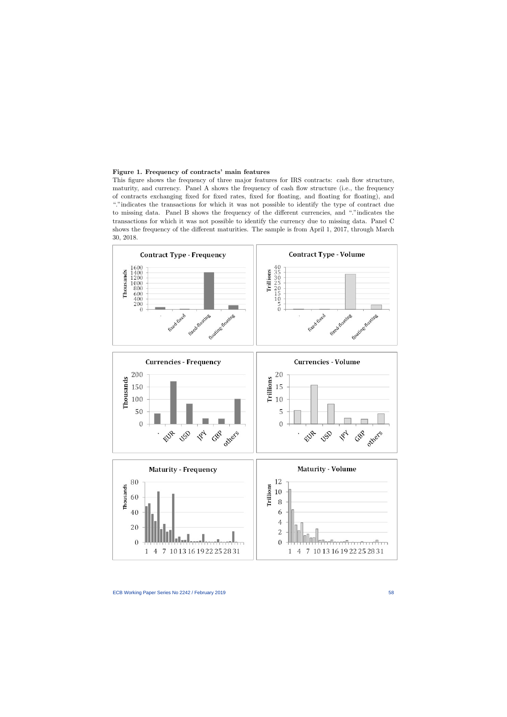### Figure 1. Frequency of contracts' main features

This figure shows the frequency of three major features for IRS contracts: cash flow structure, maturity, and currency. Panel A shows the frequency of cash flow structure (i.e., the frequency of contracts exchanging fixed for fixed rates, fixed for floating, and floating for floating), and "."indicates the transactions for which it was not possible to identify the type of contract due to missing data. Panel B shows the frequency of the different currencies, and "."indicates the transactions for which it was not possible to identify the currency due to missing data. Panel C shows the frequency of the different maturities. The sample is from April 1, 2017, through March 30, 2018.

<span id="page-58-0"></span>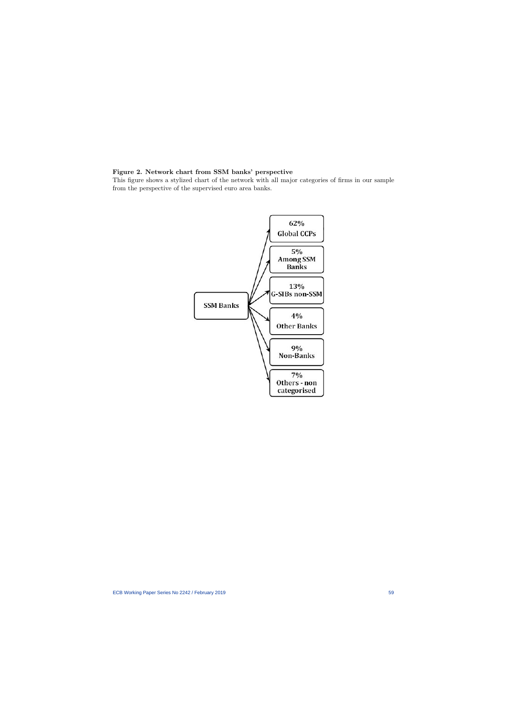## Figure 2. Network chart from SSM banks' perspective

<span id="page-59-0"></span>This figure shows a stylized chart of the network with all major categories of firms in our sample from the perspective of the supervised euro area banks.

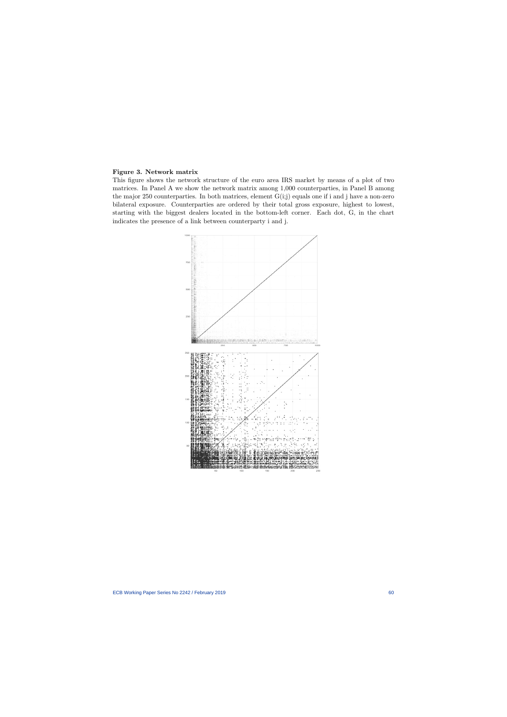## Figure 3. Network matrix

<span id="page-60-0"></span>This figure shows the network structure of the euro area IRS market by means of a plot of two matrices. In Panel A we show the network matrix among 1,000 counterparties, in Panel B among the major 250 counterparties. In both matrices, element G(i;j) equals one if i and j have a non-zero bilateral exposure. Counterparties are ordered by their total gross exposure, highest to lowest, starting with the biggest dealers located in the bottom-left corner. Each dot, G, in the chart indicates the presence of a link between counterparty i and j.

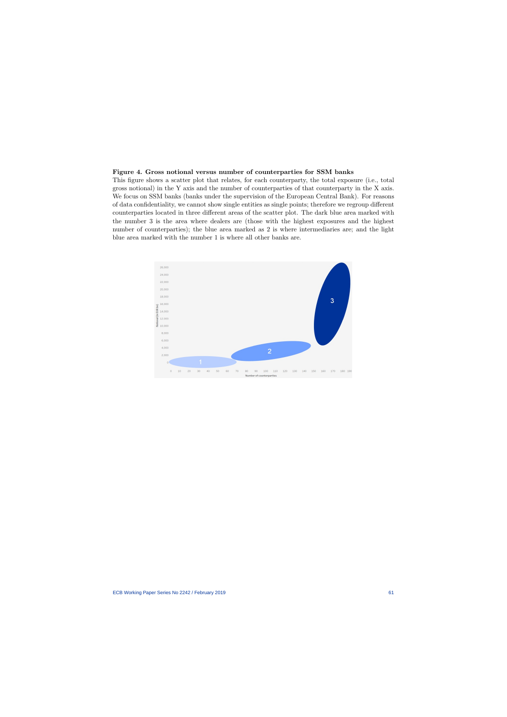## Figure 4. Gross notional versus number of counterparties for SSM banks

This figure shows a scatter plot that relates, for each counterparty, the total exposure (i.e., total gross notional) in the Y axis and the number of counterparties of that counterparty in the X axis. We focus on SSM banks (banks under the supervision of the European Central Bank). For reasons of data confidentiality, we cannot show single entities as single points; therefore we regroup different counterparties located in three different areas of the scatter plot. The dark blue area marked with the number 3 is the area where dealers are (those with the highest exposures and the highest number of counterparties); the blue area marked as 2 is where intermediaries are; and the light blue area marked with the number 1 is where all other banks are.

<span id="page-61-0"></span>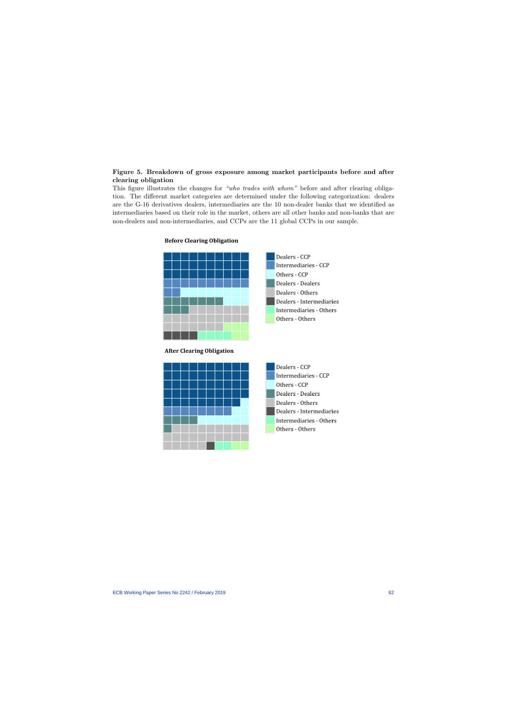## Figure 5. Breakdown of gross exposure among market participants before and after clearing obligation

<span id="page-62-0"></span>This figure illustrates the changes for "who trades with whom" before and after clearing obligation. The different market categories are determined under the following categorization: dealers are the G-16 derivatives dealers, intermediaries are the 10 non-dealer banks that we identified as intermediaries based on their role in the market, others are all other banks and non-banks that are non-dealers and non-intermediaries, and CCPs are the 11 global CCPs in our sample.



## **Before Clearing Obligation**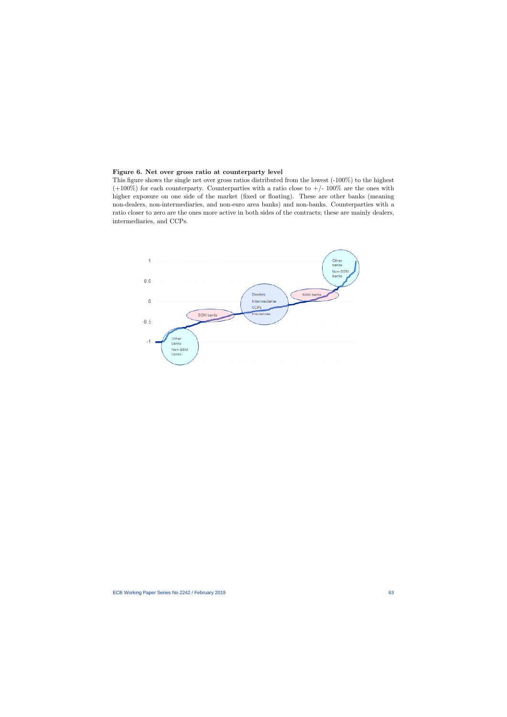### Figure 6. Net over gross ratio at counterparty level

This figure shows the single net over gross ratios distributed from the lowest (-100%) to the highest  $(+100\%)$  for each counterparty. Counterparties with a ratio close to  $+/-100\%$  are the ones with higher exposure on one side of the market (fixed or floating). These are other banks (meaning non-dealers, non-intermediaries, and non-euro area banks) and non-banks. Counterparties with a ratio closer to zero are the ones more active in both sides of the contracts; these are mainly dealers, intermediaries, and CCPs.

<span id="page-63-0"></span>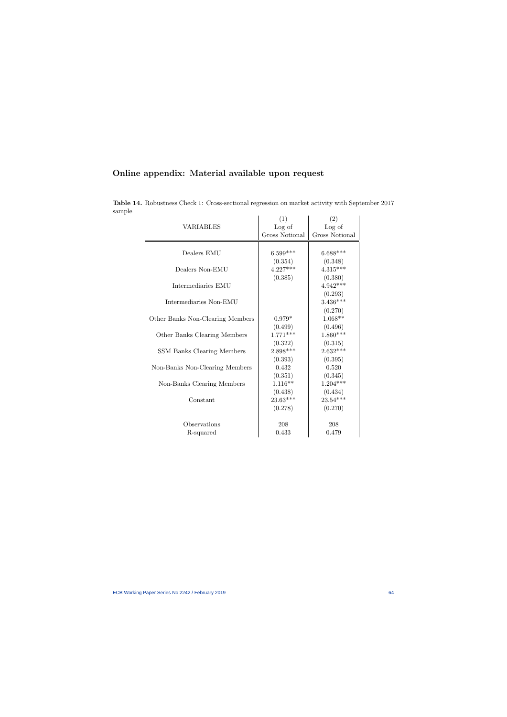| Online appendix: Material available upon request |  |  |  |  |  |
|--------------------------------------------------|--|--|--|--|--|
|--------------------------------------------------|--|--|--|--|--|

|                                   | (1)                   | (2)            |
|-----------------------------------|-----------------------|----------------|
| <b>VARIABLES</b>                  | Log of                | Log of         |
|                                   | <b>Gross Notional</b> | Gross Notional |
|                                   |                       |                |
| Dealers EMU                       | $6.599***$            | $6.688***$     |
|                                   | (0.354)               | (0.348)        |
| Dealers Non-EMU                   | $4.227***$            | $4.315***$     |
|                                   | (0.385)               | (0.380)        |
| Intermediaries EMU                |                       | $4.942***$     |
|                                   |                       | (0.293)        |
| Intermediaries Non-EMU            |                       | $3.436***$     |
|                                   |                       | (0.270)        |
| Other Banks Non-Clearing Members  | $0.979*$              | $1.068**$      |
|                                   | (0.499)               | (0.496)        |
| Other Banks Clearing Members      | $1.771***$            | $1.860***$     |
|                                   | (0.322)               | (0.315)        |
| <b>SSM Banks Clearing Members</b> | $2.898***$            | $2.632***$     |
|                                   | (0.393)               | (0.395)        |
| Non-Banks Non-Clearing Members    | 0.432                 | 0.520          |
|                                   | (0.351)               | (0.345)        |
| Non-Banks Clearing Members        | $1.116**$             | $1.204***$     |
|                                   | (0.438)               | (0.434)        |
| Constant                          | $23.63***$            | $23.54***$     |
|                                   | (0.278)               | (0.270)        |
|                                   |                       |                |
| Observations                      | 208                   | 208            |
| R-squared                         | 0.433                 | 0.479          |

<span id="page-64-0"></span>Table 14. Robustness Check 1: Cross-sectional regression on market activity with September 2017 sample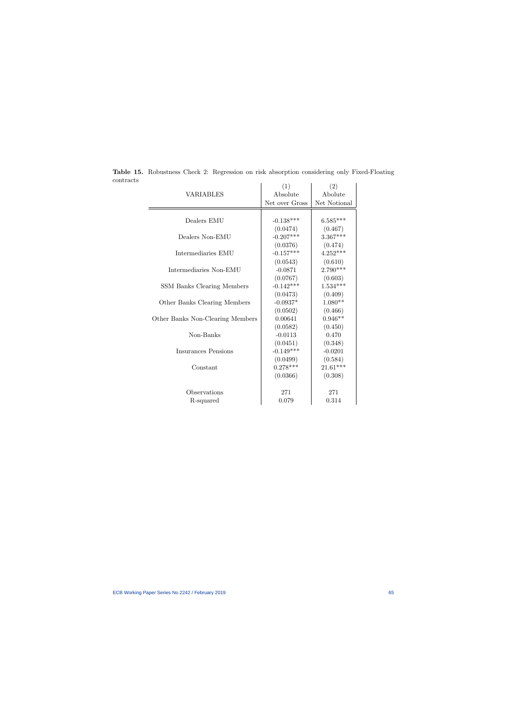|                                  | (1)            | (2)          |
|----------------------------------|----------------|--------------|
| <b>VARIABLES</b>                 | Absolute       | Abolute      |
|                                  | Net over Gross | Net Notional |
|                                  |                |              |
| Dealers EMU                      | $-0.138***$    | $6.585***$   |
|                                  | (0.0474)       | (0.467)      |
| Dealers Non-EMU                  | $-0.207***$    | $3.367***$   |
|                                  | (0.0376)       | (0.474)      |
| Intermediaries EMU               | $-0.157***$    | $4.252***$   |
|                                  | (0.0543)       | (0.610)      |
| Intermediaries Non-EMU           | $-0.0871$      | $2.790***$   |
|                                  | (0.0767)       | (0.603)      |
| SSM Banks Clearing Members       | $-0.142***$    | $1.534***$   |
|                                  | (0.0473)       | (0.409)      |
| Other Banks Clearing Members     | $-0.0937*$     | $1.080**$    |
|                                  | (0.0502)       | (0.466)      |
| Other Banks Non-Clearing Members | 0.00641        | $0.946**$    |
|                                  | (0.0582)       | (0.450)      |
| Non-Banks                        | $-0.0113$      | 0.470        |
|                                  | (0.0451)       | (0.348)      |
| <b>Insurances Pensions</b>       | $-0.149***$    | $-0.0201$    |
|                                  | (0.0499)       | (0.584)      |
| Constant                         | $0.278***$     | $21.61***$   |
|                                  | (0.0366)       | (0.308)      |
|                                  |                |              |
| Observations                     | 271            | 271          |
| R-squared                        | 0.079          | 0.314        |

<span id="page-65-0"></span>Table 15. Robustness Check 2: Regression on risk absorption considering only Fixed-Floating contracts  $\overline{1}$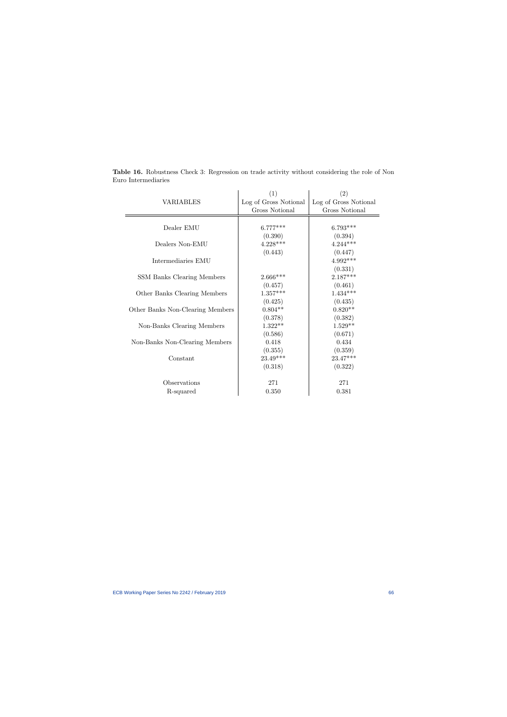<span id="page-66-0"></span>

|                                  | (1)                   | (2)                   |
|----------------------------------|-----------------------|-----------------------|
| <b>VARIABLES</b>                 | Log of Gross Notional | Log of Gross Notional |
|                                  | Gross Notional        | <b>Gross Notional</b> |
|                                  |                       |                       |
| Dealer EMU                       | $6.777***$            | $6.793***$            |
|                                  | (0.390)               | (0.394)               |
| Dealers Non-EMU                  | $4.228***$            | $4.244***$            |
|                                  | (0.443)               | (0.447)               |
| Intermediaries EMU               |                       | $4.992***$            |
|                                  |                       | (0.331)               |
| SSM Banks Clearing Members       | $2.666***$            | $2.187***$            |
|                                  | (0.457)               | (0.461)               |
| Other Banks Clearing Members     | $1.357***$            | $1.434***$            |
|                                  | (0.425)               | (0.435)               |
| Other Banks Non-Clearing Members | $0.804**$             | $0.820**$             |
|                                  | (0.378)               | (0.382)               |
| Non-Banks Clearing Members       | $1.322**$             | $1.529**$             |
|                                  | (0.586)               | (0.671)               |
| Non-Banks Non-Clearing Members   | 0.418                 | 0.434                 |
|                                  | (0.355)               | (0.359)               |
| Constant                         | $23.49***$            | 23.47***              |
|                                  | (0.318)               | (0.322)               |
|                                  |                       |                       |
| Observations                     | 271                   | 271                   |
| R-squared                        | 0.350                 | 0.381                 |

Table 16. Robustness Check 3: Regression on trade activity without considering the role of Non Euro Intermediaries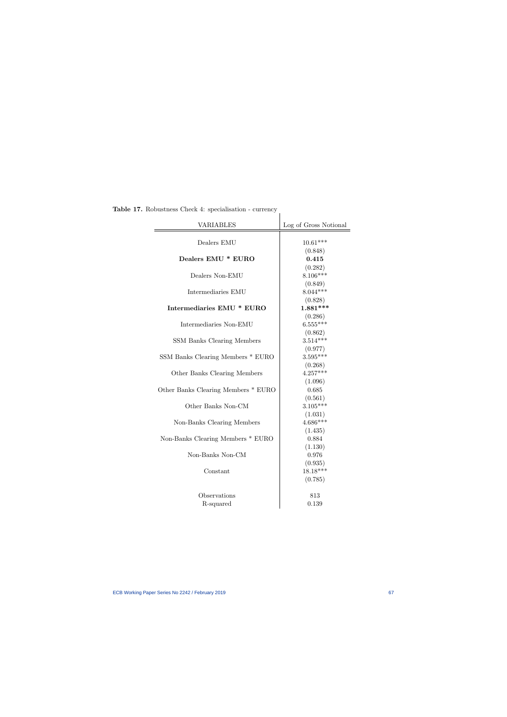| <b>VARIABLES</b>                    | Log of Gross Notional |
|-------------------------------------|-----------------------|
| Dealers EMU                         | $10.61***$            |
|                                     | (0.848)               |
| Dealers EMU * EURO                  | 0.415                 |
|                                     | (0.282)               |
| Dealers Non-EMU                     | $8.106***$            |
|                                     | (0.849)               |
| Intermediaries EMU                  | $8.044***$            |
|                                     | (0.828)               |
| Intermediaries EMU * EURO           | $1.881***$            |
|                                     | (0.286)               |
| Intermediaries Non-EMU              | $6.555***$            |
|                                     | (0.862)               |
| SSM Banks Clearing Members          | $3.514***$            |
|                                     | (0.977)               |
| SSM Banks Clearing Members * EURO   | $3.595***$            |
|                                     | (0.268)               |
| Other Banks Clearing Members        | $4.257***$            |
|                                     | (1.096)               |
| Other Banks Clearing Members * EURO | 0.685                 |
|                                     | (0.561)               |
| Other Banks Non-CM                  | $3.105***$            |
|                                     | (1.031)               |
| Non-Banks Clearing Members          | $4.686***$            |
|                                     | (1.435)               |
| Non-Banks Clearing Members * EURO   | 0.884                 |
|                                     | (1.130)               |
| Non-Banks Non-CM                    | 0.976                 |
|                                     | (0.935)               |
| Constant                            | $18.18***$            |
|                                     | (0.785)               |
|                                     |                       |
| Observations                        | 813                   |
| R-squared                           | 0.139                 |

<span id="page-67-0"></span>Table 17. Robustness Check 4: specialisation - currency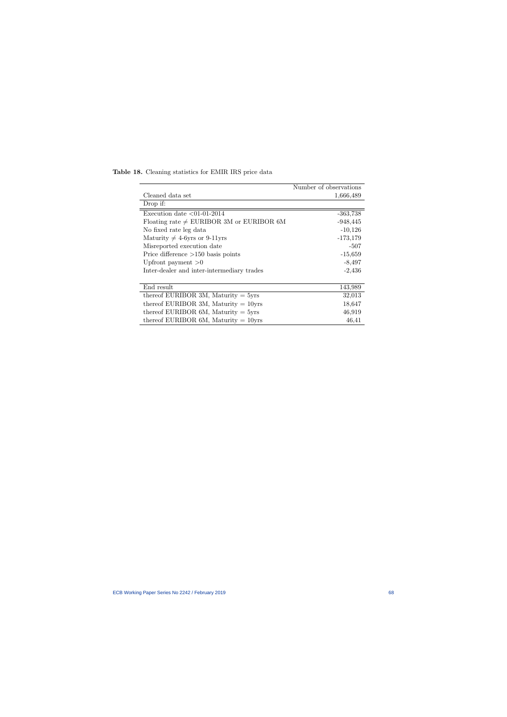|                                               | Number of observations |
|-----------------------------------------------|------------------------|
| Cleaned data set                              | 1,666,489              |
| Drop if:                                      |                        |
| Execution date $\langle 01-01-2014 \rangle$   | $-363,738$             |
| Floating rate $\neq$ EURIBOR 3M or EURIBOR 6M | $-948,445$             |
| No fixed rate leg data                        | $-10,126$              |
| Maturity $\neq$ 4-6yrs or 9-11yrs             | $-173,179$             |
| Misreported execution date                    | -507                   |
| Price difference $>150$ basis points          | $-15,659$              |
| Upfront payment $>0$                          | $-8,497$               |
| Inter-dealer and inter-intermediary trades    | $-2,436$               |
|                                               |                        |
| End result                                    | 143,989                |
| thereof EURIBOR 3M, Maturity $=$ 5yrs         | 32,013                 |
| thereof EURIBOR 3M, Maturity $= 10$ yrs       | 18,647                 |
| thereof EURIBOR $6M$ , Maturity = $5yrs$      | 46,919                 |
| thereof EURIBOR $6M$ , Maturity = 10yrs       | 46,41                  |

<span id="page-68-0"></span>Table 18. Cleaning statistics for EMIR IRS price data